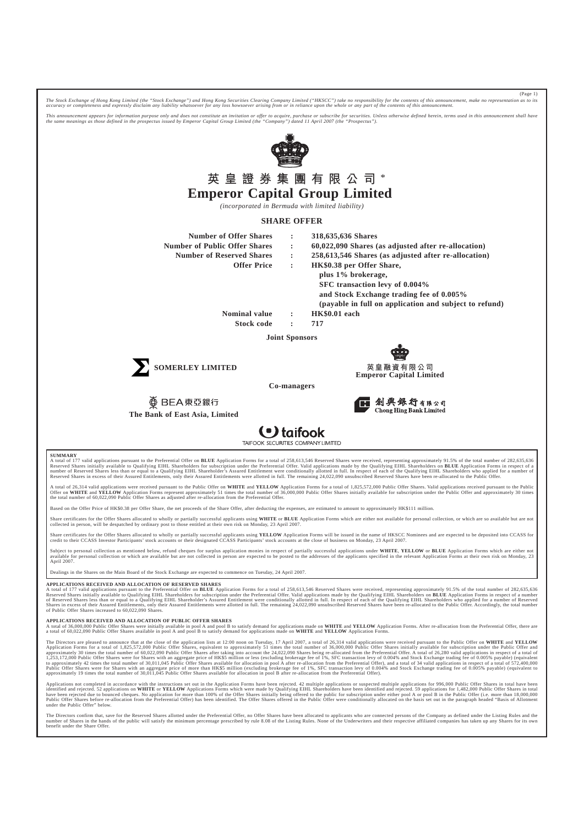*The Stock Exchange of Hong Kong Limited (the "Stock Exchange") and Hong Kong Securities Clearing Company Limited ("HKSCC") take no responsibility for the contents of this announcement, make no representation as to its accuracy or completeness and expressly disclaim any liability whatsoever for any loss howsoever arising from or in reliance upon the whole or any part of the contents of this announcement.*

(Page 1)

This announcement appears for information purpose only and does not constitute an invitation or offer to acquire, purchase or subscribe for securities. Unless otherwise defined herein, terms used in this announcement shall



**Contaifook** 

**TAIFOOK** 

#### **SUMMARY**

A total of 177 valid applications pursuant to the Preferential Offer on **BLUE** Application Forms for a total of 258,613,546 Reserved Shares were received, representing approximately 91.5% of the total number of 282,635,636

A total of 26,314 valid applications were received pursuant to the Public Offer on WHITE and YELLOW Application Forms for a total of 1,825,572,000 Public Offer Shares. Valid applications received pursuant to the Public<br>Off

Based on the Offer Price of HK\$0.38 per Offer Share, the net proceeds of the Share Offer, after deducting the expenses, are estimated to amount to approximately HK\$111 million.

Share certificates for the Offer Shares allocated to wholly or partially successful applicants using WHITE or BLUE Application Forms which are either not available for personal collection, or which are so available but are collected in person, will be despatched by ordinary post to those entitled at their own risk on Monday, 23 April 2007.

Share certificates for the Offer Shares allocated to wholly or partially successful applicants using YELLOW Application Forms will be issued in the name of HKSCC Nominees and are expected to be deposited into CCASS for<br>cre

Subject to personal collection as mentioned below, refund cheques for surplus application monies in respect of partially successful applications under WHITE, YELLOW or BLUE Application Forms which are either not refund to April 2007.

Dealings in the Shares on the Main Board of the Stock Exchange are expected to commence on Tuesday, 24 April 2007.

#### **APPLICATIONS RECEIVED AND ALLOCATION OF RESERVED SHARES**

A total of 177 valid applications pursuant to the Preferential Offer on BLUE Application Forms for a total of 258,613,546 Reserved Shares were received, representing approximately 91.5% of the total number of 282,635,636 Reserved Shares initially available to Qualifying EIHL Shareholders for subscription under the Preferential Offer. Valid applications made by the Qualifying EIHL Shareholders on **BLUE** Application Forms in respect of a num of Public Offer Shares increased to 60,022,090 Shares.

#### **APPLICATIONS RECEIVED AND ALLOCATION OF PUBLIC OFFER SHARES**

A total of 36,000,000 Public Offer Shares were initially available in pool A and pool B to satisfy demand for applications made on WHITE and YELLOW Application Forms. After re-allocation from the Preferential Offer, there a total of 60,022,090 Public Offer Shares available in pool A and pool B to satisfy demand for applications made on **WHITE** and **YELLOW** Application Forms.

The Directors are pleased to announce that at the close of the application lists at 12:00 noon on Tuesday, 17 April 2007, a total of 26,314 valid applications were received pursuant to the Public Offer on WHITE and YELLOW<br> Public Offer Shares were for Shares with an aggregate price of more than HK\$5 million (excluding brokerage fee of 1%, SFC transaction levy of 0.004% and Stock Exchange trading fee of 0.005% payable) (equivalent to<br>approxim

Applications not completed in accordance with the instructions set out in the Application Forms have been rejected. 42 multiple applications or suspected multiple applications for 996,000 Public Offer Shares in total have under the Public Offer" below.

The Directors confirm that, save for the Reserved Shares allotted under the Preferential Offer, no Offer Shares have been allocated to applicants who are connected persons of the Company as defined under the Listing Rules number of Shares in the hands of the public will satisfy the minimum percentage prescribed by rule 8.08 of the Listing Rules. None of the Underwriters and their respective affiliated companies has taken up any Shares for i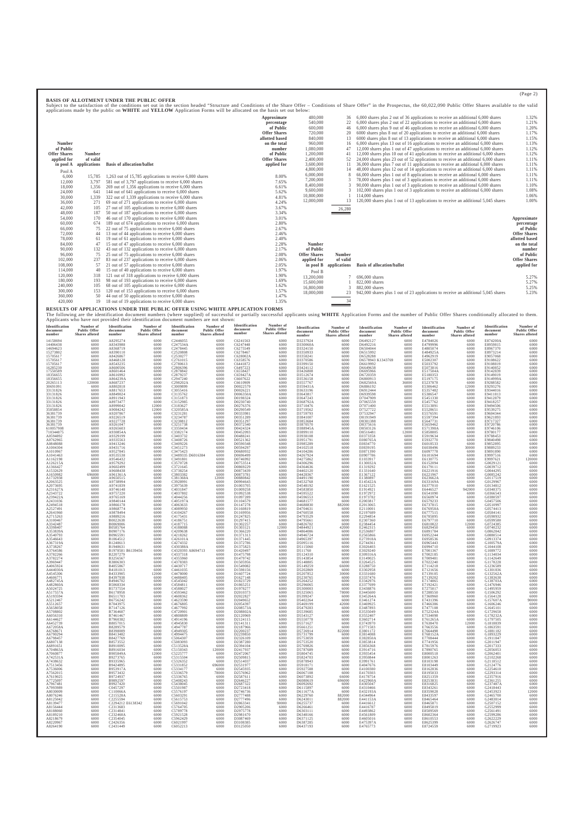|                     |               | appreased made of the packet on wanted and annual completence a crime will be allocated on the castle set care |                     |                     |              |                                                                                    |                     |
|---------------------|---------------|----------------------------------------------------------------------------------------------------------------|---------------------|---------------------|--------------|------------------------------------------------------------------------------------|---------------------|
|                     |               |                                                                                                                | Approximate         | 480,000             |              | 6,000 shares plus 2 out of 36 applications to receive an additional 6,000 shares   | 1.32%               |
|                     |               |                                                                                                                | percentage          | 540,000             |              | 6,000 shares plus 2 out of 22 applications to receive an additional 6,000 shares   | 1.21%               |
|                     |               |                                                                                                                | of Public           | 600,000             |              | 6,000 shares plus 9 out of 46 applications to receive an additional 6,000 shares   | 1.20%               |
|                     |               |                                                                                                                | <b>Offer Shares</b> | 720,000             |              | 6000 shares plus 8 out of 20 applications to receive an additional 6,000 shares    | 1.17%               |
|                     |               |                                                                                                                | allotted based      | 840,000             |              | 6000 shares plus 8 out of 13 applications to receive an additional 6,000 shares    | 1.15%               |
| Number              |               |                                                                                                                | on the total        | 960,000             | 16           | 6,000 shares plus 13 out of 16 applications to receive an additional 6,000 shares  | 1.13%               |
| of Public           |               |                                                                                                                | number              | 1,080,000           |              | 12,000 shares plus 1 out of 47 applications to receive an additional 6,000 shares  | 1.12%               |
| <b>Offer Shares</b> | <b>Number</b> |                                                                                                                | of Public           | 1,200,000           |              | 12,000 shares plus 10 out of 41 applications to receive an additional 6,000 shares | 1.12%               |
| applied for         | of valid      |                                                                                                                | <b>Offer Shares</b> | 2,400,000           |              | 24,000 shares plus 23 out of 52 applications to receive an additional 6,000 shares | 1.11%               |
| in pool A           | applications  | <b>Basis of allocation/ballot</b>                                                                              | applied for         | 3,600,000           |              | 36,000 shares plus 7 out of 11 applications to receive an additional 6,000 shares  | 1.11%               |
| Pool A              |               |                                                                                                                |                     | 4,800,000           |              | 48,000 shares plus 12 out of 14 applications to receive an additional 6,000 shares | 1.11%               |
| 6,000               | 15.785        | 1,263 out of 15,785 applications to receive $6,000$ shares                                                     | 8.00%               | 6,000,000           |              | 66,000 shares plus 1 out of 8 applications to receive an additional 6,000 shares   | 1.11%               |
| 12,000              | 3.797         | 581 out of 3,797 applications to receive 6,000 shares                                                          | 7.65%               | 7,200,000           |              | 78,000 shares plus 1 out of 3 applications to receive an additional 6,000 shares   | 1.11%               |
| 18,000              | 1,356         | 269 out of 1,356 applications to receive 6,000 shares                                                          | 6.61%               | 8,400,000           |              | 90,000 shares plus 1 out of 3 applications to receive an additional 6,000 shares   | 1.10%               |
| 24,000              | 641           | 144 out of 641 applications to receive 6,000 shares                                                            | 5.62%               | 9,600,000           |              | 102,000 shares plus 1 out of 3 applications to receive an additional 6,000 shares  | 1.08%               |
| 30,000              | 1,339         | 322 out of 1,339 applications to receive 6,000 shares                                                          | 4.81%               | 10,800,000          |              | 114,000 shares                                                                     | 1.06%               |
| 36,000              | 271           | 69 out of 271 applications to receive $6,000$ shares                                                           | 4.24%               | 12,000,000          |              | 120,000 shares plus 1 out of 13 applications to receive an additional 5,045 shares | 1.00%               |
| 42,000              | 105           | 27 out of 105 applications to receive 6,000 shares                                                             | 3.67%               |                     | 26,280       |                                                                                    |                     |
| 48,000              | 187           | 50 out of 187 applications to receive 6,000 shares                                                             | 3.34%               |                     |              |                                                                                    |                     |
| 54,000              | 170           | 46 out of 170 applications to receive 6,000 shares                                                             | 3.01%               |                     |              |                                                                                    | Approximate         |
| 60,000              | 674           | 189 out of 674 applications to receive 6,000 shares                                                            | 2.80%               |                     |              |                                                                                    | percentage          |
| 66,000              |               | 22 out of 75 applications to receive 6,000 shares                                                              | 2.67%               |                     |              |                                                                                    | of Public           |
| 72,000              |               | 13 out of 44 applications to receive 6,000 shares                                                              | 2.46%               |                     |              |                                                                                    | <b>Offer Shares</b> |
| 78,000              | 61            | 19 out of 61 applications to receive 6,000 shares                                                              | 2.40%               |                     |              |                                                                                    | allotted based      |
| 84,000              |               | 15 out of 47 applications to receive 6,000 shares                                                              | 2.28%               | <b>Number</b>       |              |                                                                                    | on the total        |
| 90,000              | 132           | 43 out of 132 applications to receive 6,000 shares                                                             | 2.17%               | of Public           |              |                                                                                    | number              |
| 96,000              | 75            | 25 out of 75 applications to receive 6,000 shares                                                              | 2.08%               | <b>Offer Shares</b> | Number       |                                                                                    | of Public           |
| 102,000             | 237           | 83 out of 237 applications to receive 6,000 shares                                                             | 2.06%               | applied for         | of valid     |                                                                                    | <b>Offer Shares</b> |
| 108,000             | 57            | 21 out of 57 applications to receive 6,000 shares                                                              | 2.05%               | in pool B           | applications | <b>Basis of allocation/ballot</b>                                                  | applied for         |
| 114,000             | 40            | 15 out of 40 applications to receive 6,000 shares                                                              | 1.97%               | Pool B              |              |                                                                                    |                     |
| 120,000             | 318           | 121 out of 318 applications to receive 6,000 shares                                                            | 1.90%               | 13,200,000          |              | 696,000 shares                                                                     | 5.27%               |
| 180,000             | 193           | 98 out of 193 applications to receive 6,000 shares                                                             | 1.69%               | 15,600,000          |              | 822,000 shares                                                                     | 5.27%               |
| 240,000             | 105           | 68 out of 105 applications to receive 6,000 shares                                                             | 1.62%               | 16,800,000          |              | 882,000 shares                                                                     | 5.25%               |
| 300,000             | 153           | 120 out of 153 applications to receive 6,000 shares                                                            | 1.57%               | 18,000,000          |              | 942,000 shares plus 1 out of 23 applications to receive an additional 5,045 shares | 5.23%               |
| 360,000             |               | 44 out of 50 applications to receive 6,000 shares                                                              | 1.47%               |                     |              |                                                                                    |                     |
| 420,000             | 19            | 18 out of 19 applications to receive 6,000 shares                                                              | 1.35%               |                     | 34           |                                                                                    |                     |

**RESULTS OF APPLICATIONS UNDER THE PUBLIC OFFER USING WHITE APPLICATION FORMS**

The following are the identification document numbers (where supplied) of successful or partially successful applicants using WHITE Application Forms and the number of Public Offer Shares conditionally allocated to them.<br>A

| Identification       | Number of           | Identification                | Number of           | Identification                | Number of           | Identification       | Number of             | Identification       | Number of           | Identification       | Number of           | Identification       | Number of             | Identification       | Number of           |
|----------------------|---------------------|-------------------------------|---------------------|-------------------------------|---------------------|----------------------|-----------------------|----------------------|---------------------|----------------------|---------------------|----------------------|-----------------------|----------------------|---------------------|
| document             | <b>Public Offer</b> | document                      | <b>Public Offer</b> | document                      | <b>Public Offer</b> | document             | <b>Public Offer</b>   | document             | <b>Public Offer</b> | document             | <b>Public Offer</b> | document             | <b>Public Offer</b>   | document             | <b>Public Offer</b> |
| number               | Shares alloted      | number                        | Shares alloted      | number                        | Shares alloted      | number               | <b>Shares alloted</b> | number               | Shares alloted      | number               | Shares alloted      | number               | <b>Shares</b> alloted | number               | Shares alloted      |
| 14158694             | 6000                | A8295274                      | 6000                | C <sub>2446055</sub>          | 6000                | C6241563             | 6000                  | D3237924             | 6000                | D6492127             | 6000                | E4784026             | 6000                  | E874200A             | 6000                |
| 14406438<br>14694623 | 6000<br>6000        | A8343988<br>A8368719          | 6000<br>6000        | C247534A                      | 6000<br>6000        | C6247448             | 6000<br>6000          | D330060A<br>D3324150 | 6000<br>6000        | D6492216<br>D6504044 | 6000<br>6000        | E4799996<br>E4805074 | 6000<br>6000          | E8959815<br>E8967370 | 6000<br>6000        |
| 15273802             | 6000                | A8390110                      | 6000                | C2478445<br>C2520808          | 6000                | C6275549<br>C6278467 | 6000                  | D3350933             | 6000                | D6515992             | 6000                | E484925A             | 6000                  | E8973214             | 6000                |
| 15705617             | 6000                | A8426867                      | 6000                | C2530277                      | 6000                | C628002A             | 6000                  | D3358241             | 6000                | D6528288             | 6000                | E4962919             | 6000                  | E9057068             | 6000                |
| 15705617             | 6000                | A8468128                      | 6000                | C2761015                      | 6000                | C6358576             | 6000                  | D3370586             | 6000                | D6578943 K1343769    | 6000                | E5002307             | 6000                  | E9108622             | 6000                |
| 15705617             | 6000                | A8543235                      | 6000                | C2780613                      | 6000                | C6441872             | 6000                  | D3399150             | 6000                | D6619992             | 6000<br>6000        | E5033792             | 6000<br>6000          | E9108819             | 6000                |
| 16285230<br>17550589 | 6000<br>6000        | A8600506<br>A8601464          | 6000<br>6000        | C2806396<br>C2878842          | 6000<br>6000        | C6497223<br>C6558427 | 6000<br>6000          | D3424112<br>D3426808 | 6000<br>6000        | D6649638<br>D6695966 | 6000                | E5073816<br>E517504A | 6000                  | E9140852<br>E9142839 | 6000<br>6000        |
| 18356655             | 6000                | A8616992                      | 6000                | C <sub>2879237</sub>          | 6000                | C659427A             | 6000                  | D3512674             | 6000                | D6720359             | 6000                | E5180353             | 6000                  | E9149019             | 6000                |
| 18356655             | 6000                | A864239A                      | 6000                | C2947240                      | 6000                | C6607622             | 6000                  | D3536158             | 6000                | D6800913             | 6000                | E5197175             | 6000                  | E914999A             | 6000                |
| 20265113             | 120000              | A8687237                      | 6000                | C298202A                      | 6000                | C6610909             | 6000                  | D3557767             | 6000                | D682569A             | 36000               | E5237878             | 6000                  | E9288582             | 6000                |
| 30691091             | 6000                | A8802818                      | 6000                | C3009899                      | 6000                | D0022579             | 6000                  | D359431A             | 6000                | D6886192             | 6000                | E5306462             | 12000                 | E9293276             | 6000                |
| 33131826             | 6000                | A8817653                      | 6000                | C3055416                      | 6000                | D0026221             | 6000                  | D3633196             | 6000                | D6912444             | 6000                | E5357482             | 6000                  | E9344016             | 6000                |
| 33131826             | 6000                | A8849024                      | 6000                | C3135762                      | 6000                | D006350A             | 6000                  | D3643817             | 6000                | D6939598             | 6000                | E5386547             | 6000                  | E9411813             | 6000                |
| 33131826             | 6000                | A8911943                      | 6000                | C3151873                      | 6000                | D0198324             | 6000                  | D3647243             | 6000                | D7047909             | 6000                | E5451330             | 6000                  | E9412879             | 6000                |
| 33131826             | 6000                | A8973477                      | 6000                | C3152985                      | 6000                | D0230740             | 6000                  | D368792A             | 6000                | D7065559             | 6000                | E5457762             | 6000                  | E9418257             | 6000                |
| 33131826             | 6000                | A8999042                      | 12000               | C3183627                      | 6000                | D0276376             | 6000                  | D3710476             | 6000                | D7071400             | 6000                | E5513891             | 6000                  | E9494506             | 6000                |
| 35858854             | 6000                | A9084242                      | 12000               | C320585A                      | 6000                | D0290549             | 6000                  | D3719562             | 6000                | D7527722             | 6000                | E5528651             | 6000                  | E9539275             | 6000                |
| 36381739             | 6000                | A9207867                      | 6000                | C3231281                      | 6000                | D0333981             | 6000                  | D3759793             | 6000                | D7532947             | 6000                | E5576591             | 6000                  | E9604344             | 6000                |
| 36381739             | 6000                | A9226519                      | 6000                | C3234787                      | 6000                | D0351289             | 6000                  | D3841007             | 6000                | D8191949             | 6000                | E5597394             | 6000                  | E9621893             | 6000                |
| 36381739             | 6000                | A9227728                      | 6000                | C3238812                      | 6000                | D0351297             | 6000                  | D3853684             | 6000                | D8301388             | 6000                | E5647731             | 6000                  | E9717327             | 6000                |
| 36381739             | 6000                | A9261047                      | 6000                | C3251738                      | 6000                | D0372340             | 6000                  | D3870570             | 6000                | D8375616             | 6000                | E5659462             | 6000                  | E9720786             | 6000                |
| 610057908            | 6000                | A9265603                      | 6000                | C3350434                      | 6000                | D0424324             | 6000                  | D388945A             | 6000                | D8503126             | 6000                | E571398A             | 6000                  | E9746106             | 6000                |
| 710344875            | 6000                | A930854A                      | 6000                | C3382174                      | 6000                | D0452093             | 6000                  | D3899110             | 6000                | D8516481             | 12000               | E5858805             | 6000                  | E9780177             | 6000                |
| A0594892             | 6000                | A9329199                      | 6000                | C3403732                      | 6000                | D0488241             | 6000                  | D3938108             | 6000                | E0373358             | 6000                | E5919634             | 6000                  | E9788453             | 6000                |
| A0762965             | 6000                | A9335563                      | 6000                | C3408726                      | 6000                | D0521362             | 6000                  | D3951791             | 6000                | E080765A             | 6000                | E5932770             | 6000                  | E9840498             | 6000                |
| A0848088             | 6000                | A9413246                      | 6000                | C3409226                      | 6000                | D0590348             | 6000                  | D3985289             | 6000                | E0834770             | 6000                | E6018533             | 6000                  | E9852895             | 6000                |
| A1004304             | 6000                | A9431716                      | 6000                | C3451273                      | 6000                | D0594297             | 6000                  | D4102518             | 6000                | E0839195             | 6000                | E6038496             | 30000                 | E9889233             | 6000                |
| A1010967             | 6000                | A9527845                      | 6000                | C3475423                      | 6000                | D0680932             | 6000                  | D4104286             | 6000                | E0871390             | 6000                | E6097778             | 6000                  | E9891890             | 6000                |
| A1041463             | 6000                | A9535538                      | 6000                | C3489335 D6016384             | 6000                | D0696499             | 6000                  | D4267924             | 6000                | E0907786             | 6000                | E6101694             | 6000                  | E9997516             | 6000                |
| A1162198             | 6000                | A9546432                      | 6000                | C3491801                      | 6000                | D0746992             | 6000                  | D4275862             | 6000                | E1033917             | 6000                | E6130775             | 6000                  | E9997621             | 120000              |
| A126215A             | 6000                | A9579292                      | 6000                | C3570728<br>C3721645          | 6000                | D0753514             | 6000                  | D4306296             | 6000                | E130032A             | 6000                | E6152094             | 6000                  | G0029121             | 6000                |
| A1366427             | 6000                | A9602499                      | 6000                |                               | 6000                | D0869229             | 6000                  | D4364636             | 6000                | E1319292             | 6000                | E6179111             | 6000                  | G0039712             | 6000                |
| A1532629<br>A1650982 | 6000<br>696000      | A9608438                      | 6000<br>6000        | C3738254<br>C3803382          | 6000<br>6000        | D0873439             | 6000<br>6000          | D4402120<br>D4428367 | 6000<br>6000        | E1331640<br>E1367122 | 6000<br>6000        | E6221916<br>E6221967 | 6000<br>6000          | G0044295<br>G0085242 | 6000<br>6000        |
| A1732938             | 6000                | A961361A<br>A9650515          | 6000                | C381368A                      | 12000               | D0873781<br>D0880842 | 6000                  | D4491190             | 6000                | E1380897             | 6000                | E623662A             | 6000                  | G0117519             | 6000                |
| A2063525             | 6000                | A9738994                      | 6000                | C3928991                      | 6000                | D0994643             | 6000                  | D4532768             | 6000                | E145422A             | 6000                | E633169A             | 6000                  | G0129967             | 6000                |
| A2073695             | 6000                | A9741839                      | 6000                | C3975639                      | 6000                | D1003705             | 6000                  | D4548192             | 6000                | E1621525             | 6000                | E6377010             | 6000                  | G0134812             | 6000                |
| A231627A             | 6000                | A9746148                      | 6000                | C4031847                      | 6000                | D1009258             | 6000                  | D4583850             | 6000                | E1914921             | 6000                | E6446527             | 942000                | G0348375             | 6000                |
| A2343722             | 6000                | A9757220                      | 6000                | C4037802                      | 6000                | D1092538             | 6000                  | D4595522             | 6000                | E1972972             | 6000                | E6541090             | 6000                  | G0366543             | 6000                |
| A239422A             | 6000                | A9765169                      | 6000                | C4044256                      | 6000                | D1097289             | 6000                  | D4596553             | 6000                | E1973782             | 6000                | E6560974             | 6000                  | G0380597             | 6000                |
| A2431036             | 6000                | A9840144                      | 6000                | C405197A                      | 6000                | D1104579             | 6000                  | D4681577             | 6000                | E2003817             | 6000                | E6579233             | 6000                  | G0457506             | 6000                |
| A2494518             | 6000                | A9866178                      | 6000                | C4063633                      | 6000                | D1147278             | 6000                  | D4688830             | 882000              | E2013065             | 6000                | E6737815             | 6000                  | G0510997             | 6000                |
| A2527491             | 6000<br>6000        | A9868774                      | 6000<br>6000        | C4089950                      | 6000<br>6000        | D1160819             | 6000                  | D4704631             | 6000                | E2110001             | 6000<br>6000        | E676958A             | 6000                  | G0574413             | 6000                |
| A2641960<br>A2715263 | 6000                | A9878494<br>A9889216          | 6000                | C4104267<br>C4175431          | 6000                | D1169956<br>D1247825 | 6000<br>6000          | D4760558<br>D4793529 | 6000<br>6000        | E2197689<br>E2294854 | 6000                | E6777515<br>E6785895 | 6000<br>6000          | G0584141<br>G0598932 | 6000<br>6000        |
| A3100467             | 6000                | B0022638                      | 6000                | C4186751                      | 6000                | D1297415             | 6000                  | D4795661             | 6000                | E2307360             | 6000                | E6797710             | 6000                  | G0599580             | 6000                |
| A3342487             | 6000                | B0069006                      | 6000                | C4187715                      | 6000                | D1302257             | 6000                  | D4826702             | 6000                | E2384454             | 6000                | E6810822             | 12000                 | G0724385             | 6000                |
| A3398407             | 6000                | B0585764                      | 6000<br>6000        | C4188088                      | 6000                | D1303121             | 12000                 | D4844921             | 42000               | E2462315<br>E2536807 | 6000                | E6829450             | 6000                  | G0740232             | 6000                |
| A353839A<br>A3540793 | 6000<br>6000        | B0907176<br>B0965591          | 6000                | C4209638<br>C4218262          | 6000<br>6000        | D1366220<br>D1371313 | 6000<br>6000          | D4864086<br>D4946724 | 6000<br>6000        | E2565866             | 6000<br>6000        | E6891784<br>E6952244 | 6000<br>6000          | G0862842<br>G0880514 | 6000<br>6000        |
| A3546643             | 6000                | B1064512                      | 6000                | C426101A                      | 6000                | D1371445             | 6000                  | D4965397             | 6000                | E273918A             | 6000                | E6958536             | 6000                  | G0913374             | 6000                |
| A367319A             | 6000                | B1248613                      | 6000                | C4274332                      | 6000                | D1372786             | 6000                  | D5095116             | 6000                | E2744361             | 6000                | E6965443             | 6000                  | G100579A             | 6000                |
| A3738267             | 6000<br>6000        | B1948631<br>B1978581 B6139456 | 6000<br>6000        | C430388A<br>C4320393 A8694713 | 6000<br>6000        | D1375823             | 6000                  | D5115060             | 6000<br>6000        | E3026403             | 6000<br>6000        | E6994710             | 6000<br>6000          | G1044108             | 6000                |
| A3764586<br>A3782266 | 6000                | B2207279                      | 6000                | C4337318                      | 6000                | D1420497<br>D1475798 | 6000<br>6000          | D511760<br>D5124310  | 6000                | E3029240<br>E309316A | 6000                | E7001367<br>E7002185 | 6000                  | G1089772<br>G1134034 | 6000<br>6000        |
| A3782274             | 6000                | B3256567                      | 6000                | C4355960                      | 6000                | D1479742             | 6000                  | D5143854             | 6000                | E3149025             | 6000                | E7009481             | 6000                  | G1142649             | 6000                |
| A3969447             | 6000                | B3806303                      | 6000                | C4378383                      | 6000                | D1505956             | 6000                  | D5148805             | 6000                | E3264525             | 6000                | E7022240             | 6000                  | G1178228             | 6000                |
| A4065924             | 6000<br>6000        | B4055867                      | 6000                | C4430717                      | 6000                | D1549082             | 6000<br>6000          | D5149259             | 66000               | E3288750             | 6000<br>6000        | E7114218             | 6000                  | G1236589             | 6000<br>6000        |
| A444030A<br>A4545306 | 6000                | B4181013<br>B4333905          | 6000<br>12000       | C4461035<br>C4478000          | 6000<br>6000        | D1598156<br>D1607724 | 6000                  | D5202869<br>D5207852 | 6000<br>30000       | E3302958<br>E3331680 | 6000                | E7121656<br>E7139105 | 6000<br>6000          | G1301836<br>G132562A | 6000                |
| A4606771             | 6000                | B4397938                      | 6000                | C4488405                      | 6000                | D1627148             | 6000                  | D5230765             | 6000                | E3337476             | 6000                | E7139202             | 6000                  | G1383638             | 6000                |
| A482745A             | 6000                | B4946702                      | 6000                | C4545042                      | 6000                | D1823729             | 6000                  | D5264252             | 6000                | E3342976             | 6000                | E7174865             | 6000                  | G138703A             | 6000                |
| A482860A             | 6000                | B5068334                      | 6000                | C4584811                      | 6000                | D1865251             | 6000                  | D5296065             | 6000                | E3377699             | 6000                | E7192421             | 6000                  | G1476946             | 6000                |
| A5024725             | 6000                | B5737554                      | 6000                | C4588027                      | 6000                | D1978277             | 6000                  | D5300003             | 6000                | E3438876             | 6000                | E7275017             | 6000                  | G1495959             | 6000                |
| A517557A             | 6000                | B6178958                      | 6000                | C4593462                      | 6000                | D2010373             | 6000                  | D5325065             | 78000               | E3445600             | 6000                | E7288550             | 6000                  | G1506292             | 6000                |
| A5193594             | 6000                | B6511703                      | 6000                | C4608362                      | 6000                | D2022827             | 6000                  | D5399247             | 6000                | E345264A             | 6000                | E7360960             | 6000                  | G1564128             | 6000                |
| A5212467             | 6000                | B6756242                      | 6000                | C4623590                      | 6000                | D2049652             | 6000                  | D5402264             | 6000                | E3461274             | 6000                | E7431396             | 6000                  | G157607A             | 90000               |
| A5512657             | 6000                | B7043975                      | 6000                | C4676805                      | 6000                | D2054397             | 6000                  | D5469199             | 42000               | E3469925             | 6000                | E7466386             | 6000                  | G1606246             | 6000                |
| A5658058             | 6000                | B7147126                      | 6000                | C4677992                      | 6000                | D208573A             | 6000                  | D5479283             | 6000                | E3487893             | 6000                | E7477108             | 6000                  | G1645101             | 6000                |
| A5708802             | 6000                | B7364607                      | 6000                | C4720901                      | 6000                | D208802A             | 6000                  | D5539685             | 6000                | E3535049             | 6000                | E752324A             | 6000                  | G1729658             | 6000                |
| A6056310             | 6000                | B7461467                      | 6000                | C4808809                      | 6000                | D2120969             | 6000                  | D5543127             | 6000                | E3552407             | 6000                | E7534098             | 6000                  | G178232A             | 6000                |
| A6144627             | 6000                | B7960382                      | 6000                | C4914196                      | 6000                | D2124115             | 6000                  | D5550778             | 6000                | E3602714             | 6000                | E761265A             | 6000                  | G1797505             | 6000                |
| A6452739             | 6000                | B8057015                      | 6000                | C4945830                      | 6000                | D2141311             | 6000                  | D5571627             | 6000                | E3743970             | 6000                | E7638470             | 12000                 | G1818839             | 6000                |
| A672058A             | 6000                | B8289579                      | 6000                | C4947787                      | 6000                | D2187966             | 6000                  | D5661251             | 6000                | E3771583             | 6000                | E7663556             | 6000                  | G1863591             | 6000                |
| A6768671             | 6000                | B8398009                      | 6000                | C4949305                      | 6000                | D2200237             | 6000                  | D5726914             | 822000              | E3801172             | 6000                | E7664498             | 6000                  | G1881182             | 6000                |
| 46790294             | 6000                | B8413482                      | 6000                | C4994475                      | 6000                | D2239850             | 6000                  | D5731799             | 6000                | E3814088             | 6000                | E768152A             | 6000                  | G1893229             | 6000                |
| A6798457             | 6000                | B8427769                      | 6000                | C5064307                      | 6000                | D2326109             | 6000                  | D5753059             | 6000                | E382850A             | 6000                | E7708444             | 6000                  | G1911847             | 6000                |
| A6807138             | 6000                | B8573552                      | 6000                | C5083093                      | 6000                | D2387280             | 6000                  | D5753520             | 6000                | E3853814             | 6000                | E7741956             | 6000                  | G2011947             | 6000                |
| A6891651             | 6000                | B8910095                      | 6000                | C513528A                      | 6000                | D2394104             | 6000                  | D5769826             | 6000                | E3856368             | 6000                | E7815976             | 6000                  | G2017333             | 6000                |
| A704863A             | 6000                | B8916034                      | 6000                | C5150343                      | 120000              | D2417937             | 6000                  | D5787689             | 6000                | E3914716             | 6000                | E7890765             | 6000                  | G2056053             | 6000                |
| A7060877             | 6000                | B905849A                      | 12000               | C5225777                      | 6000                | D2472067             | 6000                  | D5804745             | 6000                | E3935454             | 6000                | E8000518             | 6000                  | G2062401             | 6000                |
| A742531A             | 6000                | B9273765                      | 6000                | C5315504                      | 6000                | D2509815             | 6000                  | D5824703             | 6000                | E3950844             | 6000                | E8001263             | 6000                  | G2102268             | 6000                |
| A7438632             | 6000                | B9335965                      | 6000                | C5326352                      | 6000                | D2514037             | 6000                  | D5878943             | 6000                | E3991761             | 6000                | E8103198             | 6000                  | G2118512             | 6000                |
| A7513456             | 6000                | B9424895                      | 6000                | C5331852                      | 696000              | D2531977             | 6000                  | D5918171             | 6000                | E4047676             | 6000                | E8103449             | 6000                  | G2124776             | 6000                |
| A7536006             | 6000                | B953917A                      | 6000                | C5334177                      | 6000                | D2545935             | 6000                  | D5927588             | 6000                | E4100380             | 6000                | E8162836             | 6000                  | G2254610             | 6000                |
| A7562015             | 6000                | B9573432                      | 6000                | C5336579                      | 78000               | D2576962             | 6000                  | D6067108             | 6000                | E4170303             | 6000                | E8195033             | 6000                  | G2293314             | 6000                |
| A7619025             | 6000                | B9724937                      | 6000                | C5336765                      | 6000                | D2587611             | 6000                  | D6073892             | 66000               | E4178754             | 6000                | E8251359             | 6000                  | G2357916             | 6000                |
| A7725097             | 6000                | B9892597                      | 6000                | C5408243                      | 6000                | D2646227             | 6000                  | D6080619             | 696000              | E422960A             | 6000                | E8253831             | 6000                  | G2361255             | 6000                |
| A7967481             | 6000                | B9927420                      | 6000                | C5438045                      | 6000                | D2687322             | 6000                  | D6092692             | 6000                | E4305047             | 6000                | E8316825             | 6000                  | G237487A             | 6000                |
| A7993989             | 6000                | C0457297                      | 6000                | C5501987                      | 6000                | D2723418             | 6000                  | D6115897             | 6000                | E4310466             | 6000                | E8343261             | 6000                  | G2418443             | 6000                |
| A8030009             | 6000                | C110066A                      | 6000                | C5576197                      | 6000                | D2746736             | 6000                  | D611677A             | 6000                | E432193A             | 6000                | E8359028             | 6000                  | G2453923             | 12000               |
| A8076246             | 6000                | C215528A                      | 6000                | C5603291                      | 6000                | D2777488             | 6000                  | D6229760             | 882000              | E4344964             | 6000                | E8433597             | 6000                  | G2465700             | 6000                |
| A8125042             | 6000                | C2255594                      | 6000                | C5615753                      | 6000                | D2777496             | 6000                  | D6243011             | 882000              | E441153A             | 6000                | E8465464             | 6000                  | G2483814             | 6000                |
| A8139477             | 6000                | C2294212 E6138342             | 6000                | C5691042                      | 6000                | D2863341             | 90000                 | D6255737             | 6000                | E4416612             | 6000                | E8465871             | 6000                  | G2507152             | 6000                |
| A8156444             | 6000<br>6000        | C2313683                      | 6000<br>6000        | C5764705                      | 6000<br>6000        | D2905206             | 6000                  | D6266461             | 6000                | E4416787             | 6000<br>6000        | E8495819             | 6000                  | G2552999             | 6000<br>6000        |
| A8188060<br>A8189210 | 6000                | C2314841<br>C232460A          | 6000                | C5789778<br>C5921528          | 6000                | D2975778<br>D2981670 | 6000<br>6000          | D6303111<br>D6348166 | 6000<br>6000        | E4493862<br>E4561809 | 6000                | E8509569<br>E8602364 | 6000<br>6000          | G2561491<br>G2599286 | 6000                |
| A8218679             | 6000                | C2354045                      | 6000                | C5962429                      | 6000                | D3087469             | 6000                  | D6371125             | 6000                | E4605016             | 6000                | E8610553             | 6000                  | G2622229             | 6000                |
| A8220967             | 6000                | C2426356                      | 6000                | C6021997                      | 6000                | D3108385             | 6000                  | D6387285             | 6000                | E475397A             | 6000                | E8625399             | 6000                  | G2626747             | 6000                |
| A8264190             | 6000                | C2431449                      | 6000                | C6052213                      | 6000                | D3125050             | 6000                  | D6437193             | 6000                | E4765773             | 6000                | E8724559             | 6000                  | G2719923             | 6000                |
|                      |                     |                               |                     |                               |                     |                      |                       |                      |                     |                      |                     |                      |                       |                      |                     |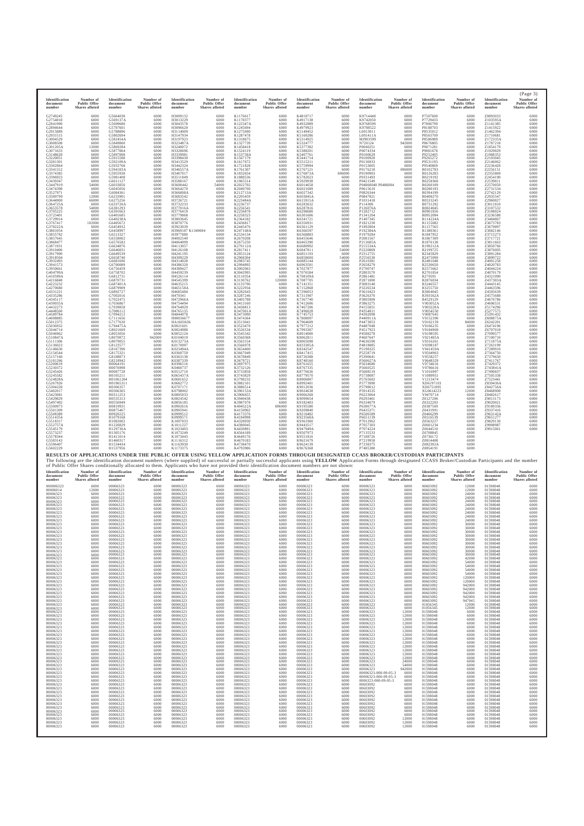| Identification<br>document<br>number                                                                                                                                                                                                                                                                                                                                                                                                                                                                                                                                                                                                                                                                                                                                                                                                                                                                                                                                                                                                                                                         | Number of<br><b>Public Offer</b><br>Shares alloted                                                                                                                                                                                                                                                                                                                                                                                                                                                                                                                                                                                                                                                                                  | Identification<br>document<br>number                                                                                                                                                                                                                                                                                                                                                                                                                                                                                                                                                                                                                                                                                                                                                                                                                                                                                                                                                                                                                                                           | Number of<br><b>Public Offer</b><br>Shares alloted                                                                                                                                                                                                                                                                                                                                                                                                                                                                                                                                                                                                                                                                             | Identification<br>document<br>number                                                                                                                                                                                                                                                                                                                                                                                                                                                                                                                                                                                                                                                                                                                                                                                                                                                                                                                                                                                                                                                                   | Number of<br><b>Public Offer</b><br>Shares alloted                                                                                                                                                                                                                                                                                                                                                                                                                                                                                                                                                                                                                                                                            | Identification<br>document<br>number                                                                                                                                                                                                                                                                                                                                                                                                                                                                                                                                                                                                                                                                                                                                                                                                                                                                                                                                                                                                                                                         | Number of<br><b>Public Offer</b><br>Shares alloted                                                                                                                                                                                                                                                                                                                                                                                                                                                                                                                                                                                                                                                                                                                                                                                                                       | Identification<br>document<br>number                                                                                                                                                                                                                                                                                                                                                                                                                                                                                                                                                                                                                                                                                                                                                                                                                                                                                                                                                                                                                                                        | Number of<br><b>Public Offer</b><br><b>Shares</b> alloted                                                                                                                                                                                                                                                                                                                                                                                                                                                                                                                                                                                                                                                                        | Identification<br>document<br>number                                                                                                                                                                                                                                                                                                                                                                                                                                                                                                                                                                                                                                                                                                                                                                                                                                                                                                                                                                                                                                                                 | Number of<br><b>Public Offer</b><br><b>Shares</b> alloted                                                                                                                                                                                                                                                                                                                                                                                                                                                                                                                                                                                                                                                                        | Identification<br>document<br>number                                                                                                                                                                                                                                                                                                                                                                                                                                                                                                                                                                                                                                                                                                                                                                                                                                                                                                                                                                                                                                                           | Number of<br><b>Public Offer</b><br>Shares alloted                                                                                                                                                                                                                                                                                                                                                                                                                                                                                                                                                                                                                                                                             | Identification<br>document<br>number                                                                                                                                                                                                                                                                                                                                                                                                                                                                                                                                                                                                                                                                                                                                                                                                                                                                                                                                                                                             | (Page 3)<br>Number of<br><b>Public Offer</b><br>Shares alloted                                                                                                                                                                                                                                                                                                                                                                                                                                                                                                                                                                                                                       |
|----------------------------------------------------------------------------------------------------------------------------------------------------------------------------------------------------------------------------------------------------------------------------------------------------------------------------------------------------------------------------------------------------------------------------------------------------------------------------------------------------------------------------------------------------------------------------------------------------------------------------------------------------------------------------------------------------------------------------------------------------------------------------------------------------------------------------------------------------------------------------------------------------------------------------------------------------------------------------------------------------------------------------------------------------------------------------------------------|-------------------------------------------------------------------------------------------------------------------------------------------------------------------------------------------------------------------------------------------------------------------------------------------------------------------------------------------------------------------------------------------------------------------------------------------------------------------------------------------------------------------------------------------------------------------------------------------------------------------------------------------------------------------------------------------------------------------------------------|------------------------------------------------------------------------------------------------------------------------------------------------------------------------------------------------------------------------------------------------------------------------------------------------------------------------------------------------------------------------------------------------------------------------------------------------------------------------------------------------------------------------------------------------------------------------------------------------------------------------------------------------------------------------------------------------------------------------------------------------------------------------------------------------------------------------------------------------------------------------------------------------------------------------------------------------------------------------------------------------------------------------------------------------------------------------------------------------|--------------------------------------------------------------------------------------------------------------------------------------------------------------------------------------------------------------------------------------------------------------------------------------------------------------------------------------------------------------------------------------------------------------------------------------------------------------------------------------------------------------------------------------------------------------------------------------------------------------------------------------------------------------------------------------------------------------------------------|--------------------------------------------------------------------------------------------------------------------------------------------------------------------------------------------------------------------------------------------------------------------------------------------------------------------------------------------------------------------------------------------------------------------------------------------------------------------------------------------------------------------------------------------------------------------------------------------------------------------------------------------------------------------------------------------------------------------------------------------------------------------------------------------------------------------------------------------------------------------------------------------------------------------------------------------------------------------------------------------------------------------------------------------------------------------------------------------------------|-------------------------------------------------------------------------------------------------------------------------------------------------------------------------------------------------------------------------------------------------------------------------------------------------------------------------------------------------------------------------------------------------------------------------------------------------------------------------------------------------------------------------------------------------------------------------------------------------------------------------------------------------------------------------------------------------------------------------------|----------------------------------------------------------------------------------------------------------------------------------------------------------------------------------------------------------------------------------------------------------------------------------------------------------------------------------------------------------------------------------------------------------------------------------------------------------------------------------------------------------------------------------------------------------------------------------------------------------------------------------------------------------------------------------------------------------------------------------------------------------------------------------------------------------------------------------------------------------------------------------------------------------------------------------------------------------------------------------------------------------------------------------------------------------------------------------------------|--------------------------------------------------------------------------------------------------------------------------------------------------------------------------------------------------------------------------------------------------------------------------------------------------------------------------------------------------------------------------------------------------------------------------------------------------------------------------------------------------------------------------------------------------------------------------------------------------------------------------------------------------------------------------------------------------------------------------------------------------------------------------------------------------------------------------------------------------------------------------|---------------------------------------------------------------------------------------------------------------------------------------------------------------------------------------------------------------------------------------------------------------------------------------------------------------------------------------------------------------------------------------------------------------------------------------------------------------------------------------------------------------------------------------------------------------------------------------------------------------------------------------------------------------------------------------------------------------------------------------------------------------------------------------------------------------------------------------------------------------------------------------------------------------------------------------------------------------------------------------------------------------------------------------------------------------------------------------------|----------------------------------------------------------------------------------------------------------------------------------------------------------------------------------------------------------------------------------------------------------------------------------------------------------------------------------------------------------------------------------------------------------------------------------------------------------------------------------------------------------------------------------------------------------------------------------------------------------------------------------------------------------------------------------------------------------------------------------|------------------------------------------------------------------------------------------------------------------------------------------------------------------------------------------------------------------------------------------------------------------------------------------------------------------------------------------------------------------------------------------------------------------------------------------------------------------------------------------------------------------------------------------------------------------------------------------------------------------------------------------------------------------------------------------------------------------------------------------------------------------------------------------------------------------------------------------------------------------------------------------------------------------------------------------------------------------------------------------------------------------------------------------------------------------------------------------------------|----------------------------------------------------------------------------------------------------------------------------------------------------------------------------------------------------------------------------------------------------------------------------------------------------------------------------------------------------------------------------------------------------------------------------------------------------------------------------------------------------------------------------------------------------------------------------------------------------------------------------------------------------------------------------------------------------------------------------------|------------------------------------------------------------------------------------------------------------------------------------------------------------------------------------------------------------------------------------------------------------------------------------------------------------------------------------------------------------------------------------------------------------------------------------------------------------------------------------------------------------------------------------------------------------------------------------------------------------------------------------------------------------------------------------------------------------------------------------------------------------------------------------------------------------------------------------------------------------------------------------------------------------------------------------------------------------------------------------------------------------------------------------------------------------------------------------------------|--------------------------------------------------------------------------------------------------------------------------------------------------------------------------------------------------------------------------------------------------------------------------------------------------------------------------------------------------------------------------------------------------------------------------------------------------------------------------------------------------------------------------------------------------------------------------------------------------------------------------------------------------------------------------------------------------------------------------------|----------------------------------------------------------------------------------------------------------------------------------------------------------------------------------------------------------------------------------------------------------------------------------------------------------------------------------------------------------------------------------------------------------------------------------------------------------------------------------------------------------------------------------------------------------------------------------------------------------------------------------------------------------------------------------------------------------------------------------------------------------------------------------------------------------------------------------------------------------------------------------------------------------------------------------------------------------------------------------------------------------------------------------|--------------------------------------------------------------------------------------------------------------------------------------------------------------------------------------------------------------------------------------------------------------------------------------------------------------------------------------------------------------------------------------------------------------------------------------------------------------------------------------------------------------------------------------------------------------------------------------------------------------------------------------------------------------------------------------|
| G2749245<br>G2754818<br>G2841990<br>G2894644<br>G2915889<br>G2931515<br>G3004529<br>G3008508<br>G301205A<br>G3071633<br>G3148628<br>G3220051<br>G3281301<br>G3302864<br>G3341312<br>G3374385<br>G3396923<br>G3439347<br>G3447919<br>G3474398<br>G3527971<br>G3589799<br>G3644900<br>G364725A<br>G3653578<br>G3705225<br>G3723401<br>G3729914<br>G3767417<br>G378222A<br>G3801054<br>G3855782<br>G3857645<br>G3868477<br>G3871931<br>G3910406<br>G3917990<br>G3918504<br>G3932493<br>G3941573<br>G3950661<br>G404799A<br>G410599A<br>G4216848<br>G4223232<br>G4270680<br>G4331221<br>G4335286<br>G4345117<br>G439035A<br>G4432273<br>G4448560<br>G4589784<br>G4698885<br>G5012375<br>G5036932<br>G5044714<br>G5046962<br>G510847A<br>G5111306<br>G5136023<br>G5146630<br>G5154544<br>G5157160<br>G5181266<br>G5200619<br>G5230372<br>G5245426<br>G5245582<br>G524828A<br>G5267926<br>G5304228<br>G5402017<br>G5423081<br>G5429829<br>G5497492<br>G5500973<br>G5501309<br>G5508389<br>G5514354<br>G5518317<br>G552757A<br>G5545179<br>G5573237<br>G5578344<br>G5583143<br>G5596407<br>G5602229 | 6000<br>6000<br>6000<br>6000<br>6000<br>6000<br>6000<br>6000<br>12000<br>6000<br>6000<br>6000<br>6000<br>6000<br>6000<br>6000<br>6000<br>6000<br>54000<br>6000<br>6000<br>12000<br>66000<br>6000<br>54000<br>6000<br>6000<br>6000<br>102000<br>6000<br>6000<br>6000<br>6000<br>6000<br>6000<br>6000<br>6000<br>6000<br>6000<br>6000<br>6000<br>6000<br>6000<br>6000<br>6000<br>6000<br>6000<br>6000<br>6000<br>6000<br>6000<br>6000<br>6000<br>6000<br>6000<br>6000<br>6000<br>6000<br>6000<br>6000<br>6000<br>6000<br>6000<br>6000<br>6000<br>6000<br>6000<br>6000<br>6000<br>6000<br>6000<br>6000<br>6000<br>6000<br>6000<br>6000<br>6000<br>6000<br>6000<br>6000<br>6000<br>6000<br>6000<br>6000<br>6000<br>6000<br>6000<br>6000 | G5664038<br>G569137A<br>G5699680<br>G5787601<br>G5788896<br>G5802694<br>G582454A<br>G5849860<br>G5869284<br>G5877864<br>G5897008<br>G5915588<br>G592109A<br>G5932768<br>G594183A<br>G5955938<br>G5981408<br>G6011127<br>G6033856<br>G6045056<br>G6084361<br>G6233901<br>G6275256<br>G633726A<br>G6381293<br>G6391663<br>G6401685<br>G640238A<br>G6405672<br>G6454932<br>G6458997<br>G6513327<br>G6558002<br>G6576582<br>G6634876<br>G6646831<br>G6649539<br>G6658740<br>G6681696<br>G6700089<br>G6756459<br>G6758702<br>G6812731<br>G6870731<br>G687401A<br>G6879909<br>G6892727<br>G7002016<br>G7022475<br>G7036867<br>G7039858<br>G7086112<br>G7094212<br>G7111656<br>G7177630<br>G794475A<br>G8021669<br>G8053056<br>G8070872<br>G8079055<br>G8123577<br>G8167396<br>G8175321<br>G8188873<br>G8218942<br>H0064191<br>H0076998<br>H0087728<br>H0105211<br>H01061204<br>H01965311<br>H0306357<br>H0306365<br>H0311253<br>H0535313<br>H0556949<br>H0819931<br>H0875467<br>H0920225<br>H1079168<br>H1082002<br>H1226829<br>H129736A<br>H1305176<br>H1411014<br>H1460317<br>H1534434<br>H1537956 | 6000<br>6000<br>6000<br>6000<br>6000<br>6000<br>6000<br>6000<br>6000<br>6000<br>6000<br>6000<br>6000<br>6000<br>6000<br>6000<br>6000<br>6000<br>6000<br>6000<br>6000<br>6000<br>6000<br>6000<br>6000<br>6000<br>6000<br>6000<br>6000<br>6000<br>6000<br>6000<br>6000<br>6000<br>6000<br>6000<br>6000<br>6000<br>6000<br>6000<br>6000<br>6000<br>6000<br>6000<br>6000<br>6000<br>6000<br>6000<br>6000<br>6000<br>6000<br>6000<br>6000<br>6000<br>6000<br>6000<br>6000<br>6000<br>942000<br>6000<br>6000<br>6000<br>6000<br>6000<br>6000<br>6000<br>6000<br>6000<br>6000<br>6000<br>6000<br>6000<br>6000<br>6000<br>6000<br>6000<br>6000<br>6000<br>6000<br>6000<br>6000<br>6000<br>6000<br>6000<br>6000<br>6000<br>6000<br>6000 | H3009132<br>H3013229<br>H3043578<br>H3096620<br>H3114009<br>H3147934<br>H3197923<br>H323487A<br>H3248072<br>H3328696<br>H3339981<br>H3398430<br>H3413529<br>H3442324<br>H346557A<br>H3467017<br>H3511849<br>H3588167<br>H3600442<br>H3664270<br>H366808A<br>H3683542<br>H3726721<br>H3732233<br>H377016A<br>H3776419<br>H3779868<br>H3803645<br>H3870776<br>H3923039<br>H3969187 K1349694<br>H3977880<br>H4002549<br>H4064099<br>H4113057<br>H4126108<br>H4241195<br>H4309229<br>H4314028<br>H4386320<br>H4389427<br>H4459239<br>H4526114<br>H4545399<br>H4635215<br>H465158A<br>H4685484<br>H470341<br>H472966A<br>H4754494<br>H4764929<br>H4765135<br>H4844078<br>H90036677<br>HA1603636<br>K0021601<br>K0024988<br>K0052124<br>K0104019<br>K013273A<br>K0170097<br>K023494A<br>K0360759<br>K0363138<br>K0387339<br>K0396516<br>K0460737<br>K0512710<br>K065437A<br>K0681652<br>K0682772<br>K0707171<br>K0798002<br>K0805033<br>K0824542<br>K0856185<br>K0902616<br>K0905941<br>K0999512<br>K0999571<br>K1007033<br>K1011227<br>K1023403<br>K1073249<br>K1073443<br>K1116312<br>K1163930<br>K1173375 | 6000<br>6000<br>6000<br>6000<br>6000<br>6000<br>6000<br>6000<br>6000<br>6000<br>6000<br>6000<br>6000<br>6000<br>6000<br>6000<br>6000<br>6000<br>54000<br>6000<br>6000<br>6000<br>6000<br>6000<br>6000<br>6000<br>6000<br>6000<br>6000<br>6000<br>6000<br>6000<br>6000<br>6000<br>6000<br>6000<br>6000<br>6000<br>6000<br>6000<br>6000<br>6000<br>6000<br>6000<br>6000<br>6000<br>6000<br>6000<br>6000<br>6000<br>6000<br>6000<br>6000<br>6000<br>6000<br>6000<br>6000<br>6000<br>6000<br>6000<br>6000<br>6000<br>6000<br>6000<br>6000<br>6000<br>6000<br>6000<br>6000<br>6000<br>6000<br>6000<br>6000<br>6000<br>6000<br>6000<br>6000<br>6000<br>6000<br>6000<br>6000<br>6000<br>6000<br>6000<br>6000<br>6000<br>6000<br>6000 | K1176617<br>K1178377<br>K122347A<br>K1245694<br>K1275690<br>K1287478<br>K1318675<br>K1327739<br>K1458418<br>K1524119<br>K153758A<br>K1567179<br>K1617672<br>K1721828<br>K1761307<br>K1832654<br>K1888536<br>K1965514<br>K2022702<br>K2040700<br>K212713A<br>K2205459<br>K223484A<br>K2236737<br>K2256541<br>K2256878<br>K2258323<br>K2364182<br>K2436817<br>K2445476<br>K247168A<br>K2534134<br>K2670208<br>K2675250<br>K270112A<br>K2817411<br>K2853124<br>K2968304<br>K2983745<br>K2994895<br>K3002063<br>K3042995<br>K3110354<br>K3130762<br>K3133796<br>K3222934<br>K3282643<br>K3287246<br>K3405788<br>K3413160<br>K3438813<br>K347061A<br>K3473090<br>K3474364<br>K3513041<br>K3523470<br>K3526534<br>K3545342<br>K3560368<br>K3563154<br>K3566978<br>K3654400<br>K3667049<br>K3678849<br>K3679721<br>K3697975<br>K3732126<br>K3733858<br>K3743829<br>K3798232<br>K3882101<br>K3886514<br>K390153A<br>K3906655<br>K3940438<br>K3987078<br>K404522A<br>K4150902<br>K4173376<br>K4184998<br>K4328930<br>K4380045<br>K4430891<br>K4564189<br>K4649176<br>K4670183<br>K4738470<br>K4793986 | 6000<br>6000<br>6000<br>6000<br>6000<br>6000<br>6000<br>6000<br>6000<br>6000<br>6000<br>6000<br>6000<br>6000<br>6000<br>6000<br>6000<br>6000<br>6000<br>6000<br>6000<br>6000<br>6000<br>6000<br>6000<br>6000<br>6000<br>6000<br>6000<br>6000<br>6000<br>6000<br>6000<br>6000<br>6000<br>6000<br>6000<br>6000<br>6000<br>6000<br>6000<br>6000<br>6000<br>120000<br>6000<br>6000<br>6000<br>6000<br>6000<br>6000<br>6000<br>6000<br>6000<br>6000<br>6000<br>6000<br>6000<br>6000<br>6000<br>6000<br>6000<br>6000<br>6000<br>6000<br>6000<br>6000<br>6000<br>6000<br>6000<br>6000<br>6000<br>6000<br>6000<br>6000<br>6000<br>6000<br>696000<br>6000<br>6000<br>6000<br>6000<br>6000<br>6000<br>6000<br>6000<br>6000<br>6000<br>6000<br>RESULTS OF APPLICATIONS UNDER THE PUBLIC OFFER USING YELLOW APPLICATION FORMS THROUGH DESIGNATED CCASS BROKER/CUSTODIAN PARTICIPANTS | K4818717<br>K4917138<br>K4932889<br>K4979923<br>K5149452<br>K5160286<br>K5314925<br>K5324777<br>K5377382<br>K5388201<br>K5407761<br>K5441714<br>K5515211<br>K5759994<br>K5767121<br>K576873A<br>K5782023<br>K5929938<br>K6014658<br>K6021689<br>K6027342<br>K603845A<br>K615915A<br>K6283632<br>K6287816<br>K6298680<br>K6301606<br>K6341721<br>K6356931<br>K6361129<br>K6366597<br>K6368883<br>K6455646<br>K6465390<br>K6680992<br>K6847811<br>K6851193<br>K6858600<br>K6885144<br>K6963501<br>K702787<br>K7076584<br>K708109A<br>K7087705<br>K7141351<br>K7152868<br>K7296053<br>K7311907<br>K7367740<br>K7412606<br>K7467206<br>K7496028<br>K7745753<br>K7808097<br>K7964609<br>K7977212<br>K7993307<br>K8014000<br>K8062811<br>K8065098<br>K833305A<br>K8342547<br>K8417415<br>K8726388<br>K8748160<br>K8761655<br>K8767335<br>K8776636<br>K8779570<br>K8906807<br>K8992401<br>K9012036<br>K9024638<br>K9066268<br>K9099654<br>K9182403<br>K9195580<br>K9209840<br>K9210482<br>K923568A<br>K9361960<br>K9443517<br>K947949A<br>K9507973<br>K9551816<br>K9621679<br>K9624139<br>K9676368 | 6000<br>6000<br>6000<br>6000<br>6000<br>6000<br>6000<br>6000<br>6000<br>6000<br>6000<br>6000<br>6000<br>6000<br>6000<br>696000<br>6000<br>6000<br>6000<br>6000<br>6000<br>6000<br>6000<br>6000<br>6000<br>6000<br>6000<br>6000<br>6000<br>6000<br>6000<br>6000<br>6000<br>6000<br>6000<br>54000<br>6000<br>54000<br>6000<br>6000<br>6000<br>6000<br>6000<br>6000<br>6000<br>6000<br>6000<br>6000<br>6000<br>6000<br>6000<br>6000<br>6000<br>6000<br>6000<br>6000<br>6000<br>6000<br>6000<br>6000<br>6000<br>6000<br>6000<br>6000<br>6000<br>6000<br>6000<br>6000<br>6000<br>6000<br>6000<br>6000<br>6000<br>6000<br>6000<br>6000<br>6000<br>6000<br>6000<br>6000<br>6000<br>6000<br>6000<br>6000<br>6000<br>6000<br>6000<br>6000 | K9714448<br>K9742050<br>K9768599<br>K9788522<br>L0013911<br>L001411A<br>MJ903599<br>N720124<br>P0040251<br>P0074334<br>P0100629<br>P0100920<br>P0136933<br>P0153005<br>P0176218<br>P0190903<br>P0331493<br>P0421549<br>P04860040 P0486004<br>P0615610<br>P0826344<br>P0847821<br>P1031418<br>P114308<br>P126076A<br>P1282712<br>P1341204<br>P1407345<br>P1821230<br>P1892804<br>P192384A<br>P1979284<br>P2081567<br>P213685A<br>P215534A<br>P2220869<br>P2312755<br>P2556530<br>P2610381<br>P2658279<br>P2700747<br>P2803570<br>P2861481<br>P2871800<br>P3083148<br>P3226534<br>P3610423<br>P3626370<br>P3805909<br>P3863275<br>P4155851<br>P4354811<br>P4392098<br>P440911A<br>P4473853<br>P4487048<br>P4517923<br>P4588278<br>P4607647<br>P4636590<br>P4818885<br>P5198325<br>P5258719<br>P5390641<br>P560627A<br>P5634680<br>P5660525<br>P5688519<br>P5738087<br>P5765602<br>P5773990<br>P5798012<br>P5914535<br>P6223064<br>P6293461<br>P6334079<br>P638677A<br>P6435371<br>P6506589<br>P6651139<br>P7012962<br>P7057303<br>P7074224<br>P7135533<br>P7188726<br>P7219958<br>P7238375<br>P7485380 | 6000<br>6000<br>6000<br>6000<br>6000<br>6000<br>6000<br>942000<br>6000<br>6000<br>6000<br>6000<br>6000<br>6000<br>696000<br>6000<br>6000<br>6000<br>6000<br>6000<br>6000<br>6000<br>6000<br>6000<br>6000<br>6000<br>6000<br>6000<br>6000<br>6000<br>6000<br>6000<br>6000<br>6000<br>6000<br>6000<br>6000<br>6000<br>6000<br>6000<br>6000<br>6000<br>6000<br>6000<br>6000<br>6000<br>6000<br>6000<br>6000<br>6000<br>6000<br>6000<br>6000<br>6000<br>6000<br>6000<br>6000<br>6000<br>6000<br>6000<br>6000<br>6000<br>6000<br>6000<br>6000<br>6000<br>6000<br>6000<br>6000<br>6000<br>6000<br>6000<br>6000<br>6000<br>6000<br>6000<br>6000<br>6000<br>6000<br>6000<br>6000<br>6000<br>6000<br>6000<br>6000<br>6000<br>6000<br>6000 | P7507600<br>P7729433<br>P7806799<br>P8188703<br>P8535012<br>P8563709<br>P8586989<br>P8676805<br>P9071281<br>P9081678<br>P9252405<br>P9265272<br>P9531193<br>P9540869<br>R0102783<br>R0126283<br>R0219192<br>R0258368<br>R0260109<br>R0280193<br>R0394199<br>R0408270<br>R0533245<br>R0731292<br>R0824045<br>R0901856<br>R0952094<br>R114224A<br>R1155082<br>R1157565<br>R1380361<br>R1847952<br>R1867309<br>R1876138<br>R199212A<br>R2199725<br>R2345829<br>R2475099<br>R2481048<br>R2530650<br>R2575662<br>R2701854<br>R270591<br>R2876034<br>R3246557<br>R3255750<br>R3804045<br>R393562A<br>R4529129<br>V003052A<br>V003228A<br>V0054550<br>V0087645<br>V0152390<br>V0162159<br>V0166235<br>V0184969<br>V0198595<br>V021485A<br>V0316261<br>V0398187<br>V041459A<br>V0504963<br>V0558257<br>V0648329<br>V0734616<br>V0786616<br>V1016997<br>V1089951<br>V1213474<br>XD6197103<br>XD6751895<br>XG0614223<br>Y0470714<br>Z0127206<br>Z0322203<br>Z0387569<br>Z0431991<br>Z0466299<br>Z0516539<br>Z0563227<br>Z0601234<br>Z0644510<br>Z0708845<br>Z0736172<br>Z0814408<br>Z082392A<br>Z0854191 | 6000<br>6000<br>6000<br>6000<br>6000<br>6000<br>6000<br>6000<br>6000<br>6000<br>6000<br>6000<br>6000<br>6000<br>6000<br>6000<br>6000<br>6000<br>6000<br>6000<br>6000<br>6000<br>6000<br>6000<br>6000<br>6000<br>6000<br>6000<br>6000<br>6000<br>6000<br>6000<br>6000<br>6000<br>6000<br>6000<br>6000<br>6000<br>6000<br>6000<br>6000<br>6000<br>6000<br>6000<br>6000<br>6000<br>6000<br>6000<br>6000<br>6000<br>6000<br>6000<br>6000<br>6000<br>84000<br>6000<br>6000<br>6000<br>6000<br>6000<br>6000<br>6000<br>6000<br>6000<br>6000<br>6000<br>6000<br>6000<br>6000<br>6000<br>6000<br>6000<br>12000<br>6000<br>6000<br>6000<br>6000<br>6000<br>6000<br>6000<br>6000<br>6000<br>6000<br>6000<br>6000<br>6000<br>6000<br>6000 | Z0893033<br>Z103595A<br>Z1141385<br>Z1415922<br>Z1462394<br>Z1710681<br>Z172335A<br>Z1787218<br>Z1854179<br>Z1929829<br>Z1988353<br>Z2103045<br>Z2146062<br>Z2236428<br>Z2256151<br>Z2355869<br>Z2454190<br>Z2539811<br>Z2570050<br>Z2731534<br>Z2742129<br>Z2935547<br>Z2960827<br>Z3011810<br>Z3107532<br>Z3108024<br>Z3236588<br>Z3484867<br>Z3673783<br>Z3679897<br>Z3682146<br>Z3715273<br>Z3717721<br>Z3811663<br>Z3850766<br>Z3876005<br>Z3891284<br>Z3899722<br>Z4001258<br>Z4020783<br>Z4044224<br>Z4070179<br>Z4321090<br>Z437383A<br>Z4443145<br>Z4463596<br>Z4505639<br>Z4575688<br>Z4676786<br>Z4696531<br>Z5174296<br>Z5277575<br>Z5391432<br>Z608875A<br>Z6242201<br>Z6474196<br>Z6707018<br>Z7099577<br>Z7100710<br>Z711875A<br>Z7263199<br>Z7289910<br>Z7364750<br>Z7379650<br>Z7411767<br>Z7429372<br>Z743841A<br>Z7490837<br>Z7505338<br>Z7523441<br>Z839436A<br>Z842756A<br>Z8468908<br>Z8482617<br>Z9013173<br>Z9020021<br>Z9189336<br>Z9337416<br>Z963142A<br>Z9651277<br>Z9829130<br>Z9908987<br>Z9915061 | 6000<br>6000<br>6000<br>6000<br>6000<br>6000<br>6000<br>6000<br>6000<br>6000<br>6000<br>6000<br>6000<br>6000<br>6000<br>6000<br>6000<br>6000<br>6000<br>6000<br>6000<br>6000<br>6000<br>6000<br>6000<br>6000<br>6000<br>6000<br>6000<br>6000<br>6000<br>6000<br>6000<br>6000<br>6000<br>6000<br>6000<br>6000<br>6000<br>6000<br>6000<br>6000<br>6000<br>6000<br>6000<br>6000<br>6000<br>6000<br>6000<br>6000<br>6000<br>6000<br>6000<br>6000<br>6000<br>6000<br>6000<br>6000<br>6000<br>6000<br>6000<br>6000<br>6000<br>6000<br>6000<br>6000<br>6000<br>6000<br>6000<br>6000<br>6000<br>6000<br>6000<br>6000<br>6000<br>6000<br>6000<br>6000<br>6000<br>6000<br>6000<br>6000<br>6000 |
| Identification                                                                                                                                                                                                                                                                                                                                                                                                                                                                                                                                                                                                                                                                                                                                                                                                                                                                                                                                                                                                                                                                               | Number of                                                                                                                                                                                                                                                                                                                                                                                                                                                                                                                                                                                                                                                                                                                           | Identification                                                                                                                                                                                                                                                                                                                                                                                                                                                                                                                                                                                                                                                                                                                                                                                                                                                                                                                                                                                                                                                                                 | Number of                                                                                                                                                                                                                                                                                                                                                                                                                                                                                                                                                                                                                                                                                                                      | Identification                                                                                                                                                                                                                                                                                                                                                                                                                                                                                                                                                                                                                                                                                                                                                                                                                                                                                                                                                                                                                                                                                         | Number of                                                                                                                                                                                                                                                                                                                                                                                                                                                                                                                                                                                                                                                                                                                     | Identification                                                                                                                                                                                                                                                                                                                                                                                                                                                                                                                                                                                                                                                                                                                                                                                                                                                                                                                                                                                                                                                                               | The following are the identification document numbers (where supplied) of successful or partially successful applicants using YELLOW Application Forms through designated CCASS Broker/Custodian Participants and the number<br>of Public Offer Shares conditionally allocated to them. Applicants who have not provided their identification document numbers are not shown:<br>Number of                                                                                                                                                                                                                                                                                                                                                                                                                                                                               | Identification                                                                                                                                                                                                                                                                                                                                                                                                                                                                                                                                                                                                                                                                                                                                                                                                                                                                                                                                                                                                                                                                              | Number of                                                                                                                                                                                                                                                                                                                                                                                                                                                                                                                                                                                                                                                                                                                        | Identification                                                                                                                                                                                                                                                                                                                                                                                                                                                                                                                                                                                                                                                                                                                                                                                                                                                                                                                                                                                                                                                                                       | Number of                                                                                                                                                                                                                                                                                                                                                                                                                                                                                                                                                                                                                                                                                                                        | Identification                                                                                                                                                                                                                                                                                                                                                                                                                                                                                                                                                                                                                                                                                                                                                                                                                                                                                                                                                                                                                                                                                 | Number of                                                                                                                                                                                                                                                                                                                                                                                                                                                                                                                                                                                                                                                                                                                      | Identification                                                                                                                                                                                                                                                                                                                                                                                                                                                                                                                                                                                                                                                                                                                                                                                                                                                                                                                                                                                                                   | Number of                                                                                                                                                                                                                                                                                                                                                                                                                                                                                                                                                                                                                                                                            |
| document<br>number<br>000006323<br>00006014<br>00006323<br>00006323<br>00006323<br>00006323<br>00006323<br>00006323<br>00006323<br>00006323<br>00006323<br>00006323<br>00006323<br>00006323<br>00006323<br>00006323<br>00006323<br>00006323<br>00006323<br>00006323<br>00006323<br>00006323<br>00006323<br>00006323<br>00006323<br>00006323<br>00006323<br>00006323<br>00006323<br>00006323<br>00006323<br>00006323<br>00006323<br>00006323<br>00006323<br>00006323<br>00006323<br>00006323<br>00006323<br>00006323<br>00006323<br>00006323<br>00006323<br>00006323<br>00006323<br>00006323<br>00006323<br>00006323<br>00006323<br>00006323<br>00006323<br>00006323<br>00006323<br>00006323<br>00006323<br>00006323<br>00006323<br>00006323<br>00006323<br>00006323<br>00006323<br>00006323<br>00006323<br>00006323                                                                                                                                                                                                                                                                          | <b>Public Offer</b><br>Shares alloted<br>6000<br>12000<br>6000<br>6000<br>6000<br>6000<br>6000<br>6000<br>6000<br>6000<br>6000<br>6000<br>6000<br>6000<br>6000<br>6000<br>6000<br>6000<br>6000<br>6000<br>6000<br>6000<br>6000<br>6000<br>6000<br>6000<br>6000<br>6000<br>6000<br>6000<br>6000<br>6000<br>6000<br>6000<br>6000<br>6000<br>6000<br>6000<br>6000<br>6000<br>6000<br>6000<br>6000<br>6000<br>6000<br>6000<br>6000<br>6000<br>6000<br>6000<br>6000<br>6000<br>6000<br>6000<br>6000<br>6000<br>6000<br>6000<br>6000<br>6000<br>6000<br>6000<br>6000<br>6000                                                                                                                                                              | document<br>number<br>00006323<br>00006323<br>00006323<br>00006323<br>00006323<br>00006323<br>00006323<br>00006323<br>00006323<br>00006323<br>00006323<br>00006323<br>00006323<br>00006323<br>00006323<br>00006323<br>00006323<br>00006323<br>00006323<br>00006323<br>00006323<br>00006323<br>00006323<br>00006323<br>00006323<br>00006323<br>00006323<br>00006323<br>00006323<br>00006323<br>00006323<br>00006323<br>00006323<br>00006323<br>00006323<br>00006323<br>00006323<br>00006323<br>00006323<br>00006323<br>00006323<br>00006323<br>00006323<br>00006323<br>00006323<br>00006323<br>00006323<br>00006323<br>00006323<br>00006323<br>00006323<br>00006323<br>00006323<br>00006323<br>00006323<br>00006323<br>00006323<br>00006323<br>00006323<br>00006323<br>00006323<br>00006323<br>00006323<br>00006323                                                                                                                                                                                                                                                                             | <b>Public Offer</b><br>Shares alloted<br>6000<br>6000<br>6000<br>6000<br>6000<br>6000<br>6000<br>6000<br>6000<br>6000<br>6000<br>6000<br>6000<br>6000<br>6000<br>6000<br>6000<br>6000<br>6000<br>6000<br>6000<br>6000<br>6000<br>6000<br>6000<br>6000<br>6000<br>6000<br>6000<br>6000<br>6000<br>6000<br>6000<br>6000<br>6000<br>6000<br>6000<br>6000<br>6000<br>6000<br>6000<br>6000<br>6000<br>6000<br>6000<br>6000<br>6000<br>6000<br>6000<br>6000<br>6000<br>6000<br>6000<br>6000<br>6000<br>6000<br>6000<br>6000<br>6000<br>6000<br>6000<br>6000<br>6000<br>6000                                                                                                                                                          | document<br>number<br>00006323<br>00006323<br>00006323<br>00006323<br>00006323<br>00006323<br>00006323<br>00006323<br>00006323<br>00006323<br>00006323<br>00006323<br>00006323<br>00006323<br>00006323<br>00006323<br>00006323<br>00006323<br>00006323<br>00006323<br>00006323<br>00006323<br>00006323<br>00006323<br>00006323<br>00006323<br>00006323<br>00006323<br>00006323<br>00006323<br>00006323<br>00006323<br>00006323<br>00006323<br>00006323<br>00006323<br>00006323<br>00006323<br>00006323<br>00006323<br>00006323<br>00006323<br>00006323<br>00006323<br>00006323<br>00006323<br>00006323<br>00006323<br>00006323<br>00006323<br>00006323<br>00006323<br>00006323<br>00006323<br>00006323<br>00006323<br>00006323<br>00006323<br>00006323<br>00006323<br>00006323<br>00006323<br>00006323<br>00006323                                                                                                                                                                                                                                                                                     | <b>Public Offer</b><br><b>Shares</b> alloted<br>6000<br>6000<br>6000<br>6000<br>6000<br>6000<br>6000<br>6000<br>6000<br>6000<br>6000<br>6000<br>6000<br>6000<br>6000<br>6000<br>6000<br>6000<br>6000<br>6000<br>6000<br>6000<br>6000<br>6000<br>6000<br>6000<br>6000<br>6000<br>6000<br>6000<br>6000<br>6000<br>6000<br>6000<br>6000<br>6000<br>6000<br>6000<br>6000<br>6000<br>6000<br>6000<br>6000<br>6000<br>6000<br>6000<br>6000<br>6000<br>6000<br>6000<br>6000<br>6000<br>6000<br>6000<br>6000<br>6000<br>6000<br>6000<br>6000<br>6000<br>6000<br>6000<br>6000<br>6000                                                                                                                                                  | document<br>number<br>00006323<br>00006323<br>00006323<br>00006323<br>00006323<br>00006323<br>00006323<br>00006323<br>00006323<br>00006323<br>00006323<br>00006323<br>00006323<br>00006323<br>00006323<br>00006323<br>00006323<br>00006323<br>00006323<br>00006323<br>00006323<br>00006323<br>00006323<br>00006323<br>00006323<br>00006323<br>00006323<br>00006323<br>00006323<br>00006323<br>00006323<br>00006323<br>00006323<br>00006323<br>00006323<br>00006323<br>00006323<br>00006323<br>00006323<br>00006323<br>00006323<br>00006323<br>00006323<br>00006323<br>00006323<br>00006323<br>00006323<br>00006323<br>00006323<br>00006323<br>00006323<br>00006323<br>00006323<br>00006323<br>00006323<br>00006323<br>00006323<br>00006323<br>00006323<br>00006323<br>00006323<br>00006323<br>00006323<br>00006323                                                                                                                                                                                                                                                                           | <b>Public Offer</b><br>Shares alloted<br>6000<br>6000<br>6000<br>6000<br>6000<br>6000<br>6000<br>6000<br>6000<br>6000<br>6000<br>6000<br>6000<br>6000<br>6000<br>6000<br>6000<br>6000<br>6000<br>6000<br>6000<br>6000<br>6000<br>6000<br>6000<br>6000<br>6000<br>6000<br>6000<br>6000<br>6000<br>6000<br>6000<br>6000<br>6000<br>6000<br>6000<br>6000<br>6000<br>6000<br>6000<br>6000<br>6000<br>6000<br>6000<br>6000<br>6000<br>6000<br>6000<br>6000<br>6000<br>6000<br>6000<br>6000<br>6000<br>6000<br>6000<br>6000<br>6000<br>6000<br>6000<br>6000<br>6000<br>6000                                                                                                                                                                                                                                                                                                    | document<br>number<br>00006323<br>00006323<br>00006323<br>00006323<br>00006323<br>00006323<br>00006323<br>00006323<br>00006323<br>00006323<br>00006323<br>00006323<br>00006323<br>00006323<br>00006323<br>00006323<br>00006323<br>00006323<br>00006323<br>00006323<br>00006323<br>00006323<br>00006323<br>00006323<br>00006323<br>00006323<br>00006323<br>00006323<br>00006323<br>00006323<br>00006323<br>00006323<br>00006323<br>00006323<br>00006323<br>00006323<br>00006323<br>00006323<br>00006323<br>00006323<br>00006323<br>00006323<br>00006323<br>00006323<br>00006323<br>00006323<br>00006323<br>00006323<br>00006323<br>00006323<br>00006323<br>00006323<br>00006323<br>00006323<br>00006323<br>00006323<br>00006323<br>00006323<br>00006323<br>00006323<br>00006323<br>00006323<br>00006323<br>00006323                                                                                                                                                                                                                                                                          | <b>Public Offer</b><br><b>Shares</b> alloted<br>6000<br>6000<br>6000<br>6000<br>6000<br>6000<br>6000<br>6000<br>6000<br>6000<br>6000<br>6000<br>6000<br>6000<br>6000<br>6000<br>6000<br>6000<br>6000<br>6000<br>6000<br>6000<br>6000<br>6000<br>6000<br>6000<br>6000<br>6000<br>6000<br>6000<br>6000<br>6000<br>6000<br>6000<br>6000<br>6000<br>6000<br>6000<br>6000<br>6000<br>6000<br>6000<br>6000<br>6000<br>6000<br>6000<br>6000<br>6000<br>6000<br>6000<br>6000<br>6000<br>6000<br>6000<br>6000<br>6000<br>6000<br>6000<br>6000<br>6000<br>6000<br>6000<br>6000<br>6000                                                                                                                                                     | document<br>number<br>00006323<br>00006323<br>00006323<br>00006323<br>00006323<br>00006323<br>00006323<br>00006323<br>00006323<br>00006323<br>00006323<br>00006323<br>00006323<br>00006323<br>00006323<br>00006323<br>00006323<br>00006323<br>00006323<br>00006323<br>00006323<br>00006323<br>00006323<br>00006323<br>00006323<br>00006323<br>00006323<br>00006323<br>00006323<br>00006323<br>00006323<br>00006323<br>00006323<br>00006323<br>00006323<br>00006323<br>00006323<br>00006323<br>00006323<br>00006323<br>00006323<br>00006323<br>00006323<br>00006323<br>00006323<br>00006323<br>00006323<br>00006323<br>00006323<br>00006323-000-09-05-3<br>00006323-000-09-05-3<br>0006323-000-09-05-3<br>00603092<br>00603092<br>00603092<br>00603092<br>00603092<br>00603092<br>00603092<br>00603092<br>00603092<br>00603092<br>00603092<br>00603092                                                                                                                                                                                                                                                | <b>Public Offer</b><br><b>Shares</b> alloted<br>6000<br>6000<br>6000<br>6000<br>6000<br>6000<br>6000<br>6000<br>6000<br>6000<br>6000<br>6000<br>6000<br>6000<br>6000<br>6000<br>6000<br>6000<br>6000<br>6000<br>6000<br>6000<br>6000<br>6000<br>6000<br>6000<br>6000<br>6000<br>6000<br>6000<br>6000<br>6000<br>6000<br>12000<br>12000<br>12000<br>12000<br>12000<br>12000<br>12000<br>12000<br>12000<br>12000<br>12000<br>12000<br>12000<br>24000<br>54000<br>942000<br>6000<br>6000<br>6000<br>6000<br>6000<br>6000<br>6000<br>6000<br>6000<br>6000<br>6000<br>6000<br>12000<br>12000<br>12000                                                                                                                                 | document<br>number<br>00603092<br>00603092<br>00603092<br>00603092<br>00603092<br>00603092<br>00603092<br>00603092<br>00603092<br>00603092<br>00603092<br>00603092<br>00603092<br>00603092<br>00603092<br>00603092<br>00603092<br>00603092<br>00603092<br>00603092<br>00603092<br>00603092<br>00603092<br>00603092<br>00603092<br>00603092<br>00603092<br>00603092<br>00603092<br>00603092<br>00603092<br>01056345<br>01056345<br>01598048<br>01598048<br>01598048<br>01598048<br>01598048<br>01598048<br>01598048<br>01598048<br>01598048<br>01598048<br>01598048<br>01598048<br>01598048<br>01598048<br>01598048<br>01598048<br>01598048<br>01598048<br>01598048<br>01598048<br>01598048<br>01598048<br>01598048<br>01598048<br>01598048<br>01598048<br>01598048<br>01598048<br>01598048<br>01598048<br>01598048                                                                                                                                                                                                                                                                             | <b>Public Offer</b><br><b>Shares</b> alloted<br>12000<br>12000<br>24000<br>24000<br>24000<br>24000<br>24000<br>24000<br>24000<br>24000<br>30000<br>30000<br>30000<br>30000<br>30000<br>30000<br>30000<br>30000<br>30000<br>42000<br>54000<br>54000<br>54000<br>54000<br>120000<br>120000<br>942000<br>942000<br>942000<br>942000<br>947045<br>12000<br>12000<br>6000<br>6000<br>6000<br>6000<br>6000<br>6000<br>6000<br>6000<br>6000<br>6000<br>6000<br>6000<br>6000<br>6000<br>6000<br>6000<br>6000<br>6000<br>6000<br>6000<br>6000<br>6000<br>6000<br>6000<br>6000<br>6000<br>6000<br>6000<br>6000<br>6000<br>6000                                                                                                           | document<br>number<br>01598048<br>01598048<br>01598048<br>01598048<br>01598048<br>01598048<br>01598048<br>01598048<br>01598048<br>01598048<br>01598048<br>01598048<br>01598048<br>01598048<br>01598048<br>01598048<br>01598048<br>01598048<br>01598048<br>01598048<br>01598048<br>01598048<br>01598048<br>01598048<br>01598048<br>01598048<br>01598048<br>01598048<br>01598048<br>01598048<br>01598048<br>01598048<br>01598048<br>01598048<br>01598048<br>01598048<br>01598048<br>01598048<br>01598048<br>01598048<br>01598048<br>01598048<br>01598048<br>01598048<br>01598048<br>01598048<br>01598048<br>01598048<br>01598048<br>01598048<br>01598048<br>01598048<br>01598048<br>01598048<br>01598048<br>01598048<br>01598048<br>01598048<br>01598048<br>01598048<br>01598048<br>01598048<br>01598048<br>01598048                                                                                                                                                                                                               | <b>Public Offer</b><br>Shares alloted<br>6000<br>6000<br>6000<br>6000<br>6000<br>6000<br>6000<br>6000<br>6000<br>6000<br>6000<br>6000<br>6000<br>6000<br>6000<br>6000<br>6000<br>6000<br>6000<br>6000<br>6000<br>6000<br>6000<br>6000<br>6000<br>6000<br>6000<br>6000<br>6000<br>6000<br>6000<br>6000<br>6000<br>6000<br>6000<br>6000<br>6000<br>6000<br>6000<br>6000<br>6000<br>6000<br>6000<br>6000<br>6000<br>6000<br>6000<br>6000<br>6000<br>6000<br>6000<br>6000<br>6000<br>6000<br>6000<br>6000<br>6000<br>6000<br>6000<br>6000<br>6000<br>6000<br>6000<br>6000                                                                                                                |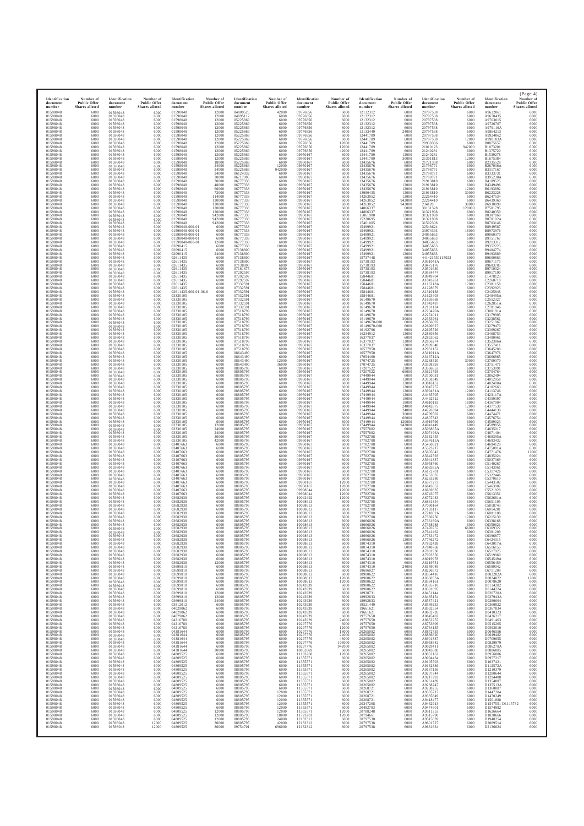| Identification<br>document<br>number<br>01598048<br>01598048<br>01598048<br>01598048<br>01598048<br>01598048<br>01598048<br>01598048<br>01598048<br>01598048<br>01598048<br>01598048<br>01598048<br>01598048<br>01598048<br>01598048<br>01598048<br>01598048<br>01598048<br>01598048<br>01598048<br>01598048<br>01598048<br>01598048<br>01598048<br>01598048<br>01598048<br>01598048<br>01598048<br>01598048<br>01598048<br>01598048<br>01598048<br>01598048<br>01598048<br>01598048<br>01598048<br>01598048<br>01598048<br>01598048<br>01598048<br>01598048<br>01598048<br>01598048<br>01598048<br>01598048<br>01598048<br>01598048<br>01598048<br>01598048<br>01598048<br>01598048<br>01598048<br>01598048<br>01598048<br>01598048<br>01598048<br>01598048<br>01598048<br>01598048<br>01598048<br>01598048<br>01598048<br>01598048<br>01598048<br>01598048<br>01598048<br>01598048<br>01598048<br>01598048<br>01598048<br>01598048 | Number of<br><b>Public Offer</b><br><b>Shares</b> alloted<br>6000<br>6000<br>6000<br>6000<br>6000<br>6000<br>6000<br>6000<br>6000<br>6000<br>6000<br>6000<br>6000<br>6000<br>6000<br>6000<br>6000<br>6000<br>6000<br>6000<br>6000<br>6000<br>6000<br>6000<br>6000<br>6000<br>6000<br>6000<br>6000<br>6000<br>6000<br>6000<br>6000<br>6000<br>6000<br>6000<br>6000<br>6000<br>6000<br>6000<br>6000<br>6000<br>6000<br>6000<br>6000<br>6000<br>6000<br>6000<br>6000<br>6000<br>6000<br>6000<br>6000<br>6000<br>6000<br>6000<br>6000<br>6000<br>6000<br>6000<br>6000<br>6000<br>6000<br>6000<br>6000<br>6000<br>6000<br>6000<br>6000<br>6000<br>6000<br>6000 | Identification<br>document<br>number<br>01598048<br>01598048<br>01598048<br>01598048<br>01598048<br>01598048<br>01598048<br>01598048<br>01598048<br>01598048<br>01598048<br>01598048<br>01598048<br>01598048<br>01598048<br>01598048<br>01598048<br>01598048<br>01598048<br>01598048<br>01598048<br>01598048<br>01598048<br>01598048<br>01598048<br>01598048<br>01598048<br>01598048<br>01598048<br>01598048<br>01598048<br>01598048<br>01598048<br>01598048<br>01598048<br>01598048<br>01598048<br>01598048<br>01598048<br>01598048<br>01598048<br>01598048<br>01598048<br>01598048<br>01598048<br>01598048<br>01598048<br>01598048<br>01598048<br>01598048<br>01598048<br>01598048<br>01598048<br>01598048<br>01598048<br>01598048<br>01598048<br>01598048<br>01598048<br>01598048<br>01598048<br>01598048<br>01598048<br>01598048<br>01598048<br>01598048<br>01598048<br>01598048<br>01598048<br>01598048<br>01598048<br>01598048 | Number of<br><b>Public Offer</b><br>Shares alloted<br>6000<br>6000<br>6000<br>6000<br>6000<br>6000<br>6000<br>6000<br>6000<br>6000<br>6000<br>6000<br>6000<br>6000<br>6000<br>6000<br>6000<br>6000<br>6000<br>6000<br>6000<br>6000<br>6000<br>6000<br>6000<br>6000<br>6000<br>6000<br>6000<br>6000<br>6000<br>6000<br>6000<br>6000<br>6000<br>6000<br>6000<br>6000<br>6000<br>6000<br>6000<br>6000<br>6000<br>6000<br>6000<br>6000<br>6000<br>6000<br>6000<br>6000<br>6000<br>6000<br>6000<br>6000<br>6000<br>6000<br>6000<br>6000<br>6000<br>6000<br>6000<br>6000<br>6000<br>6000<br>6000<br>6000<br>6000<br>6000<br>6000<br>6000<br>6000<br>6000 | Identification<br>document<br>number<br>01598048<br>01598048<br>01598048<br>01598048<br>01598048<br>01598048<br>01598048<br>01598048<br>01598048<br>01598048<br>01598048<br>01598048<br>01598048<br>01598048<br>01598048<br>01598048<br>01598048<br>01598048<br>01598048<br>01598048<br>01598048<br>01598048<br>01598048<br>01598048<br>01598048<br>01598048<br>01598048<br>01598048<br>01598048<br>01598048<br>01598048-000-01<br>01598048-000-01<br>01598048-000-01<br>01598048-000-01<br>01598048-000-01<br>02090415<br>02090415<br>02090415<br>02611435<br>02611435<br>02611435<br>02611435<br>02611435<br>02611435<br>02611435<br>02611435<br>02611435<br>02611435-000-01-06-6<br>03330105<br>03330105<br>03330105<br>03330105<br>03330105<br>03330105<br>03330105<br>03330105<br>03330105<br>03330105<br>03330105<br>03330105<br>03330105<br>03330105<br>03330105<br>03330105<br>03330105<br>03330105<br>03330105<br>03330105<br>03330105<br>03330105<br>03330105<br>03330105 | Number of<br><b>Public Offer</b><br><b>Shares alloted</b><br>12000<br>12000<br>12000<br>12000<br>12000<br>12000<br>12000<br>12000<br>12000<br>12000<br>12000<br>12000<br>12000<br>18000<br>24000<br>24000<br>24000<br>30000<br>30000<br>48000<br>66000<br>72000<br>114000<br>120000<br>120000<br>120000<br>120000<br>942000<br>942000<br>942000<br>6000<br>6000<br>6000<br>6000<br>12000<br>6000<br>6000<br>24000<br>6000<br>6000<br>6000<br>6000<br>6000<br>6000<br>6000<br>6000<br>6000<br>6000<br>6000<br>6000<br>6000<br>6000<br>6000<br>6000<br>6000<br>6000<br>6000<br>6000<br>6000<br>6000<br>6000<br>6000<br>6000<br>6000<br>6000<br>6000<br>6000<br>6000<br>6000<br>6000<br>6000<br>6000 | Identification<br>document<br>number<br>04809525<br>04895112<br>05225869<br>05225869<br>05225869<br>05225869<br>05225869<br>05225869<br>05225869<br>05225869<br>05225869<br>05225869<br>05225869<br>05225869<br>05225869<br>05225869<br>06124032<br>06717005<br>06777338<br>06777338<br>06777338<br>06777338<br>06777338<br>06777338<br>06777338<br>06777338<br>06777338<br>06777338<br>06777338<br>06777338<br>06777338<br>06777338<br>06777338<br>06777338<br>06777338<br>06777338<br>07138800<br>07138800<br>07138800<br>07138800<br>07138800<br>07161875<br>07292597<br>07292597<br>07292597<br>07332591<br>07332591<br>07332591<br>07332591<br>07332591<br>07332591<br>07332591<br>07518799<br>07518799<br>07518799<br>07518799<br>07518799<br>07518799<br>07518799<br>07518799<br>07518799<br>07518799<br>07518799<br>08643490<br>08643490<br>08643490<br>08643490<br>08805795<br>08805795<br>08805795<br>08805795<br>08805795 | Number of<br><b>Public Offer</b><br>Shares alloted<br>42000<br>6000<br>6000<br>6000<br>6000<br>6000<br>6000<br>6000<br>6000<br>6000<br>6000<br>6000<br>6000<br>6000<br>12000<br>942000<br>6000<br>6000<br>6000<br>6000<br>6000<br>6000<br>6000<br>6000<br>6000<br>6000<br>6000<br>6000<br>6000<br>6000<br>6000<br>6000<br>6000<br>6000<br>6000<br>18000<br>6000<br>6000<br>6000<br>6000<br>6000<br>6000<br>6000<br>6000<br>6000<br>6000<br>6000<br>6000<br>6000<br>6000<br>6000<br>6000<br>6000<br>6000<br>6000<br>6000<br>6000<br>6000<br>6000<br>6000<br>6000<br>6000<br>6000<br>6000<br>6000<br>12000<br>36000<br>6000<br>6000<br>6000<br>6000<br>6000 | Identification<br>document<br>number<br>09776856<br>09776856<br>09776856<br>09776856<br>09776856<br>09776856<br>09776856<br>09776856<br>09776856<br>09776856<br>09776856<br>09950167<br>09950167<br>09950167<br>09950167<br>09950167<br>09950167<br>09950167<br>09950167<br>09950167<br>09950167<br>09950167<br>09950167<br>09950167<br>09950167<br>09950167<br>09950167<br>09950167<br>09950167<br>09950167<br>09950167<br>09950167<br>09950167<br>09950167<br>09950167<br>09950167<br>09950167<br>09950167<br>09950167<br>09950167<br>09950167<br>09950167<br>09950167<br>09950167<br>09950167<br>09950167<br>09950167<br>09950167<br>09950167<br>09950167<br>09950167<br>09950167<br>09950167<br>09950167<br>09950167<br>09950167<br>09950167<br>09950167<br>09950167<br>09950167<br>09950167<br>09950167<br>09950167<br>09950167<br>09950167<br>09950167<br>09950167<br>09950167<br>09950167<br>09950167<br>09950167<br>09950167 | Number of<br><b>Public Offer</b><br><b>Shares</b> alloted<br>6000<br>6000<br>6000<br>6000<br>6000<br>6000<br>6000<br>6000<br>12000<br>12000<br>42000<br>6000<br>6000<br>6000<br>6000<br>6000<br>6000<br>6000<br>6000<br>6000<br>6000<br>6000<br>6000<br>6000<br>6000<br>6000<br>6000<br>6000<br>6000<br>6000<br>6000<br>6000<br>6000<br>6000<br>6000<br>6000<br>6000<br>6000<br>6000<br>6000<br>6000<br>6000<br>6000<br>6000<br>6000<br>6000<br>6000<br>6000<br>6000<br>6000<br>6000<br>6000<br>6000<br>6000<br>6000<br>6000<br>6000<br>6000<br>6000<br>6000<br>6000<br>6000<br>6000<br>6000<br>6000<br>6000<br>6000<br>6000<br>6000<br>6000<br>6000<br>6000 | Identification<br>document<br>number<br>12132312<br>12132312<br>12132312<br>12132312<br>12132312<br>12133449<br>12441789<br>12441789<br>12441789<br>12441789<br>12441789<br>12441789<br>12441789<br>13435676<br>13435676<br>13435676<br>13435676<br>13435676<br>13435676<br>13435676<br>13435676<br>13980435<br>14263052<br>14263052<br>14263052<br>14866337<br>14866337<br>15061900<br>15228695<br>15461005<br>15499921<br>15499921<br>15499921<br>15499921<br>15499921<br>15499921<br>15499921<br>15499921<br>15737448<br>15738193<br>15738193<br>15738193<br>15738193<br>15844681<br>15844681<br>15844681<br>15844681<br>15844681<br>15844681<br>16149670<br>16149670<br>16149670<br>16149670<br>16149670<br>16149670<br>16149670-000<br>16149670-000<br>16192796<br>16234912<br>16377037<br>16377037<br>16377037<br>16577950<br>16577950<br>17054460<br>17074725<br>17074725<br>17207522<br>17207522<br>17449944<br>17449944<br>17449944 | Number of<br><b>Public Offer</b><br><b>Shares</b> alloted<br>6000<br>6000<br>6000<br>6000<br>6000<br>24000<br>6000<br>6000<br>6000<br>6000<br>6000<br>12000<br>30000<br>6000<br>6000<br>6000<br>6000<br>6000<br>6000<br>12000<br>12000<br>12000<br>12000<br>942000<br>942000<br>6000<br>6000<br>12000<br>6000<br>18000<br>6000<br>6000<br>6000<br>6000<br>6000<br>6000<br>6000<br>12000<br>6000<br>6000<br>6000<br>6000<br>6000<br>6000<br>6000<br>6000<br>6000<br>6000<br>6000<br>6000<br>6000<br>6000<br>6000<br>6000<br>30000<br>6000<br>6000<br>6000<br>12000<br>6000<br>12000<br>12000<br>6000<br>6000<br>6000<br>6000<br>6000<br>12000<br>66000<br>6000<br>12000<br>12000 | Identification<br>document<br>number<br>20797538<br>20797538<br>20797538<br>20797538<br>20797538<br>20797538<br>20797538<br>20797538<br>20938386<br>21010123<br>21240281<br>21240281<br>21301813<br>21721338<br>21798771<br>21798771<br>21798771<br>21798771<br>21913810<br>21913810<br>21913810<br>21913810<br>22264410<br>22264410<br>234120<br>30131328<br>31321998<br>31321998<br>31321998<br>31502308<br>32548624<br>33974393<br>34055663<br>34055663<br>34055663<br>34055663<br>34055663<br>34055663<br>441421530115022<br>A031041A<br>A0475176<br>A0501630<br>A0534474<br>A0949704<br>A1043261<br>A116218A<br>A1228679<br>A1310138<br>A1623403<br>A1695668<br>A1942487<br>A2191124<br>A220420A<br>A2274011<br>A2383961<br>A2656097<br>A2690627<br>A2695726<br>A2830356<br>A2853062<br>A2856274<br>A2899348<br>A2931152<br>A311011A<br>A316712A<br>A3288520<br>A3398393<br>A3596853<br>A3621793<br>A3700081<br>A3758349<br>A3816152 | Number of<br><b>Public Offer</b><br>Shares alloted<br>6000<br>6000<br>6000<br>6000<br>6000<br>6000<br>6000<br>12000<br>6000<br>942000<br>6000<br>6000<br>12000<br>6000<br>6000<br>6000<br>6000<br>6000<br>6000<br>6000<br>12000<br>30000<br>6000<br>6000<br>30000<br>120000<br>6000<br>6000<br>6000<br>6000<br>6000<br>18000<br>6000<br>6000<br>6000<br>6000<br>6000<br>6000<br>6000<br>6000<br>6000<br>6000<br>6000<br>6000<br>6000<br>12000<br>6000<br>6000<br>6000<br>6000<br>6000<br>6000<br>6000<br>6000<br>6000<br>6000<br>6000<br>6000<br>6000<br>6000<br>6000<br>6000<br>6000<br>6000<br>6000<br>30000<br>6000<br>6000<br>6000<br>6000<br>6000<br>6000 | Identification<br>document<br>number<br>A9632061<br>A9670435<br>A9703015<br>A9726767<br>A979116A<br>A9864213<br>A9924062<br>A998183A<br>B0875657<br>B1073201<br>B1375720<br>B1539278<br>B1675384<br>B2335528<br>B267036A<br>B3317167<br>B3333731<br>B395230A<br>B4109525<br>B4349496<br>B6193892<br>B6223228<br>B6247534<br>B6439360<br>B6930099<br>B7501795<br>B8240359<br>B8307860<br>B870102A<br>B8703146<br>B8949587<br>B8973976<br>B9060370<br>B9151767<br>B9213312<br>B9352223<br>B9484774<br>B9493889<br>B9600863<br>B9671175<br>B9683785<br>B9710324<br>B9917190<br>C1478123<br>C2268718<br>C2381158<br>C2392923<br>C2425848<br>C248495A<br>C2552327<br>C262851A<br>C2781946<br>C300191A<br>C3179905<br>C3238561<br>C3251967<br>C3279470<br>C3369267<br>C3468753<br>C3490961<br>C352386A<br>C3557411<br>C3645280<br>C3647976<br>C3666865<br>C3700370<br>C3751471<br>C3753091<br>C3754764<br>C3862494<br>C4012958<br>C402400A | (Page 4)<br>Number of<br><b>Public Offer</b><br>Shares alloted<br>6000<br>6000<br>6000<br>6000<br>6000<br>6000<br>6000<br>6000<br>6000<br>6000<br>6000<br>6000<br>6000<br>6000<br>6000<br>6000<br>6000<br>6000<br>6000<br>6000<br>6000<br>6000<br>6000<br>6000<br>6000<br>6000<br>6000<br>6000<br>6000<br>6000<br>6000<br>6000<br>6000<br>6000<br>6000<br>6000<br>6000<br>6000<br>6000<br>6000<br>6000<br>6000<br>6000<br>6000<br>6000<br>6000<br>6000<br>6000<br>6000<br>6000<br>6000<br>6000<br>6000<br>6000<br>6000<br>6000<br>6000<br>6000<br>6000<br>6000<br>6000<br>6000<br>6000<br>6000<br>6000<br>6000<br>6000<br>6000<br>6000<br>6000<br>6000<br>6000 |
|--------------------------------------------------------------------------------------------------------------------------------------------------------------------------------------------------------------------------------------------------------------------------------------------------------------------------------------------------------------------------------------------------------------------------------------------------------------------------------------------------------------------------------------------------------------------------------------------------------------------------------------------------------------------------------------------------------------------------------------------------------------------------------------------------------------------------------------------------------------------------------------------------------------------------------------|-----------------------------------------------------------------------------------------------------------------------------------------------------------------------------------------------------------------------------------------------------------------------------------------------------------------------------------------------------------------------------------------------------------------------------------------------------------------------------------------------------------------------------------------------------------------------------------------------------------------------------------------------------------|--------------------------------------------------------------------------------------------------------------------------------------------------------------------------------------------------------------------------------------------------------------------------------------------------------------------------------------------------------------------------------------------------------------------------------------------------------------------------------------------------------------------------------------------------------------------------------------------------------------------------------------------------------------------------------------------------------------------------------------------------------------------------------------------------------------------------------------------------------------------------------------------------------------------------------------|----------------------------------------------------------------------------------------------------------------------------------------------------------------------------------------------------------------------------------------------------------------------------------------------------------------------------------------------------------------------------------------------------------------------------------------------------------------------------------------------------------------------------------------------------------------------------------------------------------------------------------------------------|-------------------------------------------------------------------------------------------------------------------------------------------------------------------------------------------------------------------------------------------------------------------------------------------------------------------------------------------------------------------------------------------------------------------------------------------------------------------------------------------------------------------------------------------------------------------------------------------------------------------------------------------------------------------------------------------------------------------------------------------------------------------------------------------------------------------------------------------------------------------------------------------------------------------------------------------------------------------------------------|---------------------------------------------------------------------------------------------------------------------------------------------------------------------------------------------------------------------------------------------------------------------------------------------------------------------------------------------------------------------------------------------------------------------------------------------------------------------------------------------------------------------------------------------------------------------------------------------------------------------------------------------------------------------------------------------------|--------------------------------------------------------------------------------------------------------------------------------------------------------------------------------------------------------------------------------------------------------------------------------------------------------------------------------------------------------------------------------------------------------------------------------------------------------------------------------------------------------------------------------------------------------------------------------------------------------------------------------------------------------------------------------------------------------------------------------------------------------------------------------------------------------------------------------------------------------------------------------------------------------------------------------------|-----------------------------------------------------------------------------------------------------------------------------------------------------------------------------------------------------------------------------------------------------------------------------------------------------------------------------------------------------------------------------------------------------------------------------------------------------------------------------------------------------------------------------------------------------------------------------------------------------------------------------------------------------------|--------------------------------------------------------------------------------------------------------------------------------------------------------------------------------------------------------------------------------------------------------------------------------------------------------------------------------------------------------------------------------------------------------------------------------------------------------------------------------------------------------------------------------------------------------------------------------------------------------------------------------------------------------------------------------------------------------------------------------------------------------------------------------------------------------------------------------------------------------------------------------------------------------------------------------------|--------------------------------------------------------------------------------------------------------------------------------------------------------------------------------------------------------------------------------------------------------------------------------------------------------------------------------------------------------------------------------------------------------------------------------------------------------------------------------------------------------------------------------------------------------------------------------------------------------------------------------------------------------------|----------------------------------------------------------------------------------------------------------------------------------------------------------------------------------------------------------------------------------------------------------------------------------------------------------------------------------------------------------------------------------------------------------------------------------------------------------------------------------------------------------------------------------------------------------------------------------------------------------------------------------------------------------------------------------------------------------------------------------------------------------------------------------------------------------------------------------------------------------------------------------------------------------------------------------------------|---------------------------------------------------------------------------------------------------------------------------------------------------------------------------------------------------------------------------------------------------------------------------------------------------------------------------------------------------------------------------------------------------------------------------------------------------------------------------------------------------------------------------------------------------------------------------------------------------------------------------------------------------------------------------------|-------------------------------------------------------------------------------------------------------------------------------------------------------------------------------------------------------------------------------------------------------------------------------------------------------------------------------------------------------------------------------------------------------------------------------------------------------------------------------------------------------------------------------------------------------------------------------------------------------------------------------------------------------------------------------------------------------------------------------------------------------------------------------------------------------------------------------------------------------------------------------------------------------------------------------------------|----------------------------------------------------------------------------------------------------------------------------------------------------------------------------------------------------------------------------------------------------------------------------------------------------------------------------------------------------------------------------------------------------------------------------------------------------------------------------------------------------------------------------------------------------------------------------------------------------------------------------------------------------------------|--------------------------------------------------------------------------------------------------------------------------------------------------------------------------------------------------------------------------------------------------------------------------------------------------------------------------------------------------------------------------------------------------------------------------------------------------------------------------------------------------------------------------------------------------------------------------------------------------------------------------------------------------------------------------------------------------------------------------------------------------------------------------------------------------------------------------------------------------------------------------------------------------------------------------------------|----------------------------------------------------------------------------------------------------------------------------------------------------------------------------------------------------------------------------------------------------------------------------------------------------------------------------------------------------------------------------------------------------------------------------------------------------------------------------------------------------------------------------------------------------------------------------------------------------------------------------------------------------------------|
| 01598048                                                                                                                                                                                                                                                                                                                                                                                                                                                                                                                                                                                                                                                                                                                                                                                                                                                                                                                             | 6000                                                                                                                                                                                                                                                                                                                                                                                                                                                                                                                                                                                                                                                      | 01598048                                                                                                                                                                                                                                                                                                                                                                                                                                                                                                                                                                                                                                                                                                                                                                                                                                                                                                                             | 6000                                                                                                                                                                                                                                                                                                                                                                                                                                                                                                                                                                                                                                               | 03330105                                                                                                                                                                                                                                                                                                                                                                                                                                                                                                                                                                                                                                                                                                                                                                                                                                                                                                                                                                            | 6000                                                                                                                                                                                                                                                                                                                                                                                                                                                                                                                                                                                                                                                                                              | 08805795                                                                                                                                                                                                                                                                                                                                                                                                                                                                                                                                                                                                                                                                                                                                                                                                                                                                                                                             | 6000                                                                                                                                                                                                                                                                                                                                                                                                                                                                                                                                                                                                                                                      | 09950167                                                                                                                                                                                                                                                                                                                                                                                                                                                                                                                                                                                                                                                                                                                                                                                                                                                                                                                             | 6000                                                                                                                                                                                                                                                                                                                                                                                                                                                                                                                                                                                                                                                         | 17449944                                                                                                                                                                                                                                                                                                                                                                                                                                                                                                                                                                                                                                                                                                                                                                                                                                                                                                                                     | 12000                                                                                                                                                                                                                                                                                                                                                                                                                                                                                                                                                                                                                                                                           | A3947257                                                                                                                                                                                                                                                                                                                                                                                                                                                                                                                                                                                                                                                                                                                                                                                                                                                                                                                                  | 6000                                                                                                                                                                                                                                                                                                                                                                                                                                                                                                                                                                                                                                                           | C4102663                                                                                                                                                                                                                                                                                                                                                                                                                                                                                                                                                                                                                                                                                                                                                                                                                                                                                                                             | 6000                                                                                                                                                                                                                                                                                                                                                                                                                                                                                                                                                                                                                                                           |
| 01598048                                                                                                                                                                                                                                                                                                                                                                                                                                                                                                                                                                                                                                                                                                                                                                                                                                                                                                                             | 6000                                                                                                                                                                                                                                                                                                                                                                                                                                                                                                                                                                                                                                                      | 01598048                                                                                                                                                                                                                                                                                                                                                                                                                                                                                                                                                                                                                                                                                                                                                                                                                                                                                                                             | 6000                                                                                                                                                                                                                                                                                                                                                                                                                                                                                                                                                                                                                                               | 03330105                                                                                                                                                                                                                                                                                                                                                                                                                                                                                                                                                                                                                                                                                                                                                                                                                                                                                                                                                                            | 6000                                                                                                                                                                                                                                                                                                                                                                                                                                                                                                                                                                                                                                                                                              | 08805795                                                                                                                                                                                                                                                                                                                                                                                                                                                                                                                                                                                                                                                                                                                                                                                                                                                                                                                             | 6000                                                                                                                                                                                                                                                                                                                                                                                                                                                                                                                                                                                                                                                      | 09950167                                                                                                                                                                                                                                                                                                                                                                                                                                                                                                                                                                                                                                                                                                                                                                                                                                                                                                                             | 6000                                                                                                                                                                                                                                                                                                                                                                                                                                                                                                                                                                                                                                                         | 17449944                                                                                                                                                                                                                                                                                                                                                                                                                                                                                                                                                                                                                                                                                                                                                                                                                                                                                                                                     | 12000                                                                                                                                                                                                                                                                                                                                                                                                                                                                                                                                                                                                                                                                           | A399431A                                                                                                                                                                                                                                                                                                                                                                                                                                                                                                                                                                                                                                                                                                                                                                                                                                                                                                                                  | 12000                                                                                                                                                                                                                                                                                                                                                                                                                                                                                                                                                                                                                                                          | C4113746                                                                                                                                                                                                                                                                                                                                                                                                                                                                                                                                                                                                                                                                                                                                                                                                                                                                                                                             | 6000                                                                                                                                                                                                                                                                                                                                                                                                                                                                                                                                                                                                                                                           |
| 01598048                                                                                                                                                                                                                                                                                                                                                                                                                                                                                                                                                                                                                                                                                                                                                                                                                                                                                                                             | 6000                                                                                                                                                                                                                                                                                                                                                                                                                                                                                                                                                                                                                                                      | 01598048                                                                                                                                                                                                                                                                                                                                                                                                                                                                                                                                                                                                                                                                                                                                                                                                                                                                                                                             | 6000                                                                                                                                                                                                                                                                                                                                                                                                                                                                                                                                                                                                                                               | 03330105                                                                                                                                                                                                                                                                                                                                                                                                                                                                                                                                                                                                                                                                                                                                                                                                                                                                                                                                                                            | 6000                                                                                                                                                                                                                                                                                                                                                                                                                                                                                                                                                                                                                                                                                              | 08805795                                                                                                                                                                                                                                                                                                                                                                                                                                                                                                                                                                                                                                                                                                                                                                                                                                                                                                                             | 6000                                                                                                                                                                                                                                                                                                                                                                                                                                                                                                                                                                                                                                                      | 09950167                                                                                                                                                                                                                                                                                                                                                                                                                                                                                                                                                                                                                                                                                                                                                                                                                                                                                                                             | 6000                                                                                                                                                                                                                                                                                                                                                                                                                                                                                                                                                                                                                                                         | 17449944                                                                                                                                                                                                                                                                                                                                                                                                                                                                                                                                                                                                                                                                                                                                                                                                                                                                                                                                     | 12000                                                                                                                                                                                                                                                                                                                                                                                                                                                                                                                                                                                                                                                                           | A4435705                                                                                                                                                                                                                                                                                                                                                                                                                                                                                                                                                                                                                                                                                                                                                                                                                                                                                                                                  | 6000                                                                                                                                                                                                                                                                                                                                                                                                                                                                                                                                                                                                                                                           | C423117A                                                                                                                                                                                                                                                                                                                                                                                                                                                                                                                                                                                                                                                                                                                                                                                                                                                                                                                             | 6000                                                                                                                                                                                                                                                                                                                                                                                                                                                                                                                                                                                                                                                           |
| 01598048                                                                                                                                                                                                                                                                                                                                                                                                                                                                                                                                                                                                                                                                                                                                                                                                                                                                                                                             | 6000                                                                                                                                                                                                                                                                                                                                                                                                                                                                                                                                                                                                                                                      | 01598048                                                                                                                                                                                                                                                                                                                                                                                                                                                                                                                                                                                                                                                                                                                                                                                                                                                                                                                             | 6000                                                                                                                                                                                                                                                                                                                                                                                                                                                                                                                                                                                                                                               | 03330105                                                                                                                                                                                                                                                                                                                                                                                                                                                                                                                                                                                                                                                                                                                                                                                                                                                                                                                                                                            | 6000                                                                                                                                                                                                                                                                                                                                                                                                                                                                                                                                                                                                                                                                                              | 08805795                                                                                                                                                                                                                                                                                                                                                                                                                                                                                                                                                                                                                                                                                                                                                                                                                                                                                                                             | 6000                                                                                                                                                                                                                                                                                                                                                                                                                                                                                                                                                                                                                                                      | 09950167                                                                                                                                                                                                                                                                                                                                                                                                                                                                                                                                                                                                                                                                                                                                                                                                                                                                                                                             | 6000                                                                                                                                                                                                                                                                                                                                                                                                                                                                                                                                                                                                                                                         | 17449944                                                                                                                                                                                                                                                                                                                                                                                                                                                                                                                                                                                                                                                                                                                                                                                                                                                                                                                                     | 18000                                                                                                                                                                                                                                                                                                                                                                                                                                                                                                                                                                                                                                                                           | A4492512                                                                                                                                                                                                                                                                                                                                                                                                                                                                                                                                                                                                                                                                                                                                                                                                                                                                                                                                  | 6000                                                                                                                                                                                                                                                                                                                                                                                                                                                                                                                                                                                                                                                           | C4359397                                                                                                                                                                                                                                                                                                                                                                                                                                                                                                                                                                                                                                                                                                                                                                                                                                                                                                                             | 6000                                                                                                                                                                                                                                                                                                                                                                                                                                                                                                                                                                                                                                                           |
| 01598048                                                                                                                                                                                                                                                                                                                                                                                                                                                                                                                                                                                                                                                                                                                                                                                                                                                                                                                             | 6000                                                                                                                                                                                                                                                                                                                                                                                                                                                                                                                                                                                                                                                      | 01598048                                                                                                                                                                                                                                                                                                                                                                                                                                                                                                                                                                                                                                                                                                                                                                                                                                                                                                                             | 6000                                                                                                                                                                                                                                                                                                                                                                                                                                                                                                                                                                                                                                               | 03330105                                                                                                                                                                                                                                                                                                                                                                                                                                                                                                                                                                                                                                                                                                                                                                                                                                                                                                                                                                            | 6000                                                                                                                                                                                                                                                                                                                                                                                                                                                                                                                                                                                                                                                                                              | 08805795                                                                                                                                                                                                                                                                                                                                                                                                                                                                                                                                                                                                                                                                                                                                                                                                                                                                                                                             | 6000                                                                                                                                                                                                                                                                                                                                                                                                                                                                                                                                                                                                                                                      | 09950167                                                                                                                                                                                                                                                                                                                                                                                                                                                                                                                                                                                                                                                                                                                                                                                                                                                                                                                             | 6000                                                                                                                                                                                                                                                                                                                                                                                                                                                                                                                                                                                                                                                         | 17449944                                                                                                                                                                                                                                                                                                                                                                                                                                                                                                                                                                                                                                                                                                                                                                                                                                                                                                                                     | 18000                                                                                                                                                                                                                                                                                                                                                                                                                                                                                                                                                                                                                                                                           | A4610183                                                                                                                                                                                                                                                                                                                                                                                                                                                                                                                                                                                                                                                                                                                                                                                                                                                                                                                                  | 18000                                                                                                                                                                                                                                                                                                                                                                                                                                                                                                                                                                                                                                                          | C4367004                                                                                                                                                                                                                                                                                                                                                                                                                                                                                                                                                                                                                                                                                                                                                                                                                                                                                                                             | 6000                                                                                                                                                                                                                                                                                                                                                                                                                                                                                                                                                                                                                                                           |
| 01598048                                                                                                                                                                                                                                                                                                                                                                                                                                                                                                                                                                                                                                                                                                                                                                                                                                                                                                                             | 6000                                                                                                                                                                                                                                                                                                                                                                                                                                                                                                                                                                                                                                                      | 01598048                                                                                                                                                                                                                                                                                                                                                                                                                                                                                                                                                                                                                                                                                                                                                                                                                                                                                                                             | 6000                                                                                                                                                                                                                                                                                                                                                                                                                                                                                                                                                                                                                                               | 03330105                                                                                                                                                                                                                                                                                                                                                                                                                                                                                                                                                                                                                                                                                                                                                                                                                                                                                                                                                                            | 6000                                                                                                                                                                                                                                                                                                                                                                                                                                                                                                                                                                                                                                                                                              | 08805795                                                                                                                                                                                                                                                                                                                                                                                                                                                                                                                                                                                                                                                                                                                                                                                                                                                                                                                             | 6000                                                                                                                                                                                                                                                                                                                                                                                                                                                                                                                                                                                                                                                      | 09950167                                                                                                                                                                                                                                                                                                                                                                                                                                                                                                                                                                                                                                                                                                                                                                                                                                                                                                                             | 6000                                                                                                                                                                                                                                                                                                                                                                                                                                                                                                                                                                                                                                                         | 17449944                                                                                                                                                                                                                                                                                                                                                                                                                                                                                                                                                                                                                                                                                                                                                                                                                                                                                                                                     | 24000                                                                                                                                                                                                                                                                                                                                                                                                                                                                                                                                                                                                                                                                           | A4642875                                                                                                                                                                                                                                                                                                                                                                                                                                                                                                                                                                                                                                                                                                                                                                                                                                                                                                                                  | 12000                                                                                                                                                                                                                                                                                                                                                                                                                                                                                                                                                                                                                                                          | C4377530                                                                                                                                                                                                                                                                                                                                                                                                                                                                                                                                                                                                                                                                                                                                                                                                                                                                                                                             | 6000                                                                                                                                                                                                                                                                                                                                                                                                                                                                                                                                                                                                                                                           |
| 01598048                                                                                                                                                                                                                                                                                                                                                                                                                                                                                                                                                                                                                                                                                                                                                                                                                                                                                                                             | 6000                                                                                                                                                                                                                                                                                                                                                                                                                                                                                                                                                                                                                                                      | 01598048                                                                                                                                                                                                                                                                                                                                                                                                                                                                                                                                                                                                                                                                                                                                                                                                                                                                                                                             | 6000                                                                                                                                                                                                                                                                                                                                                                                                                                                                                                                                                                                                                                               | 03330105                                                                                                                                                                                                                                                                                                                                                                                                                                                                                                                                                                                                                                                                                                                                                                                                                                                                                                                                                                            | 6000                                                                                                                                                                                                                                                                                                                                                                                                                                                                                                                                                                                                                                                                                              | 08805795                                                                                                                                                                                                                                                                                                                                                                                                                                                                                                                                                                                                                                                                                                                                                                                                                                                                                                                             | 6000                                                                                                                                                                                                                                                                                                                                                                                                                                                                                                                                                                                                                                                      | 09950167                                                                                                                                                                                                                                                                                                                                                                                                                                                                                                                                                                                                                                                                                                                                                                                                                                                                                                                             | 6000                                                                                                                                                                                                                                                                                                                                                                                                                                                                                                                                                                                                                                                         | 17449944                                                                                                                                                                                                                                                                                                                                                                                                                                                                                                                                                                                                                                                                                                                                                                                                                                                                                                                                     | 24000                                                                                                                                                                                                                                                                                                                                                                                                                                                                                                                                                                                                                                                                           | A4726394                                                                                                                                                                                                                                                                                                                                                                                                                                                                                                                                                                                                                                                                                                                                                                                                                                                                                                                                  | 6000                                                                                                                                                                                                                                                                                                                                                                                                                                                                                                                                                                                                                                                           | C4444130                                                                                                                                                                                                                                                                                                                                                                                                                                                                                                                                                                                                                                                                                                                                                                                                                                                                                                                             | 6000                                                                                                                                                                                                                                                                                                                                                                                                                                                                                                                                                                                                                                                           |
| 01598048                                                                                                                                                                                                                                                                                                                                                                                                                                                                                                                                                                                                                                                                                                                                                                                                                                                                                                                             | 6000                                                                                                                                                                                                                                                                                                                                                                                                                                                                                                                                                                                                                                                      | 01598048                                                                                                                                                                                                                                                                                                                                                                                                                                                                                                                                                                                                                                                                                                                                                                                                                                                                                                                             | 6000                                                                                                                                                                                                                                                                                                                                                                                                                                                                                                                                                                                                                                               | 03330105                                                                                                                                                                                                                                                                                                                                                                                                                                                                                                                                                                                                                                                                                                                                                                                                                                                                                                                                                                            | 6000                                                                                                                                                                                                                                                                                                                                                                                                                                                                                                                                                                                                                                                                                              | 08805795                                                                                                                                                                                                                                                                                                                                                                                                                                                                                                                                                                                                                                                                                                                                                                                                                                                                                                                             | 6000                                                                                                                                                                                                                                                                                                                                                                                                                                                                                                                                                                                                                                                      | 09950167                                                                                                                                                                                                                                                                                                                                                                                                                                                                                                                                                                                                                                                                                                                                                                                                                                                                                                                             | 6000                                                                                                                                                                                                                                                                                                                                                                                                                                                                                                                                                                                                                                                         | 17449944                                                                                                                                                                                                                                                                                                                                                                                                                                                                                                                                                                                                                                                                                                                                                                                                                                                                                                                                     | 30000                                                                                                                                                                                                                                                                                                                                                                                                                                                                                                                                                                                                                                                                           | A4799502                                                                                                                                                                                                                                                                                                                                                                                                                                                                                                                                                                                                                                                                                                                                                                                                                                                                                                                                  | 6000                                                                                                                                                                                                                                                                                                                                                                                                                                                                                                                                                                                                                                                           | C4474471                                                                                                                                                                                                                                                                                                                                                                                                                                                                                                                                                                                                                                                                                                                                                                                                                                                                                                                             | 6000                                                                                                                                                                                                                                                                                                                                                                                                                                                                                                                                                                                                                                                           |
| 01598048                                                                                                                                                                                                                                                                                                                                                                                                                                                                                                                                                                                                                                                                                                                                                                                                                                                                                                                             | 6000                                                                                                                                                                                                                                                                                                                                                                                                                                                                                                                                                                                                                                                      | 01598048                                                                                                                                                                                                                                                                                                                                                                                                                                                                                                                                                                                                                                                                                                                                                                                                                                                                                                                             | 6000                                                                                                                                                                                                                                                                                                                                                                                                                                                                                                                                                                                                                                               | 03330105                                                                                                                                                                                                                                                                                                                                                                                                                                                                                                                                                                                                                                                                                                                                                                                                                                                                                                                                                                            | 6000                                                                                                                                                                                                                                                                                                                                                                                                                                                                                                                                                                                                                                                                                              | 08805795                                                                                                                                                                                                                                                                                                                                                                                                                                                                                                                                                                                                                                                                                                                                                                                                                                                                                                                             | 6000                                                                                                                                                                                                                                                                                                                                                                                                                                                                                                                                                                                                                                                      | 09950167                                                                                                                                                                                                                                                                                                                                                                                                                                                                                                                                                                                                                                                                                                                                                                                                                                                                                                                             | 6000                                                                                                                                                                                                                                                                                                                                                                                                                                                                                                                                                                                                                                                         | 17449944                                                                                                                                                                                                                                                                                                                                                                                                                                                                                                                                                                                                                                                                                                                                                                                                                                                                                                                                     | 66000                                                                                                                                                                                                                                                                                                                                                                                                                                                                                                                                                                                                                                                                           | A4807343                                                                                                                                                                                                                                                                                                                                                                                                                                                                                                                                                                                                                                                                                                                                                                                                                                                                                                                                  | 6000                                                                                                                                                                                                                                                                                                                                                                                                                                                                                                                                                                                                                                                           | C4576754                                                                                                                                                                                                                                                                                                                                                                                                                                                                                                                                                                                                                                                                                                                                                                                                                                                                                                                             | 6000                                                                                                                                                                                                                                                                                                                                                                                                                                                                                                                                                                                                                                                           |
| 01598048                                                                                                                                                                                                                                                                                                                                                                                                                                                                                                                                                                                                                                                                                                                                                                                                                                                                                                                             | 6000                                                                                                                                                                                                                                                                                                                                                                                                                                                                                                                                                                                                                                                      | 01598048                                                                                                                                                                                                                                                                                                                                                                                                                                                                                                                                                                                                                                                                                                                                                                                                                                                                                                                             | 6000                                                                                                                                                                                                                                                                                                                                                                                                                                                                                                                                                                                                                                               | 03330105                                                                                                                                                                                                                                                                                                                                                                                                                                                                                                                                                                                                                                                                                                                                                                                                                                                                                                                                                                            | 6000                                                                                                                                                                                                                                                                                                                                                                                                                                                                                                                                                                                                                                                                                              | 08805795                                                                                                                                                                                                                                                                                                                                                                                                                                                                                                                                                                                                                                                                                                                                                                                                                                                                                                                             | 6000                                                                                                                                                                                                                                                                                                                                                                                                                                                                                                                                                                                                                                                      | 09950167                                                                                                                                                                                                                                                                                                                                                                                                                                                                                                                                                                                                                                                                                                                                                                                                                                                                                                                             | 6000                                                                                                                                                                                                                                                                                                                                                                                                                                                                                                                                                                                                                                                         | 17449944                                                                                                                                                                                                                                                                                                                                                                                                                                                                                                                                                                                                                                                                                                                                                                                                                                                                                                                                     | 120000                                                                                                                                                                                                                                                                                                                                                                                                                                                                                                                                                                                                                                                                          | A4919796                                                                                                                                                                                                                                                                                                                                                                                                                                                                                                                                                                                                                                                                                                                                                                                                                                                                                                                                  | 6000                                                                                                                                                                                                                                                                                                                                                                                                                                                                                                                                                                                                                                                           | C4589023                                                                                                                                                                                                                                                                                                                                                                                                                                                                                                                                                                                                                                                                                                                                                                                                                                                                                                                             | 6000                                                                                                                                                                                                                                                                                                                                                                                                                                                                                                                                                                                                                                                           |
| 01598048                                                                                                                                                                                                                                                                                                                                                                                                                                                                                                                                                                                                                                                                                                                                                                                                                                                                                                                             | 6000                                                                                                                                                                                                                                                                                                                                                                                                                                                                                                                                                                                                                                                      | 01598048                                                                                                                                                                                                                                                                                                                                                                                                                                                                                                                                                                                                                                                                                                                                                                                                                                                                                                                             | 6000                                                                                                                                                                                                                                                                                                                                                                                                                                                                                                                                                                                                                                               | 03330105                                                                                                                                                                                                                                                                                                                                                                                                                                                                                                                                                                                                                                                                                                                                                                                                                                                                                                                                                                            | 12000                                                                                                                                                                                                                                                                                                                                                                                                                                                                                                                                                                                                                                                                                             | 08805795                                                                                                                                                                                                                                                                                                                                                                                                                                                                                                                                                                                                                                                                                                                                                                                                                                                                                                                             | 6000                                                                                                                                                                                                                                                                                                                                                                                                                                                                                                                                                                                                                                                      | 09950167                                                                                                                                                                                                                                                                                                                                                                                                                                                                                                                                                                                                                                                                                                                                                                                                                                                                                                                             | 6000                                                                                                                                                                                                                                                                                                                                                                                                                                                                                                                                                                                                                                                         | 17449944                                                                                                                                                                                                                                                                                                                                                                                                                                                                                                                                                                                                                                                                                                                                                                                                                                                                                                                                     | 942000                                                                                                                                                                                                                                                                                                                                                                                                                                                                                                                                                                                                                                                                          | A4941449                                                                                                                                                                                                                                                                                                                                                                                                                                                                                                                                                                                                                                                                                                                                                                                                                                                                                                                                  | 6000                                                                                                                                                                                                                                                                                                                                                                                                                                                                                                                                                                                                                                                           | C4589856                                                                                                                                                                                                                                                                                                                                                                                                                                                                                                                                                                                                                                                                                                                                                                                                                                                                                                                             | 6000                                                                                                                                                                                                                                                                                                                                                                                                                                                                                                                                                                                                                                                           |
| 01598048                                                                                                                                                                                                                                                                                                                                                                                                                                                                                                                                                                                                                                                                                                                                                                                                                                                                                                                             | 6000                                                                                                                                                                                                                                                                                                                                                                                                                                                                                                                                                                                                                                                      | 01598048                                                                                                                                                                                                                                                                                                                                                                                                                                                                                                                                                                                                                                                                                                                                                                                                                                                                                                                             | 6000                                                                                                                                                                                                                                                                                                                                                                                                                                                                                                                                                                                                                                               | 03330105                                                                                                                                                                                                                                                                                                                                                                                                                                                                                                                                                                                                                                                                                                                                                                                                                                                                                                                                                                            | 24000                                                                                                                                                                                                                                                                                                                                                                                                                                                                                                                                                                                                                                                                                             | 08805795                                                                                                                                                                                                                                                                                                                                                                                                                                                                                                                                                                                                                                                                                                                                                                                                                                                                                                                             | 6000                                                                                                                                                                                                                                                                                                                                                                                                                                                                                                                                                                                                                                                      | 09950167                                                                                                                                                                                                                                                                                                                                                                                                                                                                                                                                                                                                                                                                                                                                                                                                                                                                                                                             | 6000                                                                                                                                                                                                                                                                                                                                                                                                                                                                                                                                                                                                                                                         | 17557882                                                                                                                                                                                                                                                                                                                                                                                                                                                                                                                                                                                                                                                                                                                                                                                                                                                                                                                                     | 6000                                                                                                                                                                                                                                                                                                                                                                                                                                                                                                                                                                                                                                                                            | A506865A                                                                                                                                                                                                                                                                                                                                                                                                                                                                                                                                                                                                                                                                                                                                                                                                                                                                                                                                  | 6000                                                                                                                                                                                                                                                                                                                                                                                                                                                                                                                                                                                                                                                           | C4635017                                                                                                                                                                                                                                                                                                                                                                                                                                                                                                                                                                                                                                                                                                                                                                                                                                                                                                                             | 6000                                                                                                                                                                                                                                                                                                                                                                                                                                                                                                                                                                                                                                                           |
| 01598048                                                                                                                                                                                                                                                                                                                                                                                                                                                                                                                                                                                                                                                                                                                                                                                                                                                                                                                             | 6000                                                                                                                                                                                                                                                                                                                                                                                                                                                                                                                                                                                                                                                      | 01598048                                                                                                                                                                                                                                                                                                                                                                                                                                                                                                                                                                                                                                                                                                                                                                                                                                                                                                                             | 6000                                                                                                                                                                                                                                                                                                                                                                                                                                                                                                                                                                                                                                               | 03330105                                                                                                                                                                                                                                                                                                                                                                                                                                                                                                                                                                                                                                                                                                                                                                                                                                                                                                                                                                            | 24000                                                                                                                                                                                                                                                                                                                                                                                                                                                                                                                                                                                                                                                                                             | 08805795                                                                                                                                                                                                                                                                                                                                                                                                                                                                                                                                                                                                                                                                                                                                                                                                                                                                                                                             | 6000                                                                                                                                                                                                                                                                                                                                                                                                                                                                                                                                                                                                                                                      | 09950167                                                                                                                                                                                                                                                                                                                                                                                                                                                                                                                                                                                                                                                                                                                                                                                                                                                                                                                             | 6000                                                                                                                                                                                                                                                                                                                                                                                                                                                                                                                                                                                                                                                         | 17557882                                                                                                                                                                                                                                                                                                                                                                                                                                                                                                                                                                                                                                                                                                                                                                                                                                                                                                                                     | 6000                                                                                                                                                                                                                                                                                                                                                                                                                                                                                                                                                                                                                                                                            | A507496A                                                                                                                                                                                                                                                                                                                                                                                                                                                                                                                                                                                                                                                                                                                                                                                                                                                                                                                                  | 6000                                                                                                                                                                                                                                                                                                                                                                                                                                                                                                                                                                                                                                                           | C4671404                                                                                                                                                                                                                                                                                                                                                                                                                                                                                                                                                                                                                                                                                                                                                                                                                                                                                                                             | 6000                                                                                                                                                                                                                                                                                                                                                                                                                                                                                                                                                                                                                                                           |
| 01598048                                                                                                                                                                                                                                                                                                                                                                                                                                                                                                                                                                                                                                                                                                                                                                                                                                                                                                                             | 6000                                                                                                                                                                                                                                                                                                                                                                                                                                                                                                                                                                                                                                                      | 01598048                                                                                                                                                                                                                                                                                                                                                                                                                                                                                                                                                                                                                                                                                                                                                                                                                                                                                                                             | 6000                                                                                                                                                                                                                                                                                                                                                                                                                                                                                                                                                                                                                                               | 03330105                                                                                                                                                                                                                                                                                                                                                                                                                                                                                                                                                                                                                                                                                                                                                                                                                                                                                                                                                                            | 30000                                                                                                                                                                                                                                                                                                                                                                                                                                                                                                                                                                                                                                                                                             | 08805795                                                                                                                                                                                                                                                                                                                                                                                                                                                                                                                                                                                                                                                                                                                                                                                                                                                                                                                             | 6000                                                                                                                                                                                                                                                                                                                                                                                                                                                                                                                                                                                                                                                      | 09950167                                                                                                                                                                                                                                                                                                                                                                                                                                                                                                                                                                                                                                                                                                                                                                                                                                                                                                                             | 6000                                                                                                                                                                                                                                                                                                                                                                                                                                                                                                                                                                                                                                                         | 17782788                                                                                                                                                                                                                                                                                                                                                                                                                                                                                                                                                                                                                                                                                                                                                                                                                                                                                                                                     | 6000                                                                                                                                                                                                                                                                                                                                                                                                                                                                                                                                                                                                                                                                            | A5132455                                                                                                                                                                                                                                                                                                                                                                                                                                                                                                                                                                                                                                                                                                                                                                                                                                                                                                                                  | 6000                                                                                                                                                                                                                                                                                                                                                                                                                                                                                                                                                                                                                                                           | C468395A                                                                                                                                                                                                                                                                                                                                                                                                                                                                                                                                                                                                                                                                                                                                                                                                                                                                                                                             | 6000                                                                                                                                                                                                                                                                                                                                                                                                                                                                                                                                                                                                                                                           |
| 01598048                                                                                                                                                                                                                                                                                                                                                                                                                                                                                                                                                                                                                                                                                                                                                                                                                                                                                                                             | 6000                                                                                                                                                                                                                                                                                                                                                                                                                                                                                                                                                                                                                                                      | 01598048                                                                                                                                                                                                                                                                                                                                                                                                                                                                                                                                                                                                                                                                                                                                                                                                                                                                                                                             | 6000                                                                                                                                                                                                                                                                                                                                                                                                                                                                                                                                                                                                                                               | 03330105                                                                                                                                                                                                                                                                                                                                                                                                                                                                                                                                                                                                                                                                                                                                                                                                                                                                                                                                                                            | 42000                                                                                                                                                                                                                                                                                                                                                                                                                                                                                                                                                                                                                                                                                             | 08805795                                                                                                                                                                                                                                                                                                                                                                                                                                                                                                                                                                                                                                                                                                                                                                                                                                                                                                                             | 6000                                                                                                                                                                                                                                                                                                                                                                                                                                                                                                                                                                                                                                                      | 09950167                                                                                                                                                                                                                                                                                                                                                                                                                                                                                                                                                                                                                                                                                                                                                                                                                                                                                                                             | 6000                                                                                                                                                                                                                                                                                                                                                                                                                                                                                                                                                                                                                                                         | 17782788                                                                                                                                                                                                                                                                                                                                                                                                                                                                                                                                                                                                                                                                                                                                                                                                                                                                                                                                     | 6000                                                                                                                                                                                                                                                                                                                                                                                                                                                                                                                                                                                                                                                                            | A537615A                                                                                                                                                                                                                                                                                                                                                                                                                                                                                                                                                                                                                                                                                                                                                                                                                                                                                                                                  | 6000                                                                                                                                                                                                                                                                                                                                                                                                                                                                                                                                                                                                                                                           | C4693432                                                                                                                                                                                                                                                                                                                                                                                                                                                                                                                                                                                                                                                                                                                                                                                                                                                                                                                             | 6000                                                                                                                                                                                                                                                                                                                                                                                                                                                                                                                                                                                                                                                           |
| 01598048                                                                                                                                                                                                                                                                                                                                                                                                                                                                                                                                                                                                                                                                                                                                                                                                                                                                                                                             | 6000                                                                                                                                                                                                                                                                                                                                                                                                                                                                                                                                                                                                                                                      | 01598048                                                                                                                                                                                                                                                                                                                                                                                                                                                                                                                                                                                                                                                                                                                                                                                                                                                                                                                             | 6000                                                                                                                                                                                                                                                                                                                                                                                                                                                                                                                                                                                                                                               | 03407663                                                                                                                                                                                                                                                                                                                                                                                                                                                                                                                                                                                                                                                                                                                                                                                                                                                                                                                                                                            | 6000                                                                                                                                                                                                                                                                                                                                                                                                                                                                                                                                                                                                                                                                                              | 08805795                                                                                                                                                                                                                                                                                                                                                                                                                                                                                                                                                                                                                                                                                                                                                                                                                                                                                                                             | 6000                                                                                                                                                                                                                                                                                                                                                                                                                                                                                                                                                                                                                                                      | 09950167                                                                                                                                                                                                                                                                                                                                                                                                                                                                                                                                                                                                                                                                                                                                                                                                                                                                                                                             | 6000                                                                                                                                                                                                                                                                                                                                                                                                                                                                                                                                                                                                                                                         | 17782788                                                                                                                                                                                                                                                                                                                                                                                                                                                                                                                                                                                                                                                                                                                                                                                                                                                                                                                                     | 6000                                                                                                                                                                                                                                                                                                                                                                                                                                                                                                                                                                                                                                                                            | A5450821                                                                                                                                                                                                                                                                                                                                                                                                                                                                                                                                                                                                                                                                                                                                                                                                                                                                                                                                  | 6000                                                                                                                                                                                                                                                                                                                                                                                                                                                                                                                                                                                                                                                           | C4694129                                                                                                                                                                                                                                                                                                                                                                                                                                                                                                                                                                                                                                                                                                                                                                                                                                                                                                                             | 6000                                                                                                                                                                                                                                                                                                                                                                                                                                                                                                                                                                                                                                                           |
| 01598048                                                                                                                                                                                                                                                                                                                                                                                                                                                                                                                                                                                                                                                                                                                                                                                                                                                                                                                             | 6000                                                                                                                                                                                                                                                                                                                                                                                                                                                                                                                                                                                                                                                      | 01598048                                                                                                                                                                                                                                                                                                                                                                                                                                                                                                                                                                                                                                                                                                                                                                                                                                                                                                                             | 6000                                                                                                                                                                                                                                                                                                                                                                                                                                                                                                                                                                                                                                               | 03407663                                                                                                                                                                                                                                                                                                                                                                                                                                                                                                                                                                                                                                                                                                                                                                                                                                                                                                                                                                            | 6000                                                                                                                                                                                                                                                                                                                                                                                                                                                                                                                                                                                                                                                                                              | 08805795                                                                                                                                                                                                                                                                                                                                                                                                                                                                                                                                                                                                                                                                                                                                                                                                                                                                                                                             | 6000                                                                                                                                                                                                                                                                                                                                                                                                                                                                                                                                                                                                                                                      | 09950167                                                                                                                                                                                                                                                                                                                                                                                                                                                                                                                                                                                                                                                                                                                                                                                                                                                                                                                             | 6000                                                                                                                                                                                                                                                                                                                                                                                                                                                                                                                                                                                                                                                         | 17782788                                                                                                                                                                                                                                                                                                                                                                                                                                                                                                                                                                                                                                                                                                                                                                                                                                                                                                                                     | 6000                                                                                                                                                                                                                                                                                                                                                                                                                                                                                                                                                                                                                                                                            | A5523217                                                                                                                                                                                                                                                                                                                                                                                                                                                                                                                                                                                                                                                                                                                                                                                                                                                                                                                                  | 6000                                                                                                                                                                                                                                                                                                                                                                                                                                                                                                                                                                                                                                                           | C475881A                                                                                                                                                                                                                                                                                                                                                                                                                                                                                                                                                                                                                                                                                                                                                                                                                                                                                                                             | 6000                                                                                                                                                                                                                                                                                                                                                                                                                                                                                                                                                                                                                                                           |
| 01598048                                                                                                                                                                                                                                                                                                                                                                                                                                                                                                                                                                                                                                                                                                                                                                                                                                                                                                                             | 6000                                                                                                                                                                                                                                                                                                                                                                                                                                                                                                                                                                                                                                                      | 01598048                                                                                                                                                                                                                                                                                                                                                                                                                                                                                                                                                                                                                                                                                                                                                                                                                                                                                                                             | 6000                                                                                                                                                                                                                                                                                                                                                                                                                                                                                                                                                                                                                                               | 03407663                                                                                                                                                                                                                                                                                                                                                                                                                                                                                                                                                                                                                                                                                                                                                                                                                                                                                                                                                                            | 6000                                                                                                                                                                                                                                                                                                                                                                                                                                                                                                                                                                                                                                                                                              | 08805795                                                                                                                                                                                                                                                                                                                                                                                                                                                                                                                                                                                                                                                                                                                                                                                                                                                                                                                             | 6000                                                                                                                                                                                                                                                                                                                                                                                                                                                                                                                                                                                                                                                      | 09950167                                                                                                                                                                                                                                                                                                                                                                                                                                                                                                                                                                                                                                                                                                                                                                                                                                                                                                                             | 6000                                                                                                                                                                                                                                                                                                                                                                                                                                                                                                                                                                                                                                                         | 17782788                                                                                                                                                                                                                                                                                                                                                                                                                                                                                                                                                                                                                                                                                                                                                                                                                                                                                                                                     | 6000                                                                                                                                                                                                                                                                                                                                                                                                                                                                                                                                                                                                                                                                            | A5605043                                                                                                                                                                                                                                                                                                                                                                                                                                                                                                                                                                                                                                                                                                                                                                                                                                                                                                                                  | 6000                                                                                                                                                                                                                                                                                                                                                                                                                                                                                                                                                                                                                                                           | C4771476                                                                                                                                                                                                                                                                                                                                                                                                                                                                                                                                                                                                                                                                                                                                                                                                                                                                                                                             | 12000                                                                                                                                                                                                                                                                                                                                                                                                                                                                                                                                                                                                                                                          |
| 01598048                                                                                                                                                                                                                                                                                                                                                                                                                                                                                                                                                                                                                                                                                                                                                                                                                                                                                                                             | 6000                                                                                                                                                                                                                                                                                                                                                                                                                                                                                                                                                                                                                                                      | 01598048                                                                                                                                                                                                                                                                                                                                                                                                                                                                                                                                                                                                                                                                                                                                                                                                                                                                                                                             | 6000                                                                                                                                                                                                                                                                                                                                                                                                                                                                                                                                                                                                                                               | 03407663                                                                                                                                                                                                                                                                                                                                                                                                                                                                                                                                                                                                                                                                                                                                                                                                                                                                                                                                                                            | 6000                                                                                                                                                                                                                                                                                                                                                                                                                                                                                                                                                                                                                                                                                              | 08805795                                                                                                                                                                                                                                                                                                                                                                                                                                                                                                                                                                                                                                                                                                                                                                                                                                                                                                                             | 6000                                                                                                                                                                                                                                                                                                                                                                                                                                                                                                                                                                                                                                                      | 09950167                                                                                                                                                                                                                                                                                                                                                                                                                                                                                                                                                                                                                                                                                                                                                                                                                                                                                                                             | 6000                                                                                                                                                                                                                                                                                                                                                                                                                                                                                                                                                                                                                                                         | 17782788                                                                                                                                                                                                                                                                                                                                                                                                                                                                                                                                                                                                                                                                                                                                                                                                                                                                                                                                     | 6000                                                                                                                                                                                                                                                                                                                                                                                                                                                                                                                                                                                                                                                                            | A5642593                                                                                                                                                                                                                                                                                                                                                                                                                                                                                                                                                                                                                                                                                                                                                                                                                                                                                                                                  | 6000                                                                                                                                                                                                                                                                                                                                                                                                                                                                                                                                                                                                                                                           | C4835024                                                                                                                                                                                                                                                                                                                                                                                                                                                                                                                                                                                                                                                                                                                                                                                                                                                                                                                             | 6000                                                                                                                                                                                                                                                                                                                                                                                                                                                                                                                                                                                                                                                           |
| 01598048                                                                                                                                                                                                                                                                                                                                                                                                                                                                                                                                                                                                                                                                                                                                                                                                                                                                                                                             | 6000                                                                                                                                                                                                                                                                                                                                                                                                                                                                                                                                                                                                                                                      | 01598048                                                                                                                                                                                                                                                                                                                                                                                                                                                                                                                                                                                                                                                                                                                                                                                                                                                                                                                             | 6000                                                                                                                                                                                                                                                                                                                                                                                                                                                                                                                                                                                                                                               | 03407663                                                                                                                                                                                                                                                                                                                                                                                                                                                                                                                                                                                                                                                                                                                                                                                                                                                                                                                                                                            | 6000                                                                                                                                                                                                                                                                                                                                                                                                                                                                                                                                                                                                                                                                                              | 08805795                                                                                                                                                                                                                                                                                                                                                                                                                                                                                                                                                                                                                                                                                                                                                                                                                                                                                                                             | 6000                                                                                                                                                                                                                                                                                                                                                                                                                                                                                                                                                                                                                                                      | 09950167                                                                                                                                                                                                                                                                                                                                                                                                                                                                                                                                                                                                                                                                                                                                                                                                                                                                                                                             | 6000                                                                                                                                                                                                                                                                                                                                                                                                                                                                                                                                                                                                                                                         | 17782788                                                                                                                                                                                                                                                                                                                                                                                                                                                                                                                                                                                                                                                                                                                                                                                                                                                                                                                                     | 6000                                                                                                                                                                                                                                                                                                                                                                                                                                                                                                                                                                                                                                                                            | A5941337                                                                                                                                                                                                                                                                                                                                                                                                                                                                                                                                                                                                                                                                                                                                                                                                                                                                                                                                  | 6000                                                                                                                                                                                                                                                                                                                                                                                                                                                                                                                                                                                                                                                           | C5037369                                                                                                                                                                                                                                                                                                                                                                                                                                                                                                                                                                                                                                                                                                                                                                                                                                                                                                                             | 6000                                                                                                                                                                                                                                                                                                                                                                                                                                                                                                                                                                                                                                                           |
| 01598048                                                                                                                                                                                                                                                                                                                                                                                                                                                                                                                                                                                                                                                                                                                                                                                                                                                                                                                             | 6000                                                                                                                                                                                                                                                                                                                                                                                                                                                                                                                                                                                                                                                      | 01598048                                                                                                                                                                                                                                                                                                                                                                                                                                                                                                                                                                                                                                                                                                                                                                                                                                                                                                                             | 6000                                                                                                                                                                                                                                                                                                                                                                                                                                                                                                                                                                                                                                               | 03407663                                                                                                                                                                                                                                                                                                                                                                                                                                                                                                                                                                                                                                                                                                                                                                                                                                                                                                                                                                            | 6000                                                                                                                                                                                                                                                                                                                                                                                                                                                                                                                                                                                                                                                                                              | 08805795                                                                                                                                                                                                                                                                                                                                                                                                                                                                                                                                                                                                                                                                                                                                                                                                                                                                                                                             | 6000                                                                                                                                                                                                                                                                                                                                                                                                                                                                                                                                                                                                                                                      | 09950167                                                                                                                                                                                                                                                                                                                                                                                                                                                                                                                                                                                                                                                                                                                                                                                                                                                                                                                             | 6000                                                                                                                                                                                                                                                                                                                                                                                                                                                                                                                                                                                                                                                         | 17782788                                                                                                                                                                                                                                                                                                                                                                                                                                                                                                                                                                                                                                                                                                                                                                                                                                                                                                                                     | 6000                                                                                                                                                                                                                                                                                                                                                                                                                                                                                                                                                                                                                                                                            | A5958760                                                                                                                                                                                                                                                                                                                                                                                                                                                                                                                                                                                                                                                                                                                                                                                                                                                                                                                                  | 6000                                                                                                                                                                                                                                                                                                                                                                                                                                                                                                                                                                                                                                                           | C5140267                                                                                                                                                                                                                                                                                                                                                                                                                                                                                                                                                                                                                                                                                                                                                                                                                                                                                                                             | 6000                                                                                                                                                                                                                                                                                                                                                                                                                                                                                                                                                                                                                                                           |
| 01598048                                                                                                                                                                                                                                                                                                                                                                                                                                                                                                                                                                                                                                                                                                                                                                                                                                                                                                                             | 6000                                                                                                                                                                                                                                                                                                                                                                                                                                                                                                                                                                                                                                                      | 01598048                                                                                                                                                                                                                                                                                                                                                                                                                                                                                                                                                                                                                                                                                                                                                                                                                                                                                                                             | 6000                                                                                                                                                                                                                                                                                                                                                                                                                                                                                                                                                                                                                                               | 03407663                                                                                                                                                                                                                                                                                                                                                                                                                                                                                                                                                                                                                                                                                                                                                                                                                                                                                                                                                                            | 6000                                                                                                                                                                                                                                                                                                                                                                                                                                                                                                                                                                                                                                                                                              | 08805795                                                                                                                                                                                                                                                                                                                                                                                                                                                                                                                                                                                                                                                                                                                                                                                                                                                                                                                             | 6000                                                                                                                                                                                                                                                                                                                                                                                                                                                                                                                                                                                                                                                      | 09950167                                                                                                                                                                                                                                                                                                                                                                                                                                                                                                                                                                                                                                                                                                                                                                                                                                                                                                                             | 6000                                                                                                                                                                                                                                                                                                                                                                                                                                                                                                                                                                                                                                                         | 17782788                                                                                                                                                                                                                                                                                                                                                                                                                                                                                                                                                                                                                                                                                                                                                                                                                                                                                                                                     | 6000                                                                                                                                                                                                                                                                                                                                                                                                                                                                                                                                                                                                                                                                            | A608585A                                                                                                                                                                                                                                                                                                                                                                                                                                                                                                                                                                                                                                                                                                                                                                                                                                                                                                                                  | 6000                                                                                                                                                                                                                                                                                                                                                                                                                                                                                                                                                                                                                                                           | C5143061                                                                                                                                                                                                                                                                                                                                                                                                                                                                                                                                                                                                                                                                                                                                                                                                                                                                                                                             | 6000                                                                                                                                                                                                                                                                                                                                                                                                                                                                                                                                                                                                                                                           |
| 01598048                                                                                                                                                                                                                                                                                                                                                                                                                                                                                                                                                                                                                                                                                                                                                                                                                                                                                                                             | 6000                                                                                                                                                                                                                                                                                                                                                                                                                                                                                                                                                                                                                                                      | 01598048                                                                                                                                                                                                                                                                                                                                                                                                                                                                                                                                                                                                                                                                                                                                                                                                                                                                                                                             | 6000                                                                                                                                                                                                                                                                                                                                                                                                                                                                                                                                                                                                                                               | 03407663                                                                                                                                                                                                                                                                                                                                                                                                                                                                                                                                                                                                                                                                                                                                                                                                                                                                                                                                                                            | 6000                                                                                                                                                                                                                                                                                                                                                                                                                                                                                                                                                                                                                                                                                              | 08805795                                                                                                                                                                                                                                                                                                                                                                                                                                                                                                                                                                                                                                                                                                                                                                                                                                                                                                                             | 6000                                                                                                                                                                                                                                                                                                                                                                                                                                                                                                                                                                                                                                                      | 09950167                                                                                                                                                                                                                                                                                                                                                                                                                                                                                                                                                                                                                                                                                                                                                                                                                                                                                                                             | 6000                                                                                                                                                                                                                                                                                                                                                                                                                                                                                                                                                                                                                                                         | 17782788                                                                                                                                                                                                                                                                                                                                                                                                                                                                                                                                                                                                                                                                                                                                                                                                                                                                                                                                     | 6000                                                                                                                                                                                                                                                                                                                                                                                                                                                                                                                                                                                                                                                                            | A6172701                                                                                                                                                                                                                                                                                                                                                                                                                                                                                                                                                                                                                                                                                                                                                                                                                                                                                                                                  | 6000                                                                                                                                                                                                                                                                                                                                                                                                                                                                                                                                                                                                                                                           | C5317426                                                                                                                                                                                                                                                                                                                                                                                                                                                                                                                                                                                                                                                                                                                                                                                                                                                                                                                             | 6000                                                                                                                                                                                                                                                                                                                                                                                                                                                                                                                                                                                                                                                           |
| 01598048                                                                                                                                                                                                                                                                                                                                                                                                                                                                                                                                                                                                                                                                                                                                                                                                                                                                                                                             | 6000                                                                                                                                                                                                                                                                                                                                                                                                                                                                                                                                                                                                                                                      | 01598048                                                                                                                                                                                                                                                                                                                                                                                                                                                                                                                                                                                                                                                                                                                                                                                                                                                                                                                             | 6000                                                                                                                                                                                                                                                                                                                                                                                                                                                                                                                                                                                                                                               | 03407663                                                                                                                                                                                                                                                                                                                                                                                                                                                                                                                                                                                                                                                                                                                                                                                                                                                                                                                                                                            | 6000                                                                                                                                                                                                                                                                                                                                                                                                                                                                                                                                                                                                                                                                                              | 08805795                                                                                                                                                                                                                                                                                                                                                                                                                                                                                                                                                                                                                                                                                                                                                                                                                                                                                                                             | 6000                                                                                                                                                                                                                                                                                                                                                                                                                                                                                                                                                                                                                                                      | 09950167                                                                                                                                                                                                                                                                                                                                                                                                                                                                                                                                                                                                                                                                                                                                                                                                                                                                                                                             | 6000                                                                                                                                                                                                                                                                                                                                                                                                                                                                                                                                                                                                                                                         | 17782788                                                                                                                                                                                                                                                                                                                                                                                                                                                                                                                                                                                                                                                                                                                                                                                                                                                                                                                                     | 6000                                                                                                                                                                                                                                                                                                                                                                                                                                                                                                                                                                                                                                                                            | A6253035                                                                                                                                                                                                                                                                                                                                                                                                                                                                                                                                                                                                                                                                                                                                                                                                                                                                                                                                  | 6000                                                                                                                                                                                                                                                                                                                                                                                                                                                                                                                                                                                                                                                           | C5322446                                                                                                                                                                                                                                                                                                                                                                                                                                                                                                                                                                                                                                                                                                                                                                                                                                                                                                                             | 6000                                                                                                                                                                                                                                                                                                                                                                                                                                                                                                                                                                                                                                                           |
| 01598048                                                                                                                                                                                                                                                                                                                                                                                                                                                                                                                                                                                                                                                                                                                                                                                                                                                                                                                             | 6000                                                                                                                                                                                                                                                                                                                                                                                                                                                                                                                                                                                                                                                      | 01598048                                                                                                                                                                                                                                                                                                                                                                                                                                                                                                                                                                                                                                                                                                                                                                                                                                                                                                                             | 6000                                                                                                                                                                                                                                                                                                                                                                                                                                                                                                                                                                                                                                               | 03407663                                                                                                                                                                                                                                                                                                                                                                                                                                                                                                                                                                                                                                                                                                                                                                                                                                                                                                                                                                            | 6000                                                                                                                                                                                                                                                                                                                                                                                                                                                                                                                                                                                                                                                                                              | 08805795                                                                                                                                                                                                                                                                                                                                                                                                                                                                                                                                                                                                                                                                                                                                                                                                                                                                                                                             | 6000                                                                                                                                                                                                                                                                                                                                                                                                                                                                                                                                                                                                                                                      | 09950167                                                                                                                                                                                                                                                                                                                                                                                                                                                                                                                                                                                                                                                                                                                                                                                                                                                                                                                             | 6000                                                                                                                                                                                                                                                                                                                                                                                                                                                                                                                                                                                                                                                         | 17782788                                                                                                                                                                                                                                                                                                                                                                                                                                                                                                                                                                                                                                                                                                                                                                                                                                                                                                                                     | 6000                                                                                                                                                                                                                                                                                                                                                                                                                                                                                                                                                                                                                                                                            | A6263286                                                                                                                                                                                                                                                                                                                                                                                                                                                                                                                                                                                                                                                                                                                                                                                                                                                                                                                                  | 6000                                                                                                                                                                                                                                                                                                                                                                                                                                                                                                                                                                                                                                                           | C5370610                                                                                                                                                                                                                                                                                                                                                                                                                                                                                                                                                                                                                                                                                                                                                                                                                                                                                                                             | 6000                                                                                                                                                                                                                                                                                                                                                                                                                                                                                                                                                                                                                                                           |
| 01598048                                                                                                                                                                                                                                                                                                                                                                                                                                                                                                                                                                                                                                                                                                                                                                                                                                                                                                                             | 6000                                                                                                                                                                                                                                                                                                                                                                                                                                                                                                                                                                                                                                                      | 01598048                                                                                                                                                                                                                                                                                                                                                                                                                                                                                                                                                                                                                                                                                                                                                                                                                                                                                                                             | 6000                                                                                                                                                                                                                                                                                                                                                                                                                                                                                                                                                                                                                                               | 03407663                                                                                                                                                                                                                                                                                                                                                                                                                                                                                                                                                                                                                                                                                                                                                                                                                                                                                                                                                                            | 6000                                                                                                                                                                                                                                                                                                                                                                                                                                                                                                                                                                                                                                                                                              | 08805795                                                                                                                                                                                                                                                                                                                                                                                                                                                                                                                                                                                                                                                                                                                                                                                                                                                                                                                             | 6000                                                                                                                                                                                                                                                                                                                                                                                                                                                                                                                                                                                                                                                      | 09950167                                                                                                                                                                                                                                                                                                                                                                                                                                                                                                                                                                                                                                                                                                                                                                                                                                                                                                                             | 12000                                                                                                                                                                                                                                                                                                                                                                                                                                                                                                                                                                                                                                                        | 17782788                                                                                                                                                                                                                                                                                                                                                                                                                                                                                                                                                                                                                                                                                                                                                                                                                                                                                                                                     | 6000                                                                                                                                                                                                                                                                                                                                                                                                                                                                                                                                                                                                                                                                            | A6377273                                                                                                                                                                                                                                                                                                                                                                                                                                                                                                                                                                                                                                                                                                                                                                                                                                                                                                                                  | 6000                                                                                                                                                                                                                                                                                                                                                                                                                                                                                                                                                                                                                                                           | C5443502                                                                                                                                                                                                                                                                                                                                                                                                                                                                                                                                                                                                                                                                                                                                                                                                                                                                                                                             | 6000                                                                                                                                                                                                                                                                                                                                                                                                                                                                                                                                                                                                                                                           |
| 01598048                                                                                                                                                                                                                                                                                                                                                                                                                                                                                                                                                                                                                                                                                                                                                                                                                                                                                                                             | 6000                                                                                                                                                                                                                                                                                                                                                                                                                                                                                                                                                                                                                                                      | 01598048                                                                                                                                                                                                                                                                                                                                                                                                                                                                                                                                                                                                                                                                                                                                                                                                                                                                                                                             | 6000                                                                                                                                                                                                                                                                                                                                                                                                                                                                                                                                                                                                                                               | 03407663                                                                                                                                                                                                                                                                                                                                                                                                                                                                                                                                                                                                                                                                                                                                                                                                                                                                                                                                                                            | 6000                                                                                                                                                                                                                                                                                                                                                                                                                                                                                                                                                                                                                                                                                              | 08805795                                                                                                                                                                                                                                                                                                                                                                                                                                                                                                                                                                                                                                                                                                                                                                                                                                                                                                                             | 6000                                                                                                                                                                                                                                                                                                                                                                                                                                                                                                                                                                                                                                                      | 09950167                                                                                                                                                                                                                                                                                                                                                                                                                                                                                                                                                                                                                                                                                                                                                                                                                                                                                                                             | 12000                                                                                                                                                                                                                                                                                                                                                                                                                                                                                                                                                                                                                                                        | 17782788                                                                                                                                                                                                                                                                                                                                                                                                                                                                                                                                                                                                                                                                                                                                                                                                                                                                                                                                     | 6000                                                                                                                                                                                                                                                                                                                                                                                                                                                                                                                                                                                                                                                                            | A6643852                                                                                                                                                                                                                                                                                                                                                                                                                                                                                                                                                                                                                                                                                                                                                                                                                                                                                                                                  | 6000                                                                                                                                                                                                                                                                                                                                                                                                                                                                                                                                                                                                                                                           | C5463902                                                                                                                                                                                                                                                                                                                                                                                                                                                                                                                                                                                                                                                                                                                                                                                                                                                                                                                             | 6000                                                                                                                                                                                                                                                                                                                                                                                                                                                                                                                                                                                                                                                           |
| 01598048                                                                                                                                                                                                                                                                                                                                                                                                                                                                                                                                                                                                                                                                                                                                                                                                                                                                                                                             | 6000                                                                                                                                                                                                                                                                                                                                                                                                                                                                                                                                                                                                                                                      | 01598048                                                                                                                                                                                                                                                                                                                                                                                                                                                                                                                                                                                                                                                                                                                                                                                                                                                                                                                             | 6000                                                                                                                                                                                                                                                                                                                                                                                                                                                                                                                                                                                                                                               | 03407663                                                                                                                                                                                                                                                                                                                                                                                                                                                                                                                                                                                                                                                                                                                                                                                                                                                                                                                                                                            | 6000                                                                                                                                                                                                                                                                                                                                                                                                                                                                                                                                                                                                                                                                                              | 08805795                                                                                                                                                                                                                                                                                                                                                                                                                                                                                                                                                                                                                                                                                                                                                                                                                                                                                                                             | 6000                                                                                                                                                                                                                                                                                                                                                                                                                                                                                                                                                                                                                                                      | 09998044                                                                                                                                                                                                                                                                                                                                                                                                                                                                                                                                                                                                                                                                                                                                                                                                                                                                                                                             | 12000                                                                                                                                                                                                                                                                                                                                                                                                                                                                                                                                                                                                                                                        | 17782788                                                                                                                                                                                                                                                                                                                                                                                                                                                                                                                                                                                                                                                                                                                                                                                                                                                                                                                                     | 6000                                                                                                                                                                                                                                                                                                                                                                                                                                                                                                                                                                                                                                                                            | A6669835                                                                                                                                                                                                                                                                                                                                                                                                                                                                                                                                                                                                                                                                                                                                                                                                                                                                                                                                  | 6000                                                                                                                                                                                                                                                                                                                                                                                                                                                                                                                                                                                                                                                           | C5521929                                                                                                                                                                                                                                                                                                                                                                                                                                                                                                                                                                                                                                                                                                                                                                                                                                                                                                                             | 6000                                                                                                                                                                                                                                                                                                                                                                                                                                                                                                                                                                                                                                                           |
| 01598048                                                                                                                                                                                                                                                                                                                                                                                                                                                                                                                                                                                                                                                                                                                                                                                                                                                                                                                             | 6000                                                                                                                                                                                                                                                                                                                                                                                                                                                                                                                                                                                                                                                      | 01598048                                                                                                                                                                                                                                                                                                                                                                                                                                                                                                                                                                                                                                                                                                                                                                                                                                                                                                                             | 6000                                                                                                                                                                                                                                                                                                                                                                                                                                                                                                                                                                                                                                               | 03407663                                                                                                                                                                                                                                                                                                                                                                                                                                                                                                                                                                                                                                                                                                                                                                                                                                                                                                                                                                            | 6000                                                                                                                                                                                                                                                                                                                                                                                                                                                                                                                                                                                                                                                                                              | 08805795                                                                                                                                                                                                                                                                                                                                                                                                                                                                                                                                                                                                                                                                                                                                                                                                                                                                                                                             | 6000                                                                                                                                                                                                                                                                                                                                                                                                                                                                                                                                                                                                                                                      | 09998044                                                                                                                                                                                                                                                                                                                                                                                                                                                                                                                                                                                                                                                                                                                                                                                                                                                                                                                             | 12000                                                                                                                                                                                                                                                                                                                                                                                                                                                                                                                                                                                                                                                        | 17782788                                                                                                                                                                                                                                                                                                                                                                                                                                                                                                                                                                                                                                                                                                                                                                                                                                                                                                                                     | 6000                                                                                                                                                                                                                                                                                                                                                                                                                                                                                                                                                                                                                                                                            | A6743075                                                                                                                                                                                                                                                                                                                                                                                                                                                                                                                                                                                                                                                                                                                                                                                                                                                                                                                                  | 6000                                                                                                                                                                                                                                                                                                                                                                                                                                                                                                                                                                                                                                                           | C5613351                                                                                                                                                                                                                                                                                                                                                                                                                                                                                                                                                                                                                                                                                                                                                                                                                                                                                                                             | 6000                                                                                                                                                                                                                                                                                                                                                                                                                                                                                                                                                                                                                                                           |
| 01598048                                                                                                                                                                                                                                                                                                                                                                                                                                                                                                                                                                                                                                                                                                                                                                                                                                                                                                                             | 6000                                                                                                                                                                                                                                                                                                                                                                                                                                                                                                                                                                                                                                                      | 01598048                                                                                                                                                                                                                                                                                                                                                                                                                                                                                                                                                                                                                                                                                                                                                                                                                                                                                                                             | 6000                                                                                                                                                                                                                                                                                                                                                                                                                                                                                                                                                                                                                                               | 03682938                                                                                                                                                                                                                                                                                                                                                                                                                                                                                                                                                                                                                                                                                                                                                                                                                                                                                                                                                                            | 6000                                                                                                                                                                                                                                                                                                                                                                                                                                                                                                                                                                                                                                                                                              | 08805795                                                                                                                                                                                                                                                                                                                                                                                                                                                                                                                                                                                                                                                                                                                                                                                                                                                                                                                             | 6000                                                                                                                                                                                                                                                                                                                                                                                                                                                                                                                                                                                                                                                      | 10042492                                                                                                                                                                                                                                                                                                                                                                                                                                                                                                                                                                                                                                                                                                                                                                                                                                                                                                                             | 12000                                                                                                                                                                                                                                                                                                                                                                                                                                                                                                                                                                                                                                                        | 17782788                                                                                                                                                                                                                                                                                                                                                                                                                                                                                                                                                                                                                                                                                                                                                                                                                                                                                                                                     | 6000                                                                                                                                                                                                                                                                                                                                                                                                                                                                                                                                                                                                                                                                            | A6772083                                                                                                                                                                                                                                                                                                                                                                                                                                                                                                                                                                                                                                                                                                                                                                                                                                                                                                                                  | 6000                                                                                                                                                                                                                                                                                                                                                                                                                                                                                                                                                                                                                                                           | C562681A                                                                                                                                                                                                                                                                                                                                                                                                                                                                                                                                                                                                                                                                                                                                                                                                                                                                                                                             | 6000                                                                                                                                                                                                                                                                                                                                                                                                                                                                                                                                                                                                                                                           |
| 01598048                                                                                                                                                                                                                                                                                                                                                                                                                                                                                                                                                                                                                                                                                                                                                                                                                                                                                                                             | 6000                                                                                                                                                                                                                                                                                                                                                                                                                                                                                                                                                                                                                                                      | 01598048                                                                                                                                                                                                                                                                                                                                                                                                                                                                                                                                                                                                                                                                                                                                                                                                                                                                                                                             | 6000                                                                                                                                                                                                                                                                                                                                                                                                                                                                                                                                                                                                                                               | 03682938                                                                                                                                                                                                                                                                                                                                                                                                                                                                                                                                                                                                                                                                                                                                                                                                                                                                                                                                                                            | 6000                                                                                                                                                                                                                                                                                                                                                                                                                                                                                                                                                                                                                                                                                              | 08805795                                                                                                                                                                                                                                                                                                                                                                                                                                                                                                                                                                                                                                                                                                                                                                                                                                                                                                                             | 6000                                                                                                                                                                                                                                                                                                                                                                                                                                                                                                                                                                                                                                                      | 10098613                                                                                                                                                                                                                                                                                                                                                                                                                                                                                                                                                                                                                                                                                                                                                                                                                                                                                                                             | 6000                                                                                                                                                                                                                                                                                                                                                                                                                                                                                                                                                                                                                                                         | 17782788                                                                                                                                                                                                                                                                                                                                                                                                                                                                                                                                                                                                                                                                                                                                                                                                                                                                                                                                     | 6000                                                                                                                                                                                                                                                                                                                                                                                                                                                                                                                                                                                                                                                                            | A6881354                                                                                                                                                                                                                                                                                                                                                                                                                                                                                                                                                                                                                                                                                                                                                                                                                                                                                                                                  | 6000                                                                                                                                                                                                                                                                                                                                                                                                                                                                                                                                                                                                                                                           | C5651105                                                                                                                                                                                                                                                                                                                                                                                                                                                                                                                                                                                                                                                                                                                                                                                                                                                                                                                             | 6000                                                                                                                                                                                                                                                                                                                                                                                                                                                                                                                                                                                                                                                           |
| 01598048                                                                                                                                                                                                                                                                                                                                                                                                                                                                                                                                                                                                                                                                                                                                                                                                                                                                                                                             | 6000                                                                                                                                                                                                                                                                                                                                                                                                                                                                                                                                                                                                                                                      | 01598048                                                                                                                                                                                                                                                                                                                                                                                                                                                                                                                                                                                                                                                                                                                                                                                                                                                                                                                             | 6000                                                                                                                                                                                                                                                                                                                                                                                                                                                                                                                                                                                                                                               | 03682938                                                                                                                                                                                                                                                                                                                                                                                                                                                                                                                                                                                                                                                                                                                                                                                                                                                                                                                                                                            | 6000                                                                                                                                                                                                                                                                                                                                                                                                                                                                                                                                                                                                                                                                                              | 08805795                                                                                                                                                                                                                                                                                                                                                                                                                                                                                                                                                                                                                                                                                                                                                                                                                                                                                                                             | 6000                                                                                                                                                                                                                                                                                                                                                                                                                                                                                                                                                                                                                                                      | 10098613                                                                                                                                                                                                                                                                                                                                                                                                                                                                                                                                                                                                                                                                                                                                                                                                                                                                                                                             | 6000                                                                                                                                                                                                                                                                                                                                                                                                                                                                                                                                                                                                                                                         | 17782788                                                                                                                                                                                                                                                                                                                                                                                                                                                                                                                                                                                                                                                                                                                                                                                                                                                                                                                                     | 6000                                                                                                                                                                                                                                                                                                                                                                                                                                                                                                                                                                                                                                                                            | A7090164                                                                                                                                                                                                                                                                                                                                                                                                                                                                                                                                                                                                                                                                                                                                                                                                                                                                                                                                  | 6000                                                                                                                                                                                                                                                                                                                                                                                                                                                                                                                                                                                                                                                           | C5818743                                                                                                                                                                                                                                                                                                                                                                                                                                                                                                                                                                                                                                                                                                                                                                                                                                                                                                                             | 6000                                                                                                                                                                                                                                                                                                                                                                                                                                                                                                                                                                                                                                                           |
| 01598048                                                                                                                                                                                                                                                                                                                                                                                                                                                                                                                                                                                                                                                                                                                                                                                                                                                                                                                             | 6000                                                                                                                                                                                                                                                                                                                                                                                                                                                                                                                                                                                                                                                      | 01598048                                                                                                                                                                                                                                                                                                                                                                                                                                                                                                                                                                                                                                                                                                                                                                                                                                                                                                                             | 6000                                                                                                                                                                                                                                                                                                                                                                                                                                                                                                                                                                                                                                               | 03682938                                                                                                                                                                                                                                                                                                                                                                                                                                                                                                                                                                                                                                                                                                                                                                                                                                                                                                                                                                            | 6000                                                                                                                                                                                                                                                                                                                                                                                                                                                                                                                                                                                                                                                                                              | 08805795                                                                                                                                                                                                                                                                                                                                                                                                                                                                                                                                                                                                                                                                                                                                                                                                                                                                                                                             | 6000                                                                                                                                                                                                                                                                                                                                                                                                                                                                                                                                                                                                                                                      | 10098613                                                                                                                                                                                                                                                                                                                                                                                                                                                                                                                                                                                                                                                                                                                                                                                                                                                                                                                             | 6000                                                                                                                                                                                                                                                                                                                                                                                                                                                                                                                                                                                                                                                         | 17782788                                                                                                                                                                                                                                                                                                                                                                                                                                                                                                                                                                                                                                                                                                                                                                                                                                                                                                                                     | 6000                                                                                                                                                                                                                                                                                                                                                                                                                                                                                                                                                                                                                                                                            | A7193117                                                                                                                                                                                                                                                                                                                                                                                                                                                                                                                                                                                                                                                                                                                                                                                                                                                                                                                                  | 6000                                                                                                                                                                                                                                                                                                                                                                                                                                                                                                                                                                                                                                                           | C6014281                                                                                                                                                                                                                                                                                                                                                                                                                                                                                                                                                                                                                                                                                                                                                                                                                                                                                                                             | 6000                                                                                                                                                                                                                                                                                                                                                                                                                                                                                                                                                                                                                                                           |
| 01598048                                                                                                                                                                                                                                                                                                                                                                                                                                                                                                                                                                                                                                                                                                                                                                                                                                                                                                                             | 6000                                                                                                                                                                                                                                                                                                                                                                                                                                                                                                                                                                                                                                                      | 01598048                                                                                                                                                                                                                                                                                                                                                                                                                                                                                                                                                                                                                                                                                                                                                                                                                                                                                                                             | 6000                                                                                                                                                                                                                                                                                                                                                                                                                                                                                                                                                                                                                                               | 03682938                                                                                                                                                                                                                                                                                                                                                                                                                                                                                                                                                                                                                                                                                                                                                                                                                                                                                                                                                                            | 6000                                                                                                                                                                                                                                                                                                                                                                                                                                                                                                                                                                                                                                                                                              | 08805795                                                                                                                                                                                                                                                                                                                                                                                                                                                                                                                                                                                                                                                                                                                                                                                                                                                                                                                             | 6000                                                                                                                                                                                                                                                                                                                                                                                                                                                                                                                                                                                                                                                      | 10098613                                                                                                                                                                                                                                                                                                                                                                                                                                                                                                                                                                                                                                                                                                                                                                                                                                                                                                                             | 6000                                                                                                                                                                                                                                                                                                                                                                                                                                                                                                                                                                                                                                                         | 17782788                                                                                                                                                                                                                                                                                                                                                                                                                                                                                                                                                                                                                                                                                                                                                                                                                                                                                                                                     | 6000                                                                                                                                                                                                                                                                                                                                                                                                                                                                                                                                                                                                                                                                            | A721002A                                                                                                                                                                                                                                                                                                                                                                                                                                                                                                                                                                                                                                                                                                                                                                                                                                                                                                                                  | 6000                                                                                                                                                                                                                                                                                                                                                                                                                                                                                                                                                                                                                                                           | C6081108                                                                                                                                                                                                                                                                                                                                                                                                                                                                                                                                                                                                                                                                                                                                                                                                                                                                                                                             | 6000                                                                                                                                                                                                                                                                                                                                                                                                                                                                                                                                                                                                                                                           |
| 01598048                                                                                                                                                                                                                                                                                                                                                                                                                                                                                                                                                                                                                                                                                                                                                                                                                                                                                                                             | 6000                                                                                                                                                                                                                                                                                                                                                                                                                                                                                                                                                                                                                                                      | 01598048                                                                                                                                                                                                                                                                                                                                                                                                                                                                                                                                                                                                                                                                                                                                                                                                                                                                                                                             | 6000                                                                                                                                                                                                                                                                                                                                                                                                                                                                                                                                                                                                                                               | 03682938                                                                                                                                                                                                                                                                                                                                                                                                                                                                                                                                                                                                                                                                                                                                                                                                                                                                                                                                                                            | 6000                                                                                                                                                                                                                                                                                                                                                                                                                                                                                                                                                                                                                                                                                              | 08805795                                                                                                                                                                                                                                                                                                                                                                                                                                                                                                                                                                                                                                                                                                                                                                                                                                                                                                                             | 6000                                                                                                                                                                                                                                                                                                                                                                                                                                                                                                                                                                                                                                                      | 10098613                                                                                                                                                                                                                                                                                                                                                                                                                                                                                                                                                                                                                                                                                                                                                                                                                                                                                                                             | 6000                                                                                                                                                                                                                                                                                                                                                                                                                                                                                                                                                                                                                                                         | 17782788                                                                                                                                                                                                                                                                                                                                                                                                                                                                                                                                                                                                                                                                                                                                                                                                                                                                                                                                     | 6000                                                                                                                                                                                                                                                                                                                                                                                                                                                                                                                                                                                                                                                                            | A7360250                                                                                                                                                                                                                                                                                                                                                                                                                                                                                                                                                                                                                                                                                                                                                                                                                                                                                                                                  | 12000                                                                                                                                                                                                                                                                                                                                                                                                                                                                                                                                                                                                                                                          | C6215139                                                                                                                                                                                                                                                                                                                                                                                                                                                                                                                                                                                                                                                                                                                                                                                                                                                                                                                             | 6000                                                                                                                                                                                                                                                                                                                                                                                                                                                                                                                                                                                                                                                           |
| 01598048                                                                                                                                                                                                                                                                                                                                                                                                                                                                                                                                                                                                                                                                                                                                                                                                                                                                                                                             | 6000                                                                                                                                                                                                                                                                                                                                                                                                                                                                                                                                                                                                                                                      | 01598048                                                                                                                                                                                                                                                                                                                                                                                                                                                                                                                                                                                                                                                                                                                                                                                                                                                                                                                             | 6000                                                                                                                                                                                                                                                                                                                                                                                                                                                                                                                                                                                                                                               | 03682938                                                                                                                                                                                                                                                                                                                                                                                                                                                                                                                                                                                                                                                                                                                                                                                                                                                                                                                                                                            | 6000                                                                                                                                                                                                                                                                                                                                                                                                                                                                                                                                                                                                                                                                                              | 08805795                                                                                                                                                                                                                                                                                                                                                                                                                                                                                                                                                                                                                                                                                                                                                                                                                                                                                                                             | 6000                                                                                                                                                                                                                                                                                                                                                                                                                                                                                                                                                                                                                                                      | 10098613                                                                                                                                                                                                                                                                                                                                                                                                                                                                                                                                                                                                                                                                                                                                                                                                                                                                                                                             | 6000                                                                                                                                                                                                                                                                                                                                                                                                                                                                                                                                                                                                                                                         | 18066026                                                                                                                                                                                                                                                                                                                                                                                                                                                                                                                                                                                                                                                                                                                                                                                                                                                                                                                                     | 6000                                                                                                                                                                                                                                                                                                                                                                                                                                                                                                                                                                                                                                                                            | A736180A                                                                                                                                                                                                                                                                                                                                                                                                                                                                                                                                                                                                                                                                                                                                                                                                                                                                                                                                  | 6000                                                                                                                                                                                                                                                                                                                                                                                                                                                                                                                                                                                                                                                           | C6338168                                                                                                                                                                                                                                                                                                                                                                                                                                                                                                                                                                                                                                                                                                                                                                                                                                                                                                                             | 6000                                                                                                                                                                                                                                                                                                                                                                                                                                                                                                                                                                                                                                                           |
| 01598048                                                                                                                                                                                                                                                                                                                                                                                                                                                                                                                                                                                                                                                                                                                                                                                                                                                                                                                             | 6000                                                                                                                                                                                                                                                                                                                                                                                                                                                                                                                                                                                                                                                      | 01598048                                                                                                                                                                                                                                                                                                                                                                                                                                                                                                                                                                                                                                                                                                                                                                                                                                                                                                                             | 6000                                                                                                                                                                                                                                                                                                                                                                                                                                                                                                                                                                                                                                               | 03682938                                                                                                                                                                                                                                                                                                                                                                                                                                                                                                                                                                                                                                                                                                                                                                                                                                                                                                                                                                            | 6000                                                                                                                                                                                                                                                                                                                                                                                                                                                                                                                                                                                                                                                                                              | 08805795                                                                                                                                                                                                                                                                                                                                                                                                                                                                                                                                                                                                                                                                                                                                                                                                                                                                                                                             | 6000                                                                                                                                                                                                                                                                                                                                                                                                                                                                                                                                                                                                                                                      | 10098613                                                                                                                                                                                                                                                                                                                                                                                                                                                                                                                                                                                                                                                                                                                                                                                                                                                                                                                             | 6000                                                                                                                                                                                                                                                                                                                                                                                                                                                                                                                                                                                                                                                         | 18066026                                                                                                                                                                                                                                                                                                                                                                                                                                                                                                                                                                                                                                                                                                                                                                                                                                                                                                                                     | 6000                                                                                                                                                                                                                                                                                                                                                                                                                                                                                                                                                                                                                                                                            | A7388988                                                                                                                                                                                                                                                                                                                                                                                                                                                                                                                                                                                                                                                                                                                                                                                                                                                                                                                                  | 6000                                                                                                                                                                                                                                                                                                                                                                                                                                                                                                                                                                                                                                                           | C6350621                                                                                                                                                                                                                                                                                                                                                                                                                                                                                                                                                                                                                                                                                                                                                                                                                                                                                                                             | 6000                                                                                                                                                                                                                                                                                                                                                                                                                                                                                                                                                                                                                                                           |
| 01598048                                                                                                                                                                                                                                                                                                                                                                                                                                                                                                                                                                                                                                                                                                                                                                                                                                                                                                                             | 6000                                                                                                                                                                                                                                                                                                                                                                                                                                                                                                                                                                                                                                                      | 01598048                                                                                                                                                                                                                                                                                                                                                                                                                                                                                                                                                                                                                                                                                                                                                                                                                                                                                                                             | 6000                                                                                                                                                                                                                                                                                                                                                                                                                                                                                                                                                                                                                                               | 03682938                                                                                                                                                                                                                                                                                                                                                                                                                                                                                                                                                                                                                                                                                                                                                                                                                                                                                                                                                                            | 6000                                                                                                                                                                                                                                                                                                                                                                                                                                                                                                                                                                                                                                                                                              | 08805795                                                                                                                                                                                                                                                                                                                                                                                                                                                                                                                                                                                                                                                                                                                                                                                                                                                                                                                             | 6000                                                                                                                                                                                                                                                                                                                                                                                                                                                                                                                                                                                                                                                      | 10098613                                                                                                                                                                                                                                                                                                                                                                                                                                                                                                                                                                                                                                                                                                                                                                                                                                                                                                                             | 6000                                                                                                                                                                                                                                                                                                                                                                                                                                                                                                                                                                                                                                                         | 18066026                                                                                                                                                                                                                                                                                                                                                                                                                                                                                                                                                                                                                                                                                                                                                                                                                                                                                                                                     | 6000                                                                                                                                                                                                                                                                                                                                                                                                                                                                                                                                                                                                                                                                            | A7470757                                                                                                                                                                                                                                                                                                                                                                                                                                                                                                                                                                                                                                                                                                                                                                                                                                                                                                                                  | 66000                                                                                                                                                                                                                                                                                                                                                                                                                                                                                                                                                                                                                                                          | C6369322                                                                                                                                                                                                                                                                                                                                                                                                                                                                                                                                                                                                                                                                                                                                                                                                                                                                                                                             | 6000                                                                                                                                                                                                                                                                                                                                                                                                                                                                                                                                                                                                                                                           |
| 01598048                                                                                                                                                                                                                                                                                                                                                                                                                                                                                                                                                                                                                                                                                                                                                                                                                                                                                                                             | 6000                                                                                                                                                                                                                                                                                                                                                                                                                                                                                                                                                                                                                                                      | 01598048                                                                                                                                                                                                                                                                                                                                                                                                                                                                                                                                                                                                                                                                                                                                                                                                                                                                                                                             | 6000                                                                                                                                                                                                                                                                                                                                                                                                                                                                                                                                                                                                                                               | 03682938                                                                                                                                                                                                                                                                                                                                                                                                                                                                                                                                                                                                                                                                                                                                                                                                                                                                                                                                                                            | 6000                                                                                                                                                                                                                                                                                                                                                                                                                                                                                                                                                                                                                                                                                              | 08805795                                                                                                                                                                                                                                                                                                                                                                                                                                                                                                                                                                                                                                                                                                                                                                                                                                                                                                                             | 6000                                                                                                                                                                                                                                                                                                                                                                                                                                                                                                                                                                                                                                                      | 10098613                                                                                                                                                                                                                                                                                                                                                                                                                                                                                                                                                                                                                                                                                                                                                                                                                                                                                                                             | 6000                                                                                                                                                                                                                                                                                                                                                                                                                                                                                                                                                                                                                                                         | 18066026                                                                                                                                                                                                                                                                                                                                                                                                                                                                                                                                                                                                                                                                                                                                                                                                                                                                                                                                     | 6000                                                                                                                                                                                                                                                                                                                                                                                                                                                                                                                                                                                                                                                                            | A7641462                                                                                                                                                                                                                                                                                                                                                                                                                                                                                                                                                                                                                                                                                                                                                                                                                                                                                                                                  | 6000                                                                                                                                                                                                                                                                                                                                                                                                                                                                                                                                                                                                                                                           | C6381209                                                                                                                                                                                                                                                                                                                                                                                                                                                                                                                                                                                                                                                                                                                                                                                                                                                                                                                             | 6000                                                                                                                                                                                                                                                                                                                                                                                                                                                                                                                                                                                                                                                           |
| 01598048                                                                                                                                                                                                                                                                                                                                                                                                                                                                                                                                                                                                                                                                                                                                                                                                                                                                                                                             | 6000                                                                                                                                                                                                                                                                                                                                                                                                                                                                                                                                                                                                                                                      | 01598048                                                                                                                                                                                                                                                                                                                                                                                                                                                                                                                                                                                                                                                                                                                                                                                                                                                                                                                             | 6000                                                                                                                                                                                                                                                                                                                                                                                                                                                                                                                                                                                                                                               | 03682938                                                                                                                                                                                                                                                                                                                                                                                                                                                                                                                                                                                                                                                                                                                                                                                                                                                                                                                                                                            | 6000                                                                                                                                                                                                                                                                                                                                                                                                                                                                                                                                                                                                                                                                                              | 08805795                                                                                                                                                                                                                                                                                                                                                                                                                                                                                                                                                                                                                                                                                                                                                                                                                                                                                                                             | 6000                                                                                                                                                                                                                                                                                                                                                                                                                                                                                                                                                                                                                                                      | 10098613                                                                                                                                                                                                                                                                                                                                                                                                                                                                                                                                                                                                                                                                                                                                                                                                                                                                                                                             | 6000                                                                                                                                                                                                                                                                                                                                                                                                                                                                                                                                                                                                                                                         | 18066026                                                                                                                                                                                                                                                                                                                                                                                                                                                                                                                                                                                                                                                                                                                                                                                                                                                                                                                                     | 6000                                                                                                                                                                                                                                                                                                                                                                                                                                                                                                                                                                                                                                                                            | A7733472                                                                                                                                                                                                                                                                                                                                                                                                                                                                                                                                                                                                                                                                                                                                                                                                                                                                                                                                  | 6000                                                                                                                                                                                                                                                                                                                                                                                                                                                                                                                                                                                                                                                           | C6396877                                                                                                                                                                                                                                                                                                                                                                                                                                                                                                                                                                                                                                                                                                                                                                                                                                                                                                                             | 6000                                                                                                                                                                                                                                                                                                                                                                                                                                                                                                                                                                                                                                                           |
| 01598048                                                                                                                                                                                                                                                                                                                                                                                                                                                                                                                                                                                                                                                                                                                                                                                                                                                                                                                             | 6000                                                                                                                                                                                                                                                                                                                                                                                                                                                                                                                                                                                                                                                      | 01598048                                                                                                                                                                                                                                                                                                                                                                                                                                                                                                                                                                                                                                                                                                                                                                                                                                                                                                                             | 6000                                                                                                                                                                                                                                                                                                                                                                                                                                                                                                                                                                                                                                               | 03682938                                                                                                                                                                                                                                                                                                                                                                                                                                                                                                                                                                                                                                                                                                                                                                                                                                                                                                                                                                            | 6000                                                                                                                                                                                                                                                                                                                                                                                                                                                                                                                                                                                                                                                                                              | 08805795                                                                                                                                                                                                                                                                                                                                                                                                                                                                                                                                                                                                                                                                                                                                                                                                                                                                                                                             | 6000                                                                                                                                                                                                                                                                                                                                                                                                                                                                                                                                                                                                                                                      | 10098613                                                                                                                                                                                                                                                                                                                                                                                                                                                                                                                                                                                                                                                                                                                                                                                                                                                                                                                             | 6000                                                                                                                                                                                                                                                                                                                                                                                                                                                                                                                                                                                                                                                         | 18066026                                                                                                                                                                                                                                                                                                                                                                                                                                                                                                                                                                                                                                                                                                                                                                                                                                                                                                                                     | 12000                                                                                                                                                                                                                                                                                                                                                                                                                                                                                                                                                                                                                                                                           | A7746272                                                                                                                                                                                                                                                                                                                                                                                                                                                                                                                                                                                                                                                                                                                                                                                                                                                                                                                                  | 6000                                                                                                                                                                                                                                                                                                                                                                                                                                                                                                                                                                                                                                                           | C6424315                                                                                                                                                                                                                                                                                                                                                                                                                                                                                                                                                                                                                                                                                                                                                                                                                                                                                                                             | 6000                                                                                                                                                                                                                                                                                                                                                                                                                                                                                                                                                                                                                                                           |
| 01598048                                                                                                                                                                                                                                                                                                                                                                                                                                                                                                                                                                                                                                                                                                                                                                                                                                                                                                                             | 6000                                                                                                                                                                                                                                                                                                                                                                                                                                                                                                                                                                                                                                                      | 01598048                                                                                                                                                                                                                                                                                                                                                                                                                                                                                                                                                                                                                                                                                                                                                                                                                                                                                                                             | 6000                                                                                                                                                                                                                                                                                                                                                                                                                                                                                                                                                                                                                                               | 03682938                                                                                                                                                                                                                                                                                                                                                                                                                                                                                                                                                                                                                                                                                                                                                                                                                                                                                                                                                                            | 6000                                                                                                                                                                                                                                                                                                                                                                                                                                                                                                                                                                                                                                                                                              | 08805795                                                                                                                                                                                                                                                                                                                                                                                                                                                                                                                                                                                                                                                                                                                                                                                                                                                                                                                             | 6000                                                                                                                                                                                                                                                                                                                                                                                                                                                                                                                                                                                                                                                      | 10098613                                                                                                                                                                                                                                                                                                                                                                                                                                                                                                                                                                                                                                                                                                                                                                                                                                                                                                                             | 6000                                                                                                                                                                                                                                                                                                                                                                                                                                                                                                                                                                                                                                                         | 18074310                                                                                                                                                                                                                                                                                                                                                                                                                                                                                                                                                                                                                                                                                                                                                                                                                                                                                                                                     | 6000                                                                                                                                                                                                                                                                                                                                                                                                                                                                                                                                                                                                                                                                            | A7832438                                                                                                                                                                                                                                                                                                                                                                                                                                                                                                                                                                                                                                                                                                                                                                                                                                                                                                                                  | 6000                                                                                                                                                                                                                                                                                                                                                                                                                                                                                                                                                                                                                                                           | C643017A                                                                                                                                                                                                                                                                                                                                                                                                                                                                                                                                                                                                                                                                                                                                                                                                                                                                                                                             | 6000                                                                                                                                                                                                                                                                                                                                                                                                                                                                                                                                                                                                                                                           |
| 01598048                                                                                                                                                                                                                                                                                                                                                                                                                                                                                                                                                                                                                                                                                                                                                                                                                                                                                                                             | 6000                                                                                                                                                                                                                                                                                                                                                                                                                                                                                                                                                                                                                                                      | 01598048                                                                                                                                                                                                                                                                                                                                                                                                                                                                                                                                                                                                                                                                                                                                                                                                                                                                                                                             | 6000                                                                                                                                                                                                                                                                                                                                                                                                                                                                                                                                                                                                                                               | 03682938                                                                                                                                                                                                                                                                                                                                                                                                                                                                                                                                                                                                                                                                                                                                                                                                                                                                                                                                                                            | 6000                                                                                                                                                                                                                                                                                                                                                                                                                                                                                                                                                                                                                                                                                              | 08805795                                                                                                                                                                                                                                                                                                                                                                                                                                                                                                                                                                                                                                                                                                                                                                                                                                                                                                                             | 6000                                                                                                                                                                                                                                                                                                                                                                                                                                                                                                                                                                                                                                                      | 10098613                                                                                                                                                                                                                                                                                                                                                                                                                                                                                                                                                                                                                                                                                                                                                                                                                                                                                                                             | 6000                                                                                                                                                                                                                                                                                                                                                                                                                                                                                                                                                                                                                                                         | 18074310                                                                                                                                                                                                                                                                                                                                                                                                                                                                                                                                                                                                                                                                                                                                                                                                                                                                                                                                     | 6000                                                                                                                                                                                                                                                                                                                                                                                                                                                                                                                                                                                                                                                                            | A7848768                                                                                                                                                                                                                                                                                                                                                                                                                                                                                                                                                                                                                                                                                                                                                                                                                                                                                                                                  | 6000                                                                                                                                                                                                                                                                                                                                                                                                                                                                                                                                                                                                                                                           | C6516155                                                                                                                                                                                                                                                                                                                                                                                                                                                                                                                                                                                                                                                                                                                                                                                                                                                                                                                             | 6000                                                                                                                                                                                                                                                                                                                                                                                                                                                                                                                                                                                                                                                           |
| 01598048                                                                                                                                                                                                                                                                                                                                                                                                                                                                                                                                                                                                                                                                                                                                                                                                                                                                                                                             | 6000                                                                                                                                                                                                                                                                                                                                                                                                                                                                                                                                                                                                                                                      | 01598048                                                                                                                                                                                                                                                                                                                                                                                                                                                                                                                                                                                                                                                                                                                                                                                                                                                                                                                             | 6000                                                                                                                                                                                                                                                                                                                                                                                                                                                                                                                                                                                                                                               | 03682938                                                                                                                                                                                                                                                                                                                                                                                                                                                                                                                                                                                                                                                                                                                                                                                                                                                                                                                                                                            | 6000                                                                                                                                                                                                                                                                                                                                                                                                                                                                                                                                                                                                                                                                                              | 08805795                                                                                                                                                                                                                                                                                                                                                                                                                                                                                                                                                                                                                                                                                                                                                                                                                                                                                                                             | 6000                                                                                                                                                                                                                                                                                                                                                                                                                                                                                                                                                                                                                                                      | 10098613                                                                                                                                                                                                                                                                                                                                                                                                                                                                                                                                                                                                                                                                                                                                                                                                                                                                                                                             | 6000                                                                                                                                                                                                                                                                                                                                                                                                                                                                                                                                                                                                                                                         | 18074310                                                                                                                                                                                                                                                                                                                                                                                                                                                                                                                                                                                                                                                                                                                                                                                                                                                                                                                                     | 6000                                                                                                                                                                                                                                                                                                                                                                                                                                                                                                                                                                                                                                                                            | A7891930                                                                                                                                                                                                                                                                                                                                                                                                                                                                                                                                                                                                                                                                                                                                                                                                                                                                                                                                  | 6000                                                                                                                                                                                                                                                                                                                                                                                                                                                                                                                                                                                                                                                           | C6517925                                                                                                                                                                                                                                                                                                                                                                                                                                                                                                                                                                                                                                                                                                                                                                                                                                                                                                                             | 6000                                                                                                                                                                                                                                                                                                                                                                                                                                                                                                                                                                                                                                                           |
| 01598048                                                                                                                                                                                                                                                                                                                                                                                                                                                                                                                                                                                                                                                                                                                                                                                                                                                                                                                             | 6000                                                                                                                                                                                                                                                                                                                                                                                                                                                                                                                                                                                                                                                      | 01598048                                                                                                                                                                                                                                                                                                                                                                                                                                                                                                                                                                                                                                                                                                                                                                                                                                                                                                                             | 6000                                                                                                                                                                                                                                                                                                                                                                                                                                                                                                                                                                                                                                               | 03682938                                                                                                                                                                                                                                                                                                                                                                                                                                                                                                                                                                                                                                                                                                                                                                                                                                                                                                                                                                            | 6000                                                                                                                                                                                                                                                                                                                                                                                                                                                                                                                                                                                                                                                                                              | 08805795                                                                                                                                                                                                                                                                                                                                                                                                                                                                                                                                                                                                                                                                                                                                                                                                                                                                                                                             | 6000                                                                                                                                                                                                                                                                                                                                                                                                                                                                                                                                                                                                                                                      | 10098613                                                                                                                                                                                                                                                                                                                                                                                                                                                                                                                                                                                                                                                                                                                                                                                                                                                                                                                             | 6000                                                                                                                                                                                                                                                                                                                                                                                                                                                                                                                                                                                                                                                         | 18074310                                                                                                                                                                                                                                                                                                                                                                                                                                                                                                                                                                                                                                                                                                                                                                                                                                                                                                                                     | 6000                                                                                                                                                                                                                                                                                                                                                                                                                                                                                                                                                                                                                                                                            | A7993350                                                                                                                                                                                                                                                                                                                                                                                                                                                                                                                                                                                                                                                                                                                                                                                                                                                                                                                                  | 6000                                                                                                                                                                                                                                                                                                                                                                                                                                                                                                                                                                                                                                                           | C6519960                                                                                                                                                                                                                                                                                                                                                                                                                                                                                                                                                                                                                                                                                                                                                                                                                                                                                                                             | 6000                                                                                                                                                                                                                                                                                                                                                                                                                                                                                                                                                                                                                                                           |
| 01598048                                                                                                                                                                                                                                                                                                                                                                                                                                                                                                                                                                                                                                                                                                                                                                                                                                                                                                                             | 6000                                                                                                                                                                                                                                                                                                                                                                                                                                                                                                                                                                                                                                                      | 01598048                                                                                                                                                                                                                                                                                                                                                                                                                                                                                                                                                                                                                                                                                                                                                                                                                                                                                                                             | 6000                                                                                                                                                                                                                                                                                                                                                                                                                                                                                                                                                                                                                                               | 03682938                                                                                                                                                                                                                                                                                                                                                                                                                                                                                                                                                                                                                                                                                                                                                                                                                                                                                                                                                                            | 6000                                                                                                                                                                                                                                                                                                                                                                                                                                                                                                                                                                                                                                                                                              | 08805795                                                                                                                                                                                                                                                                                                                                                                                                                                                                                                                                                                                                                                                                                                                                                                                                                                                                                                                             | 6000                                                                                                                                                                                                                                                                                                                                                                                                                                                                                                                                                                                                                                                      | 10098613                                                                                                                                                                                                                                                                                                                                                                                                                                                                                                                                                                                                                                                                                                                                                                                                                                                                                                                             | 6000                                                                                                                                                                                                                                                                                                                                                                                                                                                                                                                                                                                                                                                         | 18074310                                                                                                                                                                                                                                                                                                                                                                                                                                                                                                                                                                                                                                                                                                                                                                                                                                                                                                                                     | 6000                                                                                                                                                                                                                                                                                                                                                                                                                                                                                                                                                                                                                                                                            | A8019978                                                                                                                                                                                                                                                                                                                                                                                                                                                                                                                                                                                                                                                                                                                                                                                                                                                                                                                                  | 6000                                                                                                                                                                                                                                                                                                                                                                                                                                                                                                                                                                                                                                                           | C654549A                                                                                                                                                                                                                                                                                                                                                                                                                                                                                                                                                                                                                                                                                                                                                                                                                                                                                                                             | 6000                                                                                                                                                                                                                                                                                                                                                                                                                                                                                                                                                                                                                                                           |
| 01598048                                                                                                                                                                                                                                                                                                                                                                                                                                                                                                                                                                                                                                                                                                                                                                                                                                                                                                                             | 6000                                                                                                                                                                                                                                                                                                                                                                                                                                                                                                                                                                                                                                                      | 01598048                                                                                                                                                                                                                                                                                                                                                                                                                                                                                                                                                                                                                                                                                                                                                                                                                                                                                                                             | 6000                                                                                                                                                                                                                                                                                                                                                                                                                                                                                                                                                                                                                                               | 03682938                                                                                                                                                                                                                                                                                                                                                                                                                                                                                                                                                                                                                                                                                                                                                                                                                                                                                                                                                                            | 12000                                                                                                                                                                                                                                                                                                                                                                                                                                                                                                                                                                                                                                                                                             | 08805795                                                                                                                                                                                                                                                                                                                                                                                                                                                                                                                                                                                                                                                                                                                                                                                                                                                                                                                             | 6000                                                                                                                                                                                                                                                                                                                                                                                                                                                                                                                                                                                                                                                      | 10098613                                                                                                                                                                                                                                                                                                                                                                                                                                                                                                                                                                                                                                                                                                                                                                                                                                                                                                                             | 6000                                                                                                                                                                                                                                                                                                                                                                                                                                                                                                                                                                                                                                                         | 18074310                                                                                                                                                                                                                                                                                                                                                                                                                                                                                                                                                                                                                                                                                                                                                                                                                                                                                                                                     | 6000                                                                                                                                                                                                                                                                                                                                                                                                                                                                                                                                                                                                                                                                            | A8119751                                                                                                                                                                                                                                                                                                                                                                                                                                                                                                                                                                                                                                                                                                                                                                                                                                                                                                                                  | 6000                                                                                                                                                                                                                                                                                                                                                                                                                                                                                                                                                                                                                                                           | C6556459                                                                                                                                                                                                                                                                                                                                                                                                                                                                                                                                                                                                                                                                                                                                                                                                                                                                                                                             | 6000                                                                                                                                                                                                                                                                                                                                                                                                                                                                                                                                                                                                                                                           |
| 01598048                                                                                                                                                                                                                                                                                                                                                                                                                                                                                                                                                                                                                                                                                                                                                                                                                                                                                                                             | 6000                                                                                                                                                                                                                                                                                                                                                                                                                                                                                                                                                                                                                                                      | 01598048                                                                                                                                                                                                                                                                                                                                                                                                                                                                                                                                                                                                                                                                                                                                                                                                                                                                                                                             | 6000                                                                                                                                                                                                                                                                                                                                                                                                                                                                                                                                                                                                                                               | 03699810                                                                                                                                                                                                                                                                                                                                                                                                                                                                                                                                                                                                                                                                                                                                                                                                                                                                                                                                                                            | 6000                                                                                                                                                                                                                                                                                                                                                                                                                                                                                                                                                                                                                                                                                              | 08805795                                                                                                                                                                                                                                                                                                                                                                                                                                                                                                                                                                                                                                                                                                                                                                                                                                                                                                                             | 6000                                                                                                                                                                                                                                                                                                                                                                                                                                                                                                                                                                                                                                                      | 10098613                                                                                                                                                                                                                                                                                                                                                                                                                                                                                                                                                                                                                                                                                                                                                                                                                                                                                                                             | 6000                                                                                                                                                                                                                                                                                                                                                                                                                                                                                                                                                                                                                                                         | 18074310                                                                                                                                                                                                                                                                                                                                                                                                                                                                                                                                                                                                                                                                                                                                                                                                                                                                                                                                     | 24000                                                                                                                                                                                                                                                                                                                                                                                                                                                                                                                                                                                                                                                                           | A8149049                                                                                                                                                                                                                                                                                                                                                                                                                                                                                                                                                                                                                                                                                                                                                                                                                                                                                                                                  | 6000                                                                                                                                                                                                                                                                                                                                                                                                                                                                                                                                                                                                                                                           | C6599042                                                                                                                                                                                                                                                                                                                                                                                                                                                                                                                                                                                                                                                                                                                                                                                                                                                                                                                             | 6000                                                                                                                                                                                                                                                                                                                                                                                                                                                                                                                                                                                                                                                           |
| 01598048                                                                                                                                                                                                                                                                                                                                                                                                                                                                                                                                                                                                                                                                                                                                                                                                                                                                                                                             | 6000                                                                                                                                                                                                                                                                                                                                                                                                                                                                                                                                                                                                                                                      | 01598048                                                                                                                                                                                                                                                                                                                                                                                                                                                                                                                                                                                                                                                                                                                                                                                                                                                                                                                             | 6000                                                                                                                                                                                                                                                                                                                                                                                                                                                                                                                                                                                                                                               | 03699810                                                                                                                                                                                                                                                                                                                                                                                                                                                                                                                                                                                                                                                                                                                                                                                                                                                                                                                                                                            | 6000                                                                                                                                                                                                                                                                                                                                                                                                                                                                                                                                                                                                                                                                                              | 08805795                                                                                                                                                                                                                                                                                                                                                                                                                                                                                                                                                                                                                                                                                                                                                                                                                                                                                                                             | 6000                                                                                                                                                                                                                                                                                                                                                                                                                                                                                                                                                                                                                                                      | 10098613                                                                                                                                                                                                                                                                                                                                                                                                                                                                                                                                                                                                                                                                                                                                                                                                                                                                                                                             | 6000                                                                                                                                                                                                                                                                                                                                                                                                                                                                                                                                                                                                                                                         | 18696027                                                                                                                                                                                                                                                                                                                                                                                                                                                                                                                                                                                                                                                                                                                                                                                                                                                                                                                                     | 6000                                                                                                                                                                                                                                                                                                                                                                                                                                                                                                                                                                                                                                                                            | A8296572                                                                                                                                                                                                                                                                                                                                                                                                                                                                                                                                                                                                                                                                                                                                                                                                                                                                                                                                  | 6000                                                                                                                                                                                                                                                                                                                                                                                                                                                                                                                                                                                                                                                           | C6711209                                                                                                                                                                                                                                                                                                                                                                                                                                                                                                                                                                                                                                                                                                                                                                                                                                                                                                                             | 6000                                                                                                                                                                                                                                                                                                                                                                                                                                                                                                                                                                                                                                                           |
| 01598048                                                                                                                                                                                                                                                                                                                                                                                                                                                                                                                                                                                                                                                                                                                                                                                                                                                                                                                             | 6000                                                                                                                                                                                                                                                                                                                                                                                                                                                                                                                                                                                                                                                      | 01598048                                                                                                                                                                                                                                                                                                                                                                                                                                                                                                                                                                                                                                                                                                                                                                                                                                                                                                                             | 6000                                                                                                                                                                                                                                                                                                                                                                                                                                                                                                                                                                                                                                               | 03699810                                                                                                                                                                                                                                                                                                                                                                                                                                                                                                                                                                                                                                                                                                                                                                                                                                                                                                                                                                            | 6000                                                                                                                                                                                                                                                                                                                                                                                                                                                                                                                                                                                                                                                                                              | 08805795                                                                                                                                                                                                                                                                                                                                                                                                                                                                                                                                                                                                                                                                                                                                                                                                                                                                                                                             | 6000                                                                                                                                                                                                                                                                                                                                                                                                                                                                                                                                                                                                                                                      | 10098613                                                                                                                                                                                                                                                                                                                                                                                                                                                                                                                                                                                                                                                                                                                                                                                                                                                                                                                             | 6000                                                                                                                                                                                                                                                                                                                                                                                                                                                                                                                                                                                                                                                         | 18900622                                                                                                                                                                                                                                                                                                                                                                                                                                                                                                                                                                                                                                                                                                                                                                                                                                                                                                                                     | 6000                                                                                                                                                                                                                                                                                                                                                                                                                                                                                                                                                                                                                                                                            | A8354416                                                                                                                                                                                                                                                                                                                                                                                                                                                                                                                                                                                                                                                                                                                                                                                                                                                                                                                                  | 6000                                                                                                                                                                                                                                                                                                                                                                                                                                                                                                                                                                                                                                                           | D002282A                                                                                                                                                                                                                                                                                                                                                                                                                                                                                                                                                                                                                                                                                                                                                                                                                                                                                                                             | 6000                                                                                                                                                                                                                                                                                                                                                                                                                                                                                                                                                                                                                                                           |
| 01598048                                                                                                                                                                                                                                                                                                                                                                                                                                                                                                                                                                                                                                                                                                                                                                                                                                                                                                                             | 6000                                                                                                                                                                                                                                                                                                                                                                                                                                                                                                                                                                                                                                                      | 01598048                                                                                                                                                                                                                                                                                                                                                                                                                                                                                                                                                                                                                                                                                                                                                                                                                                                                                                                             | 6000                                                                                                                                                                                                                                                                                                                                                                                                                                                                                                                                                                                                                                               | 03699810                                                                                                                                                                                                                                                                                                                                                                                                                                                                                                                                                                                                                                                                                                                                                                                                                                                                                                                                                                            | 6000                                                                                                                                                                                                                                                                                                                                                                                                                                                                                                                                                                                                                                                                                              | 08805795                                                                                                                                                                                                                                                                                                                                                                                                                                                                                                                                                                                                                                                                                                                                                                                                                                                                                                                             | 6000                                                                                                                                                                                                                                                                                                                                                                                                                                                                                                                                                                                                                                                      | 10098613                                                                                                                                                                                                                                                                                                                                                                                                                                                                                                                                                                                                                                                                                                                                                                                                                                                                                                                             | 12000                                                                                                                                                                                                                                                                                                                                                                                                                                                                                                                                                                                                                                                        | 18900622                                                                                                                                                                                                                                                                                                                                                                                                                                                                                                                                                                                                                                                                                                                                                                                                                                                                                                                                     | 6000                                                                                                                                                                                                                                                                                                                                                                                                                                                                                                                                                                                                                                                                            | A836053A                                                                                                                                                                                                                                                                                                                                                                                                                                                                                                                                                                                                                                                                                                                                                                                                                                                                                                                                  | 6000                                                                                                                                                                                                                                                                                                                                                                                                                                                                                                                                                                                                                                                           | D0024822                                                                                                                                                                                                                                                                                                                                                                                                                                                                                                                                                                                                                                                                                                                                                                                                                                                                                                                             | 12000                                                                                                                                                                                                                                                                                                                                                                                                                                                                                                                                                                                                                                                          |
| 01598048                                                                                                                                                                                                                                                                                                                                                                                                                                                                                                                                                                                                                                                                                                                                                                                                                                                                                                                             | 6000                                                                                                                                                                                                                                                                                                                                                                                                                                                                                                                                                                                                                                                      | 01598048                                                                                                                                                                                                                                                                                                                                                                                                                                                                                                                                                                                                                                                                                                                                                                                                                                                                                                                             | 6000                                                                                                                                                                                                                                                                                                                                                                                                                                                                                                                                                                                                                                               | 03699810                                                                                                                                                                                                                                                                                                                                                                                                                                                                                                                                                                                                                                                                                                                                                                                                                                                                                                                                                                            | 6000                                                                                                                                                                                                                                                                                                                                                                                                                                                                                                                                                                                                                                                                                              | 08805795                                                                                                                                                                                                                                                                                                                                                                                                                                                                                                                                                                                                                                                                                                                                                                                                                                                                                                                             | 6000                                                                                                                                                                                                                                                                                                                                                                                                                                                                                                                                                                                                                                                      | 10098613                                                                                                                                                                                                                                                                                                                                                                                                                                                                                                                                                                                                                                                                                                                                                                                                                                                                                                                             | 12000                                                                                                                                                                                                                                                                                                                                                                                                                                                                                                                                                                                                                                                        | 18900622                                                                                                                                                                                                                                                                                                                                                                                                                                                                                                                                                                                                                                                                                                                                                                                                                                                                                                                                     | 6000                                                                                                                                                                                                                                                                                                                                                                                                                                                                                                                                                                                                                                                                            | A8384161                                                                                                                                                                                                                                                                                                                                                                                                                                                                                                                                                                                                                                                                                                                                                                                                                                                                                                                                  | 6000                                                                                                                                                                                                                                                                                                                                                                                                                                                                                                                                                                                                                                                           | D0078620                                                                                                                                                                                                                                                                                                                                                                                                                                                                                                                                                                                                                                                                                                                                                                                                                                                                                                                             | 6000                                                                                                                                                                                                                                                                                                                                                                                                                                                                                                                                                                                                                                                           |
| 01598048                                                                                                                                                                                                                                                                                                                                                                                                                                                                                                                                                                                                                                                                                                                                                                                                                                                                                                                             | 6000                                                                                                                                                                                                                                                                                                                                                                                                                                                                                                                                                                                                                                                      | 01598048                                                                                                                                                                                                                                                                                                                                                                                                                                                                                                                                                                                                                                                                                                                                                                                                                                                                                                                             | 6000                                                                                                                                                                                                                                                                                                                                                                                                                                                                                                                                                                                                                                               | 03699810                                                                                                                                                                                                                                                                                                                                                                                                                                                                                                                                                                                                                                                                                                                                                                                                                                                                                                                                                                            | 6000                                                                                                                                                                                                                                                                                                                                                                                                                                                                                                                                                                                                                                                                                              | 08805795                                                                                                                                                                                                                                                                                                                                                                                                                                                                                                                                                                                                                                                                                                                                                                                                                                                                                                                             | 6000                                                                                                                                                                                                                                                                                                                                                                                                                                                                                                                                                                                                                                                      | 10243939                                                                                                                                                                                                                                                                                                                                                                                                                                                                                                                                                                                                                                                                                                                                                                                                                                                                                                                             | 6000                                                                                                                                                                                                                                                                                                                                                                                                                                                                                                                                                                                                                                                         | 18900622                                                                                                                                                                                                                                                                                                                                                                                                                                                                                                                                                                                                                                                                                                                                                                                                                                                                                                                                     | 6000                                                                                                                                                                                                                                                                                                                                                                                                                                                                                                                                                                                                                                                                            | A8385710                                                                                                                                                                                                                                                                                                                                                                                                                                                                                                                                                                                                                                                                                                                                                                                                                                                                                                                                  | 6000                                                                                                                                                                                                                                                                                                                                                                                                                                                                                                                                                                                                                                                           | D0134202                                                                                                                                                                                                                                                                                                                                                                                                                                                                                                                                                                                                                                                                                                                                                                                                                                                                                                                             | 6000                                                                                                                                                                                                                                                                                                                                                                                                                                                                                                                                                                                                                                                           |
| 01598048                                                                                                                                                                                                                                                                                                                                                                                                                                                                                                                                                                                                                                                                                                                                                                                                                                                                                                                             | 6000                                                                                                                                                                                                                                                                                                                                                                                                                                                                                                                                                                                                                                                      | 01598048                                                                                                                                                                                                                                                                                                                                                                                                                                                                                                                                                                                                                                                                                                                                                                                                                                                                                                                             | 6000                                                                                                                                                                                                                                                                                                                                                                                                                                                                                                                                                                                                                                               | 03699810                                                                                                                                                                                                                                                                                                                                                                                                                                                                                                                                                                                                                                                                                                                                                                                                                                                                                                                                                                            | 6000                                                                                                                                                                                                                                                                                                                                                                                                                                                                                                                                                                                                                                                                                              | 08805795                                                                                                                                                                                                                                                                                                                                                                                                                                                                                                                                                                                                                                                                                                                                                                                                                                                                                                                             | 6000                                                                                                                                                                                                                                                                                                                                                                                                                                                                                                                                                                                                                                                      | 10243939                                                                                                                                                                                                                                                                                                                                                                                                                                                                                                                                                                                                                                                                                                                                                                                                                                                                                                                             | 6000                                                                                                                                                                                                                                                                                                                                                                                                                                                                                                                                                                                                                                                         | 18900622                                                                                                                                                                                                                                                                                                                                                                                                                                                                                                                                                                                                                                                                                                                                                                                                                                                                                                                                     | 6000                                                                                                                                                                                                                                                                                                                                                                                                                                                                                                                                                                                                                                                                            | A8391095                                                                                                                                                                                                                                                                                                                                                                                                                                                                                                                                                                                                                                                                                                                                                                                                                                                                                                                                  | 6000                                                                                                                                                                                                                                                                                                                                                                                                                                                                                                                                                                                                                                                           | D0144224                                                                                                                                                                                                                                                                                                                                                                                                                                                                                                                                                                                                                                                                                                                                                                                                                                                                                                                             | 6000                                                                                                                                                                                                                                                                                                                                                                                                                                                                                                                                                                                                                                                           |
| 01598048                                                                                                                                                                                                                                                                                                                                                                                                                                                                                                                                                                                                                                                                                                                                                                                                                                                                                                                             | 6000                                                                                                                                                                                                                                                                                                                                                                                                                                                                                                                                                                                                                                                      | 01598048                                                                                                                                                                                                                                                                                                                                                                                                                                                                                                                                                                                                                                                                                                                                                                                                                                                                                                                             | 6000                                                                                                                                                                                                                                                                                                                                                                                                                                                                                                                                                                                                                                               | 03699810                                                                                                                                                                                                                                                                                                                                                                                                                                                                                                                                                                                                                                                                                                                                                                                                                                                                                                                                                                            | 12000                                                                                                                                                                                                                                                                                                                                                                                                                                                                                                                                                                                                                                                                                             | 08805795                                                                                                                                                                                                                                                                                                                                                                                                                                                                                                                                                                                                                                                                                                                                                                                                                                                                                                                             | 6000                                                                                                                                                                                                                                                                                                                                                                                                                                                                                                                                                                                                                                                      | 10243939                                                                                                                                                                                                                                                                                                                                                                                                                                                                                                                                                                                                                                                                                                                                                                                                                                                                                                                             | 6000                                                                                                                                                                                                                                                                                                                                                                                                                                                                                                                                                                                                                                                         | 18928731                                                                                                                                                                                                                                                                                                                                                                                                                                                                                                                                                                                                                                                                                                                                                                                                                                                                                                                                     | 6000                                                                                                                                                                                                                                                                                                                                                                                                                                                                                                                                                                                                                                                                            | A8451144                                                                                                                                                                                                                                                                                                                                                                                                                                                                                                                                                                                                                                                                                                                                                                                                                                                                                                                                  | 6000                                                                                                                                                                                                                                                                                                                                                                                                                                                                                                                                                                                                                                                           | D020720A                                                                                                                                                                                                                                                                                                                                                                                                                                                                                                                                                                                                                                                                                                                                                                                                                                                                                                                             | 6000                                                                                                                                                                                                                                                                                                                                                                                                                                                                                                                                                                                                                                                           |
| 01598048                                                                                                                                                                                                                                                                                                                                                                                                                                                                                                                                                                                                                                                                                                                                                                                                                                                                                                                             | 6000                                                                                                                                                                                                                                                                                                                                                                                                                                                                                                                                                                                                                                                      | 01598048                                                                                                                                                                                                                                                                                                                                                                                                                                                                                                                                                                                                                                                                                                                                                                                                                                                                                                                             | 6000                                                                                                                                                                                                                                                                                                                                                                                                                                                                                                                                                                                                                                               | 03699810                                                                                                                                                                                                                                                                                                                                                                                                                                                                                                                                                                                                                                                                                                                                                                                                                                                                                                                                                                            | 12000                                                                                                                                                                                                                                                                                                                                                                                                                                                                                                                                                                                                                                                                                             | 08805795                                                                                                                                                                                                                                                                                                                                                                                                                                                                                                                                                                                                                                                                                                                                                                                                                                                                                                                             | 6000                                                                                                                                                                                                                                                                                                                                                                                                                                                                                                                                                                                                                                                      | 10243939                                                                                                                                                                                                                                                                                                                                                                                                                                                                                                                                                                                                                                                                                                                                                                                                                                                                                                                             | 6000                                                                                                                                                                                                                                                                                                                                                                                                                                                                                                                                                                                                                                                         | 18992833                                                                                                                                                                                                                                                                                                                                                                                                                                                                                                                                                                                                                                                                                                                                                                                                                                                                                                                                     | 6000                                                                                                                                                                                                                                                                                                                                                                                                                                                                                                                                                                                                                                                                            | A8485154                                                                                                                                                                                                                                                                                                                                                                                                                                                                                                                                                                                                                                                                                                                                                                                                                                                                                                                                  | 6000                                                                                                                                                                                                                                                                                                                                                                                                                                                                                                                                                                                                                                                           | D027943A                                                                                                                                                                                                                                                                                                                                                                                                                                                                                                                                                                                                                                                                                                                                                                                                                                                                                                                             | 6000                                                                                                                                                                                                                                                                                                                                                                                                                                                                                                                                                                                                                                                           |
| 01598048                                                                                                                                                                                                                                                                                                                                                                                                                                                                                                                                                                                                                                                                                                                                                                                                                                                                                                                             | 6000                                                                                                                                                                                                                                                                                                                                                                                                                                                                                                                                                                                                                                                      | 01598048                                                                                                                                                                                                                                                                                                                                                                                                                                                                                                                                                                                                                                                                                                                                                                                                                                                                                                                             | 6000                                                                                                                                                                                                                                                                                                                                                                                                                                                                                                                                                                                                                                               | 03699810                                                                                                                                                                                                                                                                                                                                                                                                                                                                                                                                                                                                                                                                                                                                                                                                                                                                                                                                                                            | 24000                                                                                                                                                                                                                                                                                                                                                                                                                                                                                                                                                                                                                                                                                             | 08805795                                                                                                                                                                                                                                                                                                                                                                                                                                                                                                                                                                                                                                                                                                                                                                                                                                                                                                                             | 6000                                                                                                                                                                                                                                                                                                                                                                                                                                                                                                                                                                                                                                                      | 10243939                                                                                                                                                                                                                                                                                                                                                                                                                                                                                                                                                                                                                                                                                                                                                                                                                                                                                                                             | 6000                                                                                                                                                                                                                                                                                                                                                                                                                                                                                                                                                                                                                                                         | 18992833                                                                                                                                                                                                                                                                                                                                                                                                                                                                                                                                                                                                                                                                                                                                                                                                                                                                                                                                     | 6000                                                                                                                                                                                                                                                                                                                                                                                                                                                                                                                                                                                                                                                                            | A8537421                                                                                                                                                                                                                                                                                                                                                                                                                                                                                                                                                                                                                                                                                                                                                                                                                                                                                                                                  | 6000                                                                                                                                                                                                                                                                                                                                                                                                                                                                                                                                                                                                                                                           | D0280004                                                                                                                                                                                                                                                                                                                                                                                                                                                                                                                                                                                                                                                                                                                                                                                                                                                                                                                             | 6000                                                                                                                                                                                                                                                                                                                                                                                                                                                                                                                                                                                                                                                           |
| 01598048                                                                                                                                                                                                                                                                                                                                                                                                                                                                                                                                                                                                                                                                                                                                                                                                                                                                                                                             | 6000                                                                                                                                                                                                                                                                                                                                                                                                                                                                                                                                                                                                                                                      | 01598048                                                                                                                                                                                                                                                                                                                                                                                                                                                                                                                                                                                                                                                                                                                                                                                                                                                                                                                             | 6000                                                                                                                                                                                                                                                                                                                                                                                                                                                                                                                                                                                                                                               | 03812012                                                                                                                                                                                                                                                                                                                                                                                                                                                                                                                                                                                                                                                                                                                                                                                                                                                                                                                                                                            | 6000                                                                                                                                                                                                                                                                                                                                                                                                                                                                                                                                                                                                                                                                                              | 08805795                                                                                                                                                                                                                                                                                                                                                                                                                                                                                                                                                                                                                                                                                                                                                                                                                                                                                                                             | 6000                                                                                                                                                                                                                                                                                                                                                                                                                                                                                                                                                                                                                                                      | 10243939                                                                                                                                                                                                                                                                                                                                                                                                                                                                                                                                                                                                                                                                                                                                                                                                                                                                                                                             | 6000                                                                                                                                                                                                                                                                                                                                                                                                                                                                                                                                                                                                                                                         | 19521449                                                                                                                                                                                                                                                                                                                                                                                                                                                                                                                                                                                                                                                                                                                                                                                                                                                                                                                                     | 6000                                                                                                                                                                                                                                                                                                                                                                                                                                                                                                                                                                                                                                                                            | A8549233                                                                                                                                                                                                                                                                                                                                                                                                                                                                                                                                                                                                                                                                                                                                                                                                                                                                                                                                  | 6000                                                                                                                                                                                                                                                                                                                                                                                                                                                                                                                                                                                                                                                           | D0360822                                                                                                                                                                                                                                                                                                                                                                                                                                                                                                                                                                                                                                                                                                                                                                                                                                                                                                                             | 6000                                                                                                                                                                                                                                                                                                                                                                                                                                                                                                                                                                                                                                                           |
| 01598048                                                                                                                                                                                                                                                                                                                                                                                                                                                                                                                                                                                                                                                                                                                                                                                                                                                                                                                             | 6000                                                                                                                                                                                                                                                                                                                                                                                                                                                                                                                                                                                                                                                      | 01598048                                                                                                                                                                                                                                                                                                                                                                                                                                                                                                                                                                                                                                                                                                                                                                                                                                                                                                                             | 6000                                                                                                                                                                                                                                                                                                                                                                                                                                                                                                                                                                                                                                               | 04029062                                                                                                                                                                                                                                                                                                                                                                                                                                                                                                                                                                                                                                                                                                                                                                                                                                                                                                                                                                            | 6000                                                                                                                                                                                                                                                                                                                                                                                                                                                                                                                                                                                                                                                                                              | 08805795                                                                                                                                                                                                                                                                                                                                                                                                                                                                                                                                                                                                                                                                                                                                                                                                                                                                                                                             | 6000                                                                                                                                                                                                                                                                                                                                                                                                                                                                                                                                                                                                                                                      | 10243939                                                                                                                                                                                                                                                                                                                                                                                                                                                                                                                                                                                                                                                                                                                                                                                                                                                                                                                             | 6000                                                                                                                                                                                                                                                                                                                                                                                                                                                                                                                                                                                                                                                         | 19661621                                                                                                                                                                                                                                                                                                                                                                                                                                                                                                                                                                                                                                                                                                                                                                                                                                                                                                                                     | 6000                                                                                                                                                                                                                                                                                                                                                                                                                                                                                                                                                                                                                                                                            | A8592554                                                                                                                                                                                                                                                                                                                                                                                                                                                                                                                                                                                                                                                                                                                                                                                                                                                                                                                                  | 6000                                                                                                                                                                                                                                                                                                                                                                                                                                                                                                                                                                                                                                                           | D0367834                                                                                                                                                                                                                                                                                                                                                                                                                                                                                                                                                                                                                                                                                                                                                                                                                                                                                                                             | 6000                                                                                                                                                                                                                                                                                                                                                                                                                                                                                                                                                                                                                                                           |
| 01598048                                                                                                                                                                                                                                                                                                                                                                                                                                                                                                                                                                                                                                                                                                                                                                                                                                                                                                                             | 6000                                                                                                                                                                                                                                                                                                                                                                                                                                                                                                                                                                                                                                                      | 01598048                                                                                                                                                                                                                                                                                                                                                                                                                                                                                                                                                                                                                                                                                                                                                                                                                                                                                                                             | 6000                                                                                                                                                                                                                                                                                                                                                                                                                                                                                                                                                                                                                                               | 04029062                                                                                                                                                                                                                                                                                                                                                                                                                                                                                                                                                                                                                                                                                                                                                                                                                                                                                                                                                                            | 6000                                                                                                                                                                                                                                                                                                                                                                                                                                                                                                                                                                                                                                                                                              | 08805795                                                                                                                                                                                                                                                                                                                                                                                                                                                                                                                                                                                                                                                                                                                                                                                                                                                                                                                             | 6000                                                                                                                                                                                                                                                                                                                                                                                                                                                                                                                                                                                                                                                      | 10243939                                                                                                                                                                                                                                                                                                                                                                                                                                                                                                                                                                                                                                                                                                                                                                                                                                                                                                                             | 6000                                                                                                                                                                                                                                                                                                                                                                                                                                                                                                                                                                                                                                                         | 19661621                                                                                                                                                                                                                                                                                                                                                                                                                                                                                                                                                                                                                                                                                                                                                                                                                                                                                                                                     | 6000                                                                                                                                                                                                                                                                                                                                                                                                                                                                                                                                                                                                                                                                            | A8632726                                                                                                                                                                                                                                                                                                                                                                                                                                                                                                                                                                                                                                                                                                                                                                                                                                                                                                                                  | 6000                                                                                                                                                                                                                                                                                                                                                                                                                                                                                                                                                                                                                                                           | D0410323                                                                                                                                                                                                                                                                                                                                                                                                                                                                                                                                                                                                                                                                                                                                                                                                                                                                                                                             | 6000                                                                                                                                                                                                                                                                                                                                                                                                                                                                                                                                                                                                                                                           |
| 01598048                                                                                                                                                                                                                                                                                                                                                                                                                                                                                                                                                                                                                                                                                                                                                                                                                                                                                                                             | 6000                                                                                                                                                                                                                                                                                                                                                                                                                                                                                                                                                                                                                                                      | 01598048                                                                                                                                                                                                                                                                                                                                                                                                                                                                                                                                                                                                                                                                                                                                                                                                                                                                                                                             | 6000                                                                                                                                                                                                                                                                                                                                                                                                                                                                                                                                                                                                                                               | 04029062                                                                                                                                                                                                                                                                                                                                                                                                                                                                                                                                                                                                                                                                                                                                                                                                                                                                                                                                                                            | 6000                                                                                                                                                                                                                                                                                                                                                                                                                                                                                                                                                                                                                                                                                              | 08805795                                                                                                                                                                                                                                                                                                                                                                                                                                                                                                                                                                                                                                                                                                                                                                                                                                                                                                                             | 6000                                                                                                                                                                                                                                                                                                                                                                                                                                                                                                                                                                                                                                                      | 10243939                                                                                                                                                                                                                                                                                                                                                                                                                                                                                                                                                                                                                                                                                                                                                                                                                                                                                                                             | 6000                                                                                                                                                                                                                                                                                                                                                                                                                                                                                                                                                                                                                                                         | 19757650                                                                                                                                                                                                                                                                                                                                                                                                                                                                                                                                                                                                                                                                                                                                                                                                                                                                                                                                     | 6000                                                                                                                                                                                                                                                                                                                                                                                                                                                                                                                                                                                                                                                                            | A8645402                                                                                                                                                                                                                                                                                                                                                                                                                                                                                                                                                                                                                                                                                                                                                                                                                                                                                                                                  | 6000                                                                                                                                                                                                                                                                                                                                                                                                                                                                                                                                                                                                                                                           | D0436217                                                                                                                                                                                                                                                                                                                                                                                                                                                                                                                                                                                                                                                                                                                                                                                                                                                                                                                             | 6000                                                                                                                                                                                                                                                                                                                                                                                                                                                                                                                                                                                                                                                           |
| 01598048                                                                                                                                                                                                                                                                                                                                                                                                                                                                                                                                                                                                                                                                                                                                                                                                                                                                                                                             | 6000                                                                                                                                                                                                                                                                                                                                                                                                                                                                                                                                                                                                                                                      | 01598048                                                                                                                                                                                                                                                                                                                                                                                                                                                                                                                                                                                                                                                                                                                                                                                                                                                                                                                             | 6000                                                                                                                                                                                                                                                                                                                                                                                                                                                                                                                                                                                                                                               | 04216780                                                                                                                                                                                                                                                                                                                                                                                                                                                                                                                                                                                                                                                                                                                                                                                                                                                                                                                                                                            | 6000                                                                                                                                                                                                                                                                                                                                                                                                                                                                                                                                                                                                                                                                                              | 08805795                                                                                                                                                                                                                                                                                                                                                                                                                                                                                                                                                                                                                                                                                                                                                                                                                                                                                                                             | 6000                                                                                                                                                                                                                                                                                                                                                                                                                                                                                                                                                                                                                                                      | 10243939                                                                                                                                                                                                                                                                                                                                                                                                                                                                                                                                                                                                                                                                                                                                                                                                                                                                                                                             | 24000                                                                                                                                                                                                                                                                                                                                                                                                                                                                                                                                                                                                                                                        | 19757650                                                                                                                                                                                                                                                                                                                                                                                                                                                                                                                                                                                                                                                                                                                                                                                                                                                                                                                                     | 6000                                                                                                                                                                                                                                                                                                                                                                                                                                                                                                                                                                                                                                                                            | A8652255                                                                                                                                                                                                                                                                                                                                                                                                                                                                                                                                                                                                                                                                                                                                                                                                                                                                                                                                  | 6000                                                                                                                                                                                                                                                                                                                                                                                                                                                                                                                                                                                                                                                           | D0491463                                                                                                                                                                                                                                                                                                                                                                                                                                                                                                                                                                                                                                                                                                                                                                                                                                                                                                                             | 6000                                                                                                                                                                                                                                                                                                                                                                                                                                                                                                                                                                                                                                                           |
| 01598048                                                                                                                                                                                                                                                                                                                                                                                                                                                                                                                                                                                                                                                                                                                                                                                                                                                                                                                             | 6000                                                                                                                                                                                                                                                                                                                                                                                                                                                                                                                                                                                                                                                      | 01598048                                                                                                                                                                                                                                                                                                                                                                                                                                                                                                                                                                                                                                                                                                                                                                                                                                                                                                                             | 6000                                                                                                                                                                                                                                                                                                                                                                                                                                                                                                                                                                                                                                               | 04216780                                                                                                                                                                                                                                                                                                                                                                                                                                                                                                                                                                                                                                                                                                                                                                                                                                                                                                                                                                            | 6000                                                                                                                                                                                                                                                                                                                                                                                                                                                                                                                                                                                                                                                                                              | 08805795                                                                                                                                                                                                                                                                                                                                                                                                                                                                                                                                                                                                                                                                                                                                                                                                                                                                                                                             | 6000                                                                                                                                                                                                                                                                                                                                                                                                                                                                                                                                                                                                                                                      | 10297776                                                                                                                                                                                                                                                                                                                                                                                                                                                                                                                                                                                                                                                                                                                                                                                                                                                                                                                             | 6000                                                                                                                                                                                                                                                                                                                                                                                                                                                                                                                                                                                                                                                         | 19757650                                                                                                                                                                                                                                                                                                                                                                                                                                                                                                                                                                                                                                                                                                                                                                                                                                                                                                                                     | 6000                                                                                                                                                                                                                                                                                                                                                                                                                                                                                                                                                                                                                                                                            | A8753809                                                                                                                                                                                                                                                                                                                                                                                                                                                                                                                                                                                                                                                                                                                                                                                                                                                                                                                                  | 6000                                                                                                                                                                                                                                                                                                                                                                                                                                                                                                                                                                                                                                                           | D0515265                                                                                                                                                                                                                                                                                                                                                                                                                                                                                                                                                                                                                                                                                                                                                                                                                                                                                                                             | 6000                                                                                                                                                                                                                                                                                                                                                                                                                                                                                                                                                                                                                                                           |
| 01598048                                                                                                                                                                                                                                                                                                                                                                                                                                                                                                                                                                                                                                                                                                                                                                                                                                                                                                                             | 6000                                                                                                                                                                                                                                                                                                                                                                                                                                                                                                                                                                                                                                                      | 01598048                                                                                                                                                                                                                                                                                                                                                                                                                                                                                                                                                                                                                                                                                                                                                                                                                                                                                                                             | 6000                                                                                                                                                                                                                                                                                                                                                                                                                                                                                                                                                                                                                                               | 04216780                                                                                                                                                                                                                                                                                                                                                                                                                                                                                                                                                                                                                                                                                                                                                                                                                                                                                                                                                                            | 6000                                                                                                                                                                                                                                                                                                                                                                                                                                                                                                                                                                                                                                                                                              | 08805795                                                                                                                                                                                                                                                                                                                                                                                                                                                                                                                                                                                                                                                                                                                                                                                                                                                                                                                             | 6000                                                                                                                                                                                                                                                                                                                                                                                                                                                                                                                                                                                                                                                      | 10297776                                                                                                                                                                                                                                                                                                                                                                                                                                                                                                                                                                                                                                                                                                                                                                                                                                                                                                                             | 12000                                                                                                                                                                                                                                                                                                                                                                                                                                                                                                                                                                                                                                                        | 19757650                                                                                                                                                                                                                                                                                                                                                                                                                                                                                                                                                                                                                                                                                                                                                                                                                                                                                                                                     | 6000                                                                                                                                                                                                                                                                                                                                                                                                                                                                                                                                                                                                                                                                            | A8784135                                                                                                                                                                                                                                                                                                                                                                                                                                                                                                                                                                                                                                                                                                                                                                                                                                                                                                                                  | 6000                                                                                                                                                                                                                                                                                                                                                                                                                                                                                                                                                                                                                                                           | D0593010                                                                                                                                                                                                                                                                                                                                                                                                                                                                                                                                                                                                                                                                                                                                                                                                                                                                                                                             | 6000                                                                                                                                                                                                                                                                                                                                                                                                                                                                                                                                                                                                                                                           |
| 01598048                                                                                                                                                                                                                                                                                                                                                                                                                                                                                                                                                                                                                                                                                                                                                                                                                                                                                                                             | 6000                                                                                                                                                                                                                                                                                                                                                                                                                                                                                                                                                                                                                                                      | 01598048                                                                                                                                                                                                                                                                                                                                                                                                                                                                                                                                                                                                                                                                                                                                                                                                                                                                                                                             | 6000                                                                                                                                                                                                                                                                                                                                                                                                                                                                                                                                                                                                                                               | 04381644                                                                                                                                                                                                                                                                                                                                                                                                                                                                                                                                                                                                                                                                                                                                                                                                                                                                                                                                                                            | 6000                                                                                                                                                                                                                                                                                                                                                                                                                                                                                                                                                                                                                                                                                              | 08805795                                                                                                                                                                                                                                                                                                                                                                                                                                                                                                                                                                                                                                                                                                                                                                                                                                                                                                                             | 6000                                                                                                                                                                                                                                                                                                                                                                                                                                                                                                                                                                                                                                                      | 10297776                                                                                                                                                                                                                                                                                                                                                                                                                                                                                                                                                                                                                                                                                                                                                                                                                                                                                                                             | 18000                                                                                                                                                                                                                                                                                                                                                                                                                                                                                                                                                                                                                                                        | 20265082                                                                                                                                                                                                                                                                                                                                                                                                                                                                                                                                                                                                                                                                                                                                                                                                                                                                                                                                     | 6000                                                                                                                                                                                                                                                                                                                                                                                                                                                                                                                                                                                                                                                                            | A8872735                                                                                                                                                                                                                                                                                                                                                                                                                                                                                                                                                                                                                                                                                                                                                                                                                                                                                                                                  | 6000                                                                                                                                                                                                                                                                                                                                                                                                                                                                                                                                                                                                                                                           | D0646556                                                                                                                                                                                                                                                                                                                                                                                                                                                                                                                                                                                                                                                                                                                                                                                                                                                                                                                             | 6000                                                                                                                                                                                                                                                                                                                                                                                                                                                                                                                                                                                                                                                           |
| 01598048                                                                                                                                                                                                                                                                                                                                                                                                                                                                                                                                                                                                                                                                                                                                                                                                                                                                                                                             | 6000                                                                                                                                                                                                                                                                                                                                                                                                                                                                                                                                                                                                                                                      | 01598048                                                                                                                                                                                                                                                                                                                                                                                                                                                                                                                                                                                                                                                                                                                                                                                                                                                                                                                             | 6000                                                                                                                                                                                                                                                                                                                                                                                                                                                                                                                                                                                                                                               | 04381644                                                                                                                                                                                                                                                                                                                                                                                                                                                                                                                                                                                                                                                                                                                                                                                                                                                                                                                                                                            | 6000                                                                                                                                                                                                                                                                                                                                                                                                                                                                                                                                                                                                                                                                                              | 08805795                                                                                                                                                                                                                                                                                                                                                                                                                                                                                                                                                                                                                                                                                                                                                                                                                                                                                                                             | 6000                                                                                                                                                                                                                                                                                                                                                                                                                                                                                                                                                                                                                                                      | 10297776                                                                                                                                                                                                                                                                                                                                                                                                                                                                                                                                                                                                                                                                                                                                                                                                                                                                                                                             | 24000                                                                                                                                                                                                                                                                                                                                                                                                                                                                                                                                                                                                                                                        | 20265082                                                                                                                                                                                                                                                                                                                                                                                                                                                                                                                                                                                                                                                                                                                                                                                                                                                                                                                                     | 6000                                                                                                                                                                                                                                                                                                                                                                                                                                                                                                                                                                                                                                                                            | A8886620                                                                                                                                                                                                                                                                                                                                                                                                                                                                                                                                                                                                                                                                                                                                                                                                                                                                                                                                  | 6000                                                                                                                                                                                                                                                                                                                                                                                                                                                                                                                                                                                                                                                           | D0649482                                                                                                                                                                                                                                                                                                                                                                                                                                                                                                                                                                                                                                                                                                                                                                                                                                                                                                                             | 6000                                                                                                                                                                                                                                                                                                                                                                                                                                                                                                                                                                                                                                                           |
| 01598048                                                                                                                                                                                                                                                                                                                                                                                                                                                                                                                                                                                                                                                                                                                                                                                                                                                                                                                             | 6000                                                                                                                                                                                                                                                                                                                                                                                                                                                                                                                                                                                                                                                      | 01598048                                                                                                                                                                                                                                                                                                                                                                                                                                                                                                                                                                                                                                                                                                                                                                                                                                                                                                                             | 6000                                                                                                                                                                                                                                                                                                                                                                                                                                                                                                                                                                                                                                               | 04381644                                                                                                                                                                                                                                                                                                                                                                                                                                                                                                                                                                                                                                                                                                                                                                                                                                                                                                                                                                            | 6000                                                                                                                                                                                                                                                                                                                                                                                                                                                                                                                                                                                                                                                                                              | 08805795                                                                                                                                                                                                                                                                                                                                                                                                                                                                                                                                                                                                                                                                                                                                                                                                                                                                                                                             | 6000                                                                                                                                                                                                                                                                                                                                                                                                                                                                                                                                                                                                                                                      | 10297776                                                                                                                                                                                                                                                                                                                                                                                                                                                                                                                                                                                                                                                                                                                                                                                                                                                                                                                             | 48000                                                                                                                                                                                                                                                                                                                                                                                                                                                                                                                                                                                                                                                        | 20265082                                                                                                                                                                                                                                                                                                                                                                                                                                                                                                                                                                                                                                                                                                                                                                                                                                                                                                                                     | 6000                                                                                                                                                                                                                                                                                                                                                                                                                                                                                                                                                                                                                                                                            | A8901387                                                                                                                                                                                                                                                                                                                                                                                                                                                                                                                                                                                                                                                                                                                                                                                                                                                                                                                                  | 6000                                                                                                                                                                                                                                                                                                                                                                                                                                                                                                                                                                                                                                                           | D0709655                                                                                                                                                                                                                                                                                                                                                                                                                                                                                                                                                                                                                                                                                                                                                                                                                                                                                                                             | 6000                                                                                                                                                                                                                                                                                                                                                                                                                                                                                                                                                                                                                                                           |
| 01598048                                                                                                                                                                                                                                                                                                                                                                                                                                                                                                                                                                                                                                                                                                                                                                                                                                                                                                                             | 6000                                                                                                                                                                                                                                                                                                                                                                                                                                                                                                                                                                                                                                                      | 01598048                                                                                                                                                                                                                                                                                                                                                                                                                                                                                                                                                                                                                                                                                                                                                                                                                                                                                                                             | 6000                                                                                                                                                                                                                                                                                                                                                                                                                                                                                                                                                                                                                                               | 04381644                                                                                                                                                                                                                                                                                                                                                                                                                                                                                                                                                                                                                                                                                                                                                                                                                                                                                                                                                                            | 6000                                                                                                                                                                                                                                                                                                                                                                                                                                                                                                                                                                                                                                                                                              | 08805795                                                                                                                                                                                                                                                                                                                                                                                                                                                                                                                                                                                                                                                                                                                                                                                                                                                                                                                             | 6000                                                                                                                                                                                                                                                                                                                                                                                                                                                                                                                                                                                                                                                      | 10297776                                                                                                                                                                                                                                                                                                                                                                                                                                                                                                                                                                                                                                                                                                                                                                                                                                                                                                                             | 108000                                                                                                                                                                                                                                                                                                                                                                                                                                                                                                                                                                                                                                                       | 20265082                                                                                                                                                                                                                                                                                                                                                                                                                                                                                                                                                                                                                                                                                                                                                                                                                                                                                                                                     | 6000                                                                                                                                                                                                                                                                                                                                                                                                                                                                                                                                                                                                                                                                            | A8958842                                                                                                                                                                                                                                                                                                                                                                                                                                                                                                                                                                                                                                                                                                                                                                                                                                                                                                                                  | 6000                                                                                                                                                                                                                                                                                                                                                                                                                                                                                                                                                                                                                                                           | D0829979                                                                                                                                                                                                                                                                                                                                                                                                                                                                                                                                                                                                                                                                                                                                                                                                                                                                                                                             | 6000                                                                                                                                                                                                                                                                                                                                                                                                                                                                                                                                                                                                                                                           |
| 01598048                                                                                                                                                                                                                                                                                                                                                                                                                                                                                                                                                                                                                                                                                                                                                                                                                                                                                                                             | 6000                                                                                                                                                                                                                                                                                                                                                                                                                                                                                                                                                                                                                                                      | 01598048                                                                                                                                                                                                                                                                                                                                                                                                                                                                                                                                                                                                                                                                                                                                                                                                                                                                                                                             | 6000                                                                                                                                                                                                                                                                                                                                                                                                                                                                                                                                                                                                                                               | 04381644                                                                                                                                                                                                                                                                                                                                                                                                                                                                                                                                                                                                                                                                                                                                                                                                                                                                                                                                                                            | 6000                                                                                                                                                                                                                                                                                                                                                                                                                                                                                                                                                                                                                                                                                              | 08805795                                                                                                                                                                                                                                                                                                                                                                                                                                                                                                                                                                                                                                                                                                                                                                                                                                                                                                                             | 6000                                                                                                                                                                                                                                                                                                                                                                                                                                                                                                                                                                                                                                                      | 10297776                                                                                                                                                                                                                                                                                                                                                                                                                                                                                                                                                                                                                                                                                                                                                                                                                                                                                                                             | 942000                                                                                                                                                                                                                                                                                                                                                                                                                                                                                                                                                                                                                                                       | 20265082                                                                                                                                                                                                                                                                                                                                                                                                                                                                                                                                                                                                                                                                                                                                                                                                                                                                                                                                     | 6000                                                                                                                                                                                                                                                                                                                                                                                                                                                                                                                                                                                                                                                                            | A9029411                                                                                                                                                                                                                                                                                                                                                                                                                                                                                                                                                                                                                                                                                                                                                                                                                                                                                                                                  | 6000                                                                                                                                                                                                                                                                                                                                                                                                                                                                                                                                                                                                                                                           | D086278A                                                                                                                                                                                                                                                                                                                                                                                                                                                                                                                                                                                                                                                                                                                                                                                                                                                                                                                             | 6000                                                                                                                                                                                                                                                                                                                                                                                                                                                                                                                                                                                                                                                           |
| 01598048                                                                                                                                                                                                                                                                                                                                                                                                                                                                                                                                                                                                                                                                                                                                                                                                                                                                                                                             | 6000                                                                                                                                                                                                                                                                                                                                                                                                                                                                                                                                                                                                                                                      | 01598048                                                                                                                                                                                                                                                                                                                                                                                                                                                                                                                                                                                                                                                                                                                                                                                                                                                                                                                             | 6000                                                                                                                                                                                                                                                                                                                                                                                                                                                                                                                                                                                                                                               | 04381644                                                                                                                                                                                                                                                                                                                                                                                                                                                                                                                                                                                                                                                                                                                                                                                                                                                                                                                                                                            | 30000                                                                                                                                                                                                                                                                                                                                                                                                                                                                                                                                                                                                                                                                                             | 08805795                                                                                                                                                                                                                                                                                                                                                                                                                                                                                                                                                                                                                                                                                                                                                                                                                                                                                                                             | 6000                                                                                                                                                                                                                                                                                                                                                                                                                                                                                                                                                                                                                                                      | 10852069                                                                                                                                                                                                                                                                                                                                                                                                                                                                                                                                                                                                                                                                                                                                                                                                                                                                                                                             | 6000                                                                                                                                                                                                                                                                                                                                                                                                                                                                                                                                                                                                                                                         | 20265082                                                                                                                                                                                                                                                                                                                                                                                                                                                                                                                                                                                                                                                                                                                                                                                                                                                                                                                                     | 6000                                                                                                                                                                                                                                                                                                                                                                                                                                                                                                                                                                                                                                                                            | A9043880                                                                                                                                                                                                                                                                                                                                                                                                                                                                                                                                                                                                                                                                                                                                                                                                                                                                                                                                  | 6000                                                                                                                                                                                                                                                                                                                                                                                                                                                                                                                                                                                                                                                           | D0886085                                                                                                                                                                                                                                                                                                                                                                                                                                                                                                                                                                                                                                                                                                                                                                                                                                                                                                                             | 6000                                                                                                                                                                                                                                                                                                                                                                                                                                                                                                                                                                                                                                                           |
| 01598048                                                                                                                                                                                                                                                                                                                                                                                                                                                                                                                                                                                                                                                                                                                                                                                                                                                                                                                             | 6000                                                                                                                                                                                                                                                                                                                                                                                                                                                                                                                                                                                                                                                      | 01598048                                                                                                                                                                                                                                                                                                                                                                                                                                                                                                                                                                                                                                                                                                                                                                                                                                                                                                                             | 6000                                                                                                                                                                                                                                                                                                                                                                                                                                                                                                                                                                                                                                               | 04809525                                                                                                                                                                                                                                                                                                                                                                                                                                                                                                                                                                                                                                                                                                                                                                                                                                                                                                                                                                            | 6000                                                                                                                                                                                                                                                                                                                                                                                                                                                                                                                                                                                                                                                                                              | 08805795                                                                                                                                                                                                                                                                                                                                                                                                                                                                                                                                                                                                                                                                                                                                                                                                                                                                                                                             | 6000                                                                                                                                                                                                                                                                                                                                                                                                                                                                                                                                                                                                                                                      | 11193268                                                                                                                                                                                                                                                                                                                                                                                                                                                                                                                                                                                                                                                                                                                                                                                                                                                                                                                             | 12000                                                                                                                                                                                                                                                                                                                                                                                                                                                                                                                                                                                                                                                        | 20265082                                                                                                                                                                                                                                                                                                                                                                                                                                                                                                                                                                                                                                                                                                                                                                                                                                                                                                                                     | 6000                                                                                                                                                                                                                                                                                                                                                                                                                                                                                                                                                                                                                                                                            | A9052162                                                                                                                                                                                                                                                                                                                                                                                                                                                                                                                                                                                                                                                                                                                                                                                                                                                                                                                                  | 6000                                                                                                                                                                                                                                                                                                                                                                                                                                                                                                                                                                                                                                                           | D0956806                                                                                                                                                                                                                                                                                                                                                                                                                                                                                                                                                                                                                                                                                                                                                                                                                                                                                                                             | 6000                                                                                                                                                                                                                                                                                                                                                                                                                                                                                                                                                                                                                                                           |
| 01598048                                                                                                                                                                                                                                                                                                                                                                                                                                                                                                                                                                                                                                                                                                                                                                                                                                                                                                                             | 6000                                                                                                                                                                                                                                                                                                                                                                                                                                                                                                                                                                                                                                                      | 01598048                                                                                                                                                                                                                                                                                                                                                                                                                                                                                                                                                                                                                                                                                                                                                                                                                                                                                                                             | 6000                                                                                                                                                                                                                                                                                                                                                                                                                                                                                                                                                                                                                                               | 04809525                                                                                                                                                                                                                                                                                                                                                                                                                                                                                                                                                                                                                                                                                                                                                                                                                                                                                                                                                                            | 6000                                                                                                                                                                                                                                                                                                                                                                                                                                                                                                                                                                                                                                                                                              | 08805795                                                                                                                                                                                                                                                                                                                                                                                                                                                                                                                                                                                                                                                                                                                                                                                                                                                                                                                             | 6000                                                                                                                                                                                                                                                                                                                                                                                                                                                                                                                                                                                                                                                      | 11355571                                                                                                                                                                                                                                                                                                                                                                                                                                                                                                                                                                                                                                                                                                                                                                                                                                                                                                                             | 6000                                                                                                                                                                                                                                                                                                                                                                                                                                                                                                                                                                                                                                                         | 20265082                                                                                                                                                                                                                                                                                                                                                                                                                                                                                                                                                                                                                                                                                                                                                                                                                                                                                                                                     | 6000                                                                                                                                                                                                                                                                                                                                                                                                                                                                                                                                                                                                                                                                            | A9094434                                                                                                                                                                                                                                                                                                                                                                                                                                                                                                                                                                                                                                                                                                                                                                                                                                                                                                                                  | 6000                                                                                                                                                                                                                                                                                                                                                                                                                                                                                                                                                                                                                                                           | D0957217                                                                                                                                                                                                                                                                                                                                                                                                                                                                                                                                                                                                                                                                                                                                                                                                                                                                                                                             | 6000                                                                                                                                                                                                                                                                                                                                                                                                                                                                                                                                                                                                                                                           |
| 01598048                                                                                                                                                                                                                                                                                                                                                                                                                                                                                                                                                                                                                                                                                                                                                                                                                                                                                                                             | 6000                                                                                                                                                                                                                                                                                                                                                                                                                                                                                                                                                                                                                                                      | 01598048                                                                                                                                                                                                                                                                                                                                                                                                                                                                                                                                                                                                                                                                                                                                                                                                                                                                                                                             | 6000                                                                                                                                                                                                                                                                                                                                                                                                                                                                                                                                                                                                                                               | 04809525                                                                                                                                                                                                                                                                                                                                                                                                                                                                                                                                                                                                                                                                                                                                                                                                                                                                                                                                                                            | 6000                                                                                                                                                                                                                                                                                                                                                                                                                                                                                                                                                                                                                                                                                              | 08805795                                                                                                                                                                                                                                                                                                                                                                                                                                                                                                                                                                                                                                                                                                                                                                                                                                                                                                                             | 6000                                                                                                                                                                                                                                                                                                                                                                                                                                                                                                                                                                                                                                                      | 1135557                                                                                                                                                                                                                                                                                                                                                                                                                                                                                                                                                                                                                                                                                                                                                                                                                                                                                                                              | 6000                                                                                                                                                                                                                                                                                                                                                                                                                                                                                                                                                                                                                                                         | 20265082                                                                                                                                                                                                                                                                                                                                                                                                                                                                                                                                                                                                                                                                                                                                                                                                                                                                                                                                     | 6000                                                                                                                                                                                                                                                                                                                                                                                                                                                                                                                                                                                                                                                                            | A9105703                                                                                                                                                                                                                                                                                                                                                                                                                                                                                                                                                                                                                                                                                                                                                                                                                                                                                                                                  | 6000                                                                                                                                                                                                                                                                                                                                                                                                                                                                                                                                                                                                                                                           | D1037421                                                                                                                                                                                                                                                                                                                                                                                                                                                                                                                                                                                                                                                                                                                                                                                                                                                                                                                             | 6000                                                                                                                                                                                                                                                                                                                                                                                                                                                                                                                                                                                                                                                           |
| 01598048                                                                                                                                                                                                                                                                                                                                                                                                                                                                                                                                                                                                                                                                                                                                                                                                                                                                                                                             | 6000                                                                                                                                                                                                                                                                                                                                                                                                                                                                                                                                                                                                                                                      | 01598048                                                                                                                                                                                                                                                                                                                                                                                                                                                                                                                                                                                                                                                                                                                                                                                                                                                                                                                             | 6000                                                                                                                                                                                                                                                                                                                                                                                                                                                                                                                                                                                                                                               | 04809525                                                                                                                                                                                                                                                                                                                                                                                                                                                                                                                                                                                                                                                                                                                                                                                                                                                                                                                                                                            | 6000                                                                                                                                                                                                                                                                                                                                                                                                                                                                                                                                                                                                                                                                                              | 08805795                                                                                                                                                                                                                                                                                                                                                                                                                                                                                                                                                                                                                                                                                                                                                                                                                                                                                                                             | 6000                                                                                                                                                                                                                                                                                                                                                                                                                                                                                                                                                                                                                                                      | 11355571                                                                                                                                                                                                                                                                                                                                                                                                                                                                                                                                                                                                                                                                                                                                                                                                                                                                                                                             | 6000                                                                                                                                                                                                                                                                                                                                                                                                                                                                                                                                                                                                                                                         | 20265082                                                                                                                                                                                                                                                                                                                                                                                                                                                                                                                                                                                                                                                                                                                                                                                                                                                                                                                                     | 6000                                                                                                                                                                                                                                                                                                                                                                                                                                                                                                                                                                                                                                                                            | A9132336                                                                                                                                                                                                                                                                                                                                                                                                                                                                                                                                                                                                                                                                                                                                                                                                                                                                                                                                  | 6000                                                                                                                                                                                                                                                                                                                                                                                                                                                                                                                                                                                                                                                           | D112572A                                                                                                                                                                                                                                                                                                                                                                                                                                                                                                                                                                                                                                                                                                                                                                                                                                                                                                                             | 6000                                                                                                                                                                                                                                                                                                                                                                                                                                                                                                                                                                                                                                                           |
| 01598048                                                                                                                                                                                                                                                                                                                                                                                                                                                                                                                                                                                                                                                                                                                                                                                                                                                                                                                             | 6000                                                                                                                                                                                                                                                                                                                                                                                                                                                                                                                                                                                                                                                      | 01598048                                                                                                                                                                                                                                                                                                                                                                                                                                                                                                                                                                                                                                                                                                                                                                                                                                                                                                                             | 6000                                                                                                                                                                                                                                                                                                                                                                                                                                                                                                                                                                                                                                               | 04809525                                                                                                                                                                                                                                                                                                                                                                                                                                                                                                                                                                                                                                                                                                                                                                                                                                                                                                                                                                            | 6000                                                                                                                                                                                                                                                                                                                                                                                                                                                                                                                                                                                                                                                                                              | 08805795                                                                                                                                                                                                                                                                                                                                                                                                                                                                                                                                                                                                                                                                                                                                                                                                                                                                                                                             | 6000                                                                                                                                                                                                                                                                                                                                                                                                                                                                                                                                                                                                                                                      | 11355571                                                                                                                                                                                                                                                                                                                                                                                                                                                                                                                                                                                                                                                                                                                                                                                                                                                                                                                             | 6000                                                                                                                                                                                                                                                                                                                                                                                                                                                                                                                                                                                                                                                         | 20265082                                                                                                                                                                                                                                                                                                                                                                                                                                                                                                                                                                                                                                                                                                                                                                                                                                                                                                                                     | 6000                                                                                                                                                                                                                                                                                                                                                                                                                                                                                                                                                                                                                                                                            | A9167156                                                                                                                                                                                                                                                                                                                                                                                                                                                                                                                                                                                                                                                                                                                                                                                                                                                                                                                                  | 6000                                                                                                                                                                                                                                                                                                                                                                                                                                                                                                                                                                                                                                                           | D1210379                                                                                                                                                                                                                                                                                                                                                                                                                                                                                                                                                                                                                                                                                                                                                                                                                                                                                                                             | 6000                                                                                                                                                                                                                                                                                                                                                                                                                                                                                                                                                                                                                                                           |
| 01598048                                                                                                                                                                                                                                                                                                                                                                                                                                                                                                                                                                                                                                                                                                                                                                                                                                                                                                                             | 6000                                                                                                                                                                                                                                                                                                                                                                                                                                                                                                                                                                                                                                                      | 01598048                                                                                                                                                                                                                                                                                                                                                                                                                                                                                                                                                                                                                                                                                                                                                                                                                                                                                                                             | 6000                                                                                                                                                                                                                                                                                                                                                                                                                                                                                                                                                                                                                                               | 04809525                                                                                                                                                                                                                                                                                                                                                                                                                                                                                                                                                                                                                                                                                                                                                                                                                                                                                                                                                                            | 6000                                                                                                                                                                                                                                                                                                                                                                                                                                                                                                                                                                                                                                                                                              | 08805795                                                                                                                                                                                                                                                                                                                                                                                                                                                                                                                                                                                                                                                                                                                                                                                                                                                                                                                             | 6000                                                                                                                                                                                                                                                                                                                                                                                                                                                                                                                                                                                                                                                      | 11355571                                                                                                                                                                                                                                                                                                                                                                                                                                                                                                                                                                                                                                                                                                                                                                                                                                                                                                                             | 6000                                                                                                                                                                                                                                                                                                                                                                                                                                                                                                                                                                                                                                                         | 20265082                                                                                                                                                                                                                                                                                                                                                                                                                                                                                                                                                                                                                                                                                                                                                                                                                                                                                                                                     | 6000                                                                                                                                                                                                                                                                                                                                                                                                                                                                                                                                                                                                                                                                            | A9207344                                                                                                                                                                                                                                                                                                                                                                                                                                                                                                                                                                                                                                                                                                                                                                                                                                                                                                                                  | 6000                                                                                                                                                                                                                                                                                                                                                                                                                                                                                                                                                                                                                                                           | D1280644                                                                                                                                                                                                                                                                                                                                                                                                                                                                                                                                                                                                                                                                                                                                                                                                                                                                                                                             | 6000                                                                                                                                                                                                                                                                                                                                                                                                                                                                                                                                                                                                                                                           |
| 01598048                                                                                                                                                                                                                                                                                                                                                                                                                                                                                                                                                                                                                                                                                                                                                                                                                                                                                                                             | 6000                                                                                                                                                                                                                                                                                                                                                                                                                                                                                                                                                                                                                                                      | 01598048                                                                                                                                                                                                                                                                                                                                                                                                                                                                                                                                                                                                                                                                                                                                                                                                                                                                                                                             | 6000                                                                                                                                                                                                                                                                                                                                                                                                                                                                                                                                                                                                                                               | 04809525                                                                                                                                                                                                                                                                                                                                                                                                                                                                                                                                                                                                                                                                                                                                                                                                                                                                                                                                                                            | 6000                                                                                                                                                                                                                                                                                                                                                                                                                                                                                                                                                                                                                                                                                              | 08805795                                                                                                                                                                                                                                                                                                                                                                                                                                                                                                                                                                                                                                                                                                                                                                                                                                                                                                                             | 6000                                                                                                                                                                                                                                                                                                                                                                                                                                                                                                                                                                                                                                                      | 11355571                                                                                                                                                                                                                                                                                                                                                                                                                                                                                                                                                                                                                                                                                                                                                                                                                                                                                                                             | 6000                                                                                                                                                                                                                                                                                                                                                                                                                                                                                                                                                                                                                                                         | 20265082                                                                                                                                                                                                                                                                                                                                                                                                                                                                                                                                                                                                                                                                                                                                                                                                                                                                                                                                     | 6000                                                                                                                                                                                                                                                                                                                                                                                                                                                                                                                                                                                                                                                                            | A9217293                                                                                                                                                                                                                                                                                                                                                                                                                                                                                                                                                                                                                                                                                                                                                                                                                                                                                                                                  | 6000                                                                                                                                                                                                                                                                                                                                                                                                                                                                                                                                                                                                                                                           | D1294408                                                                                                                                                                                                                                                                                                                                                                                                                                                                                                                                                                                                                                                                                                                                                                                                                                                                                                                             | 6000                                                                                                                                                                                                                                                                                                                                                                                                                                                                                                                                                                                                                                                           |
| 01598048                                                                                                                                                                                                                                                                                                                                                                                                                                                                                                                                                                                                                                                                                                                                                                                                                                                                                                                             | 6000                                                                                                                                                                                                                                                                                                                                                                                                                                                                                                                                                                                                                                                      | 01598048                                                                                                                                                                                                                                                                                                                                                                                                                                                                                                                                                                                                                                                                                                                                                                                                                                                                                                                             | 6000                                                                                                                                                                                                                                                                                                                                                                                                                                                                                                                                                                                                                                               | 04809525                                                                                                                                                                                                                                                                                                                                                                                                                                                                                                                                                                                                                                                                                                                                                                                                                                                                                                                                                                            | 6000                                                                                                                                                                                                                                                                                                                                                                                                                                                                                                                                                                                                                                                                                              | 08805795                                                                                                                                                                                                                                                                                                                                                                                                                                                                                                                                                                                                                                                                                                                                                                                                                                                                                                                             | 6000                                                                                                                                                                                                                                                                                                                                                                                                                                                                                                                                                                                                                                                      | 11355571                                                                                                                                                                                                                                                                                                                                                                                                                                                                                                                                                                                                                                                                                                                                                                                                                                                                                                                             | 6000                                                                                                                                                                                                                                                                                                                                                                                                                                                                                                                                                                                                                                                         | 20265082                                                                                                                                                                                                                                                                                                                                                                                                                                                                                                                                                                                                                                                                                                                                                                                                                                                                                                                                     | 6000                                                                                                                                                                                                                                                                                                                                                                                                                                                                                                                                                                                                                                                                            | A9261489                                                                                                                                                                                                                                                                                                                                                                                                                                                                                                                                                                                                                                                                                                                                                                                                                                                                                                                                  | 6000                                                                                                                                                                                                                                                                                                                                                                                                                                                                                                                                                                                                                                                           | D1354087                                                                                                                                                                                                                                                                                                                                                                                                                                                                                                                                                                                                                                                                                                                                                                                                                                                                                                                             | 6000                                                                                                                                                                                                                                                                                                                                                                                                                                                                                                                                                                                                                                                           |
| 01598048                                                                                                                                                                                                                                                                                                                                                                                                                                                                                                                                                                                                                                                                                                                                                                                                                                                                                                                             | 6000                                                                                                                                                                                                                                                                                                                                                                                                                                                                                                                                                                                                                                                      | 01598048                                                                                                                                                                                                                                                                                                                                                                                                                                                                                                                                                                                                                                                                                                                                                                                                                                                                                                                             | 6000                                                                                                                                                                                                                                                                                                                                                                                                                                                                                                                                                                                                                                               | 04809525                                                                                                                                                                                                                                                                                                                                                                                                                                                                                                                                                                                                                                                                                                                                                                                                                                                                                                                                                                            | 6000                                                                                                                                                                                                                                                                                                                                                                                                                                                                                                                                                                                                                                                                                              | 08805795                                                                                                                                                                                                                                                                                                                                                                                                                                                                                                                                                                                                                                                                                                                                                                                                                                                                                                                             | 6000                                                                                                                                                                                                                                                                                                                                                                                                                                                                                                                                                                                                                                                      | 11355571                                                                                                                                                                                                                                                                                                                                                                                                                                                                                                                                                                                                                                                                                                                                                                                                                                                                                                                             | 6000                                                                                                                                                                                                                                                                                                                                                                                                                                                                                                                                                                                                                                                         | 20265082                                                                                                                                                                                                                                                                                                                                                                                                                                                                                                                                                                                                                                                                                                                                                                                                                                                                                                                                     | 6000                                                                                                                                                                                                                                                                                                                                                                                                                                                                                                                                                                                                                                                                            | A9288247                                                                                                                                                                                                                                                                                                                                                                                                                                                                                                                                                                                                                                                                                                                                                                                                                                                                                                                                  | 6000                                                                                                                                                                                                                                                                                                                                                                                                                                                                                                                                                                                                                                                           | D135513A                                                                                                                                                                                                                                                                                                                                                                                                                                                                                                                                                                                                                                                                                                                                                                                                                                                                                                                             | 6000                                                                                                                                                                                                                                                                                                                                                                                                                                                                                                                                                                                                                                                           |
| 01598048                                                                                                                                                                                                                                                                                                                                                                                                                                                                                                                                                                                                                                                                                                                                                                                                                                                                                                                             | 6000                                                                                                                                                                                                                                                                                                                                                                                                                                                                                                                                                                                                                                                      | 01598048                                                                                                                                                                                                                                                                                                                                                                                                                                                                                                                                                                                                                                                                                                                                                                                                                                                                                                                             | 6000                                                                                                                                                                                                                                                                                                                                                                                                                                                                                                                                                                                                                                               | 04809525                                                                                                                                                                                                                                                                                                                                                                                                                                                                                                                                                                                                                                                                                                                                                                                                                                                                                                                                                                            | 6000                                                                                                                                                                                                                                                                                                                                                                                                                                                                                                                                                                                                                                                                                              | 08805795                                                                                                                                                                                                                                                                                                                                                                                                                                                                                                                                                                                                                                                                                                                                                                                                                                                                                                                             | 6000                                                                                                                                                                                                                                                                                                                                                                                                                                                                                                                                                                                                                                                      | 11355571                                                                                                                                                                                                                                                                                                                                                                                                                                                                                                                                                                                                                                                                                                                                                                                                                                                                                                                             | 6000                                                                                                                                                                                                                                                                                                                                                                                                                                                                                                                                                                                                                                                         | 20268721                                                                                                                                                                                                                                                                                                                                                                                                                                                                                                                                                                                                                                                                                                                                                                                                                                                                                                                                     | 6000                                                                                                                                                                                                                                                                                                                                                                                                                                                                                                                                                                                                                                                                            | A9288255                                                                                                                                                                                                                                                                                                                                                                                                                                                                                                                                                                                                                                                                                                                                                                                                                                                                                                                                  | 6000                                                                                                                                                                                                                                                                                                                                                                                                                                                                                                                                                                                                                                                           | D1360087                                                                                                                                                                                                                                                                                                                                                                                                                                                                                                                                                                                                                                                                                                                                                                                                                                                                                                                             | 6000                                                                                                                                                                                                                                                                                                                                                                                                                                                                                                                                                                                                                                                           |
| 01598048                                                                                                                                                                                                                                                                                                                                                                                                                                                                                                                                                                                                                                                                                                                                                                                                                                                                                                                             | 6000                                                                                                                                                                                                                                                                                                                                                                                                                                                                                                                                                                                                                                                      | 01598048                                                                                                                                                                                                                                                                                                                                                                                                                                                                                                                                                                                                                                                                                                                                                                                                                                                                                                                             | 6000                                                                                                                                                                                                                                                                                                                                                                                                                                                                                                                                                                                                                                               | 04809525                                                                                                                                                                                                                                                                                                                                                                                                                                                                                                                                                                                                                                                                                                                                                                                                                                                                                                                                                                            | 6000                                                                                                                                                                                                                                                                                                                                                                                                                                                                                                                                                                                                                                                                                              | 08805795                                                                                                                                                                                                                                                                                                                                                                                                                                                                                                                                                                                                                                                                                                                                                                                                                                                                                                                             | 12000                                                                                                                                                                                                                                                                                                                                                                                                                                                                                                                                                                                                                                                     | 11355571                                                                                                                                                                                                                                                                                                                                                                                                                                                                                                                                                                                                                                                                                                                                                                                                                                                                                                                             | 6000                                                                                                                                                                                                                                                                                                                                                                                                                                                                                                                                                                                                                                                         | 20268721                                                                                                                                                                                                                                                                                                                                                                                                                                                                                                                                                                                                                                                                                                                                                                                                                                                                                                                                     | 6000                                                                                                                                                                                                                                                                                                                                                                                                                                                                                                                                                                                                                                                                            | A9335717                                                                                                                                                                                                                                                                                                                                                                                                                                                                                                                                                                                                                                                                                                                                                                                                                                                                                                                                  | 6000                                                                                                                                                                                                                                                                                                                                                                                                                                                                                                                                                                                                                                                           | D1447204                                                                                                                                                                                                                                                                                                                                                                                                                                                                                                                                                                                                                                                                                                                                                                                                                                                                                                                             | 6000                                                                                                                                                                                                                                                                                                                                                                                                                                                                                                                                                                                                                                                           |
| 01598048                                                                                                                                                                                                                                                                                                                                                                                                                                                                                                                                                                                                                                                                                                                                                                                                                                                                                                                             | 6000                                                                                                                                                                                                                                                                                                                                                                                                                                                                                                                                                                                                                                                      | 01598048                                                                                                                                                                                                                                                                                                                                                                                                                                                                                                                                                                                                                                                                                                                                                                                                                                                                                                                             | 6000                                                                                                                                                                                                                                                                                                                                                                                                                                                                                                                                                                                                                                               | 04809525                                                                                                                                                                                                                                                                                                                                                                                                                                                                                                                                                                                                                                                                                                                                                                                                                                                                                                                                                                            | 6000                                                                                                                                                                                                                                                                                                                                                                                                                                                                                                                                                                                                                                                                                              | 08805795                                                                                                                                                                                                                                                                                                                                                                                                                                                                                                                                                                                                                                                                                                                                                                                                                                                                                                                             | 12000                                                                                                                                                                                                                                                                                                                                                                                                                                                                                                                                                                                                                                                     | 11355571                                                                                                                                                                                                                                                                                                                                                                                                                                                                                                                                                                                                                                                                                                                                                                                                                                                                                                                             | 6000                                                                                                                                                                                                                                                                                                                                                                                                                                                                                                                                                                                                                                                         | 20268721                                                                                                                                                                                                                                                                                                                                                                                                                                                                                                                                                                                                                                                                                                                                                                                                                                                                                                                                     | 6000                                                                                                                                                                                                                                                                                                                                                                                                                                                                                                                                                                                                                                                                            | A9335849                                                                                                                                                                                                                                                                                                                                                                                                                                                                                                                                                                                                                                                                                                                                                                                                                                                                                                                                  | 6000                                                                                                                                                                                                                                                                                                                                                                                                                                                                                                                                                                                                                                                           | D1470249                                                                                                                                                                                                                                                                                                                                                                                                                                                                                                                                                                                                                                                                                                                                                                                                                                                                                                                             | 6000                                                                                                                                                                                                                                                                                                                                                                                                                                                                                                                                                                                                                                                           |
| 01598048                                                                                                                                                                                                                                                                                                                                                                                                                                                                                                                                                                                                                                                                                                                                                                                                                                                                                                                             | 6000                                                                                                                                                                                                                                                                                                                                                                                                                                                                                                                                                                                                                                                      | 01598048                                                                                                                                                                                                                                                                                                                                                                                                                                                                                                                                                                                                                                                                                                                                                                                                                                                                                                                             | 6000                                                                                                                                                                                                                                                                                                                                                                                                                                                                                                                                                                                                                                               | 04809525                                                                                                                                                                                                                                                                                                                                                                                                                                                                                                                                                                                                                                                                                                                                                                                                                                                                                                                                                                            | 6000                                                                                                                                                                                                                                                                                                                                                                                                                                                                                                                                                                                                                                                                                              | 08805795                                                                                                                                                                                                                                                                                                                                                                                                                                                                                                                                                                                                                                                                                                                                                                                                                                                                                                                             | 12000                                                                                                                                                                                                                                                                                                                                                                                                                                                                                                                                                                                                                                                     | 11355571                                                                                                                                                                                                                                                                                                                                                                                                                                                                                                                                                                                                                                                                                                                                                                                                                                                                                                                             | 6000                                                                                                                                                                                                                                                                                                                                                                                                                                                                                                                                                                                                                                                         | 20268721                                                                                                                                                                                                                                                                                                                                                                                                                                                                                                                                                                                                                                                                                                                                                                                                                                                                                                                                     | 6000                                                                                                                                                                                                                                                                                                                                                                                                                                                                                                                                                                                                                                                                            | A9418477                                                                                                                                                                                                                                                                                                                                                                                                                                                                                                                                                                                                                                                                                                                                                                                                                                                                                                                                  | 6000                                                                                                                                                                                                                                                                                                                                                                                                                                                                                                                                                                                                                                                           | D1501888                                                                                                                                                                                                                                                                                                                                                                                                                                                                                                                                                                                                                                                                                                                                                                                                                                                                                                                             | 6000                                                                                                                                                                                                                                                                                                                                                                                                                                                                                                                                                                                                                                                           |
| 01598048                                                                                                                                                                                                                                                                                                                                                                                                                                                                                                                                                                                                                                                                                                                                                                                                                                                                                                                             | 6000                                                                                                                                                                                                                                                                                                                                                                                                                                                                                                                                                                                                                                                      | 01598048                                                                                                                                                                                                                                                                                                                                                                                                                                                                                                                                                                                                                                                                                                                                                                                                                                                                                                                             | 6000                                                                                                                                                                                                                                                                                                                                                                                                                                                                                                                                                                                                                                               | 04809525                                                                                                                                                                                                                                                                                                                                                                                                                                                                                                                                                                                                                                                                                                                                                                                                                                                                                                                                                                            | 6000                                                                                                                                                                                                                                                                                                                                                                                                                                                                                                                                                                                                                                                                                              | 08805795                                                                                                                                                                                                                                                                                                                                                                                                                                                                                                                                                                                                                                                                                                                                                                                                                                                                                                                             | 12000                                                                                                                                                                                                                                                                                                                                                                                                                                                                                                                                                                                                                                                     | 1135557                                                                                                                                                                                                                                                                                                                                                                                                                                                                                                                                                                                                                                                                                                                                                                                                                                                                                                                              | 6000                                                                                                                                                                                                                                                                                                                                                                                                                                                                                                                                                                                                                                                         | 20347268                                                                                                                                                                                                                                                                                                                                                                                                                                                                                                                                                                                                                                                                                                                                                                                                                                                                                                                                     | 6000                                                                                                                                                                                                                                                                                                                                                                                                                                                                                                                                                                                                                                                                            | A9462913                                                                                                                                                                                                                                                                                                                                                                                                                                                                                                                                                                                                                                                                                                                                                                                                                                                                                                                                  | 6000                                                                                                                                                                                                                                                                                                                                                                                                                                                                                                                                                                                                                                                           | D1547551 D1115732                                                                                                                                                                                                                                                                                                                                                                                                                                                                                                                                                                                                                                                                                                                                                                                                                                                                                                                    | 6000                                                                                                                                                                                                                                                                                                                                                                                                                                                                                                                                                                                                                                                           |
| 01598048                                                                                                                                                                                                                                                                                                                                                                                                                                                                                                                                                                                                                                                                                                                                                                                                                                                                                                                             | 6000                                                                                                                                                                                                                                                                                                                                                                                                                                                                                                                                                                                                                                                      | 01598048                                                                                                                                                                                                                                                                                                                                                                                                                                                                                                                                                                                                                                                                                                                                                                                                                                                                                                                             | 6000                                                                                                                                                                                                                                                                                                                                                                                                                                                                                                                                                                                                                                               | 04809525                                                                                                                                                                                                                                                                                                                                                                                                                                                                                                                                                                                                                                                                                                                                                                                                                                                                                                                                                                            | 6000                                                                                                                                                                                                                                                                                                                                                                                                                                                                                                                                                                                                                                                                                              | 08805795                                                                                                                                                                                                                                                                                                                                                                                                                                                                                                                                                                                                                                                                                                                                                                                                                                                                                                                             | 12000                                                                                                                                                                                                                                                                                                                                                                                                                                                                                                                                                                                                                                                     | 1135557                                                                                                                                                                                                                                                                                                                                                                                                                                                                                                                                                                                                                                                                                                                                                                                                                                                                                                                              | 6000                                                                                                                                                                                                                                                                                                                                                                                                                                                                                                                                                                                                                                                         | 20482783                                                                                                                                                                                                                                                                                                                                                                                                                                                                                                                                                                                                                                                                                                                                                                                                                                                                                                                                     | 6000                                                                                                                                                                                                                                                                                                                                                                                                                                                                                                                                                                                                                                                                            | A9474601                                                                                                                                                                                                                                                                                                                                                                                                                                                                                                                                                                                                                                                                                                                                                                                                                                                                                                                                  | 6000                                                                                                                                                                                                                                                                                                                                                                                                                                                                                                                                                                                                                                                           | D1574982                                                                                                                                                                                                                                                                                                                                                                                                                                                                                                                                                                                                                                                                                                                                                                                                                                                                                                                             | 6000                                                                                                                                                                                                                                                                                                                                                                                                                                                                                                                                                                                                                                                           |
| 01598048                                                                                                                                                                                                                                                                                                                                                                                                                                                                                                                                                                                                                                                                                                                                                                                                                                                                                                                             | 6000                                                                                                                                                                                                                                                                                                                                                                                                                                                                                                                                                                                                                                                      | 01598048                                                                                                                                                                                                                                                                                                                                                                                                                                                                                                                                                                                                                                                                                                                                                                                                                                                                                                                             | 6000                                                                                                                                                                                                                                                                                                                                                                                                                                                                                                                                                                                                                                               | 04809525                                                                                                                                                                                                                                                                                                                                                                                                                                                                                                                                                                                                                                                                                                                                                                                                                                                                                                                                                                            | 12000                                                                                                                                                                                                                                                                                                                                                                                                                                                                                                                                                                                                                                                                                             | 08805795                                                                                                                                                                                                                                                                                                                                                                                                                                                                                                                                                                                                                                                                                                                                                                                                                                                                                                                             | 12000                                                                                                                                                                                                                                                                                                                                                                                                                                                                                                                                                                                                                                                     | 11355571                                                                                                                                                                                                                                                                                                                                                                                                                                                                                                                                                                                                                                                                                                                                                                                                                                                                                                                             | 12000                                                                                                                                                                                                                                                                                                                                                                                                                                                                                                                                                                                                                                                        | 20788248                                                                                                                                                                                                                                                                                                                                                                                                                                                                                                                                                                                                                                                                                                                                                                                                                                                                                                                                     | 6000                                                                                                                                                                                                                                                                                                                                                                                                                                                                                                                                                                                                                                                                            | A9511353                                                                                                                                                                                                                                                                                                                                                                                                                                                                                                                                                                                                                                                                                                                                                                                                                                                                                                                                  | 6000                                                                                                                                                                                                                                                                                                                                                                                                                                                                                                                                                                                                                                                           | D1626664                                                                                                                                                                                                                                                                                                                                                                                                                                                                                                                                                                                                                                                                                                                                                                                                                                                                                                                             | 6000                                                                                                                                                                                                                                                                                                                                                                                                                                                                                                                                                                                                                                                           |
| 01598048                                                                                                                                                                                                                                                                                                                                                                                                                                                                                                                                                                                                                                                                                                                                                                                                                                                                                                                             | 6000                                                                                                                                                                                                                                                                                                                                                                                                                                                                                                                                                                                                                                                      | 01598048                                                                                                                                                                                                                                                                                                                                                                                                                                                                                                                                                                                                                                                                                                                                                                                                                                                                                                                             | 6000                                                                                                                                                                                                                                                                                                                                                                                                                                                                                                                                                                                                                                               | 04809525                                                                                                                                                                                                                                                                                                                                                                                                                                                                                                                                                                                                                                                                                                                                                                                                                                                                                                                                                                            | 12000                                                                                                                                                                                                                                                                                                                                                                                                                                                                                                                                                                                                                                                                                             | 08805795                                                                                                                                                                                                                                                                                                                                                                                                                                                                                                                                                                                                                                                                                                                                                                                                                                                                                                                             | 18000                                                                                                                                                                                                                                                                                                                                                                                                                                                                                                                                                                                                                                                     | 11723201                                                                                                                                                                                                                                                                                                                                                                                                                                                                                                                                                                                                                                                                                                                                                                                                                                                                                                                             | 12000                                                                                                                                                                                                                                                                                                                                                                                                                                                                                                                                                                                                                                                        | 20794661                                                                                                                                                                                                                                                                                                                                                                                                                                                                                                                                                                                                                                                                                                                                                                                                                                                                                                                                     | 6000                                                                                                                                                                                                                                                                                                                                                                                                                                                                                                                                                                                                                                                                            | A9515790                                                                                                                                                                                                                                                                                                                                                                                                                                                                                                                                                                                                                                                                                                                                                                                                                                                                                                                                  | 6000                                                                                                                                                                                                                                                                                                                                                                                                                                                                                                                                                                                                                                                           | D1828666                                                                                                                                                                                                                                                                                                                                                                                                                                                                                                                                                                                                                                                                                                                                                                                                                                                                                                                             | 6000                                                                                                                                                                                                                                                                                                                                                                                                                                                                                                                                                                                                                                                           |
| 01598048                                                                                                                                                                                                                                                                                                                                                                                                                                                                                                                                                                                                                                                                                                                                                                                                                                                                                                                             | 6000                                                                                                                                                                                                                                                                                                                                                                                                                                                                                                                                                                                                                                                      | 01598048                                                                                                                                                                                                                                                                                                                                                                                                                                                                                                                                                                                                                                                                                                                                                                                                                                                                                                                             | 6000                                                                                                                                                                                                                                                                                                                                                                                                                                                                                                                                                                                                                                               | 04809525                                                                                                                                                                                                                                                                                                                                                                                                                                                                                                                                                                                                                                                                                                                                                                                                                                                                                                                                                                            | 12000                                                                                                                                                                                                                                                                                                                                                                                                                                                                                                                                                                                                                                                                                             | 08805795                                                                                                                                                                                                                                                                                                                                                                                                                                                                                                                                                                                                                                                                                                                                                                                                                                                                                                                             | 24000                                                                                                                                                                                                                                                                                                                                                                                                                                                                                                                                                                                                                                                     | 12132312                                                                                                                                                                                                                                                                                                                                                                                                                                                                                                                                                                                                                                                                                                                                                                                                                                                                                                                             | 6000                                                                                                                                                                                                                                                                                                                                                                                                                                                                                                                                                                                                                                                         | 20797538                                                                                                                                                                                                                                                                                                                                                                                                                                                                                                                                                                                                                                                                                                                                                                                                                                                                                                                                     | 6000                                                                                                                                                                                                                                                                                                                                                                                                                                                                                                                                                                                                                                                                            | A9515839                                                                                                                                                                                                                                                                                                                                                                                                                                                                                                                                                                                                                                                                                                                                                                                                                                                                                                                                  | 6000                                                                                                                                                                                                                                                                                                                                                                                                                                                                                                                                                                                                                                                           | D1948254                                                                                                                                                                                                                                                                                                                                                                                                                                                                                                                                                                                                                                                                                                                                                                                                                                                                                                                             | 6000                                                                                                                                                                                                                                                                                                                                                                                                                                                                                                                                                                                                                                                           |
| 01598048                                                                                                                                                                                                                                                                                                                                                                                                                                                                                                                                                                                                                                                                                                                                                                                                                                                                                                                             | 6000                                                                                                                                                                                                                                                                                                                                                                                                                                                                                                                                                                                                                                                      | 01598048                                                                                                                                                                                                                                                                                                                                                                                                                                                                                                                                                                                                                                                                                                                                                                                                                                                                                                                             | 12000                                                                                                                                                                                                                                                                                                                                                                                                                                                                                                                                                                                                                                              | 04809525                                                                                                                                                                                                                                                                                                                                                                                                                                                                                                                                                                                                                                                                                                                                                                                                                                                                                                                                                                            | 30000                                                                                                                                                                                                                                                                                                                                                                                                                                                                                                                                                                                                                                                                                             | 08805795                                                                                                                                                                                                                                                                                                                                                                                                                                                                                                                                                                                                                                                                                                                                                                                                                                                                                                                             | 42000                                                                                                                                                                                                                                                                                                                                                                                                                                                                                                                                                                                                                                                     | 12132312                                                                                                                                                                                                                                                                                                                                                                                                                                                                                                                                                                                                                                                                                                                                                                                                                                                                                                                             | 6000                                                                                                                                                                                                                                                                                                                                                                                                                                                                                                                                                                                                                                                         | 20797538                                                                                                                                                                                                                                                                                                                                                                                                                                                                                                                                                                                                                                                                                                                                                                                                                                                                                                                                     | 6000                                                                                                                                                                                                                                                                                                                                                                                                                                                                                                                                                                                                                                                                            | A9601727                                                                                                                                                                                                                                                                                                                                                                                                                                                                                                                                                                                                                                                                                                                                                                                                                                                                                                                                  | 6000                                                                                                                                                                                                                                                                                                                                                                                                                                                                                                                                                                                                                                                           | D2089514                                                                                                                                                                                                                                                                                                                                                                                                                                                                                                                                                                                                                                                                                                                                                                                                                                                                                                                             | 6000                                                                                                                                                                                                                                                                                                                                                                                                                                                                                                                                                                                                                                                           |
| 01598048                                                                                                                                                                                                                                                                                                                                                                                                                                                                                                                                                                                                                                                                                                                                                                                                                                                                                                                             | 6000                                                                                                                                                                                                                                                                                                                                                                                                                                                                                                                                                                                                                                                      | 01598048                                                                                                                                                                                                                                                                                                                                                                                                                                                                                                                                                                                                                                                                                                                                                                                                                                                                                                                             | 12000                                                                                                                                                                                                                                                                                                                                                                                                                                                                                                                                                                                                                                              | 04809525                                                                                                                                                                                                                                                                                                                                                                                                                                                                                                                                                                                                                                                                                                                                                                                                                                                                                                                                                                            | 36000                                                                                                                                                                                                                                                                                                                                                                                                                                                                                                                                                                                                                                                                                             | 09754701                                                                                                                                                                                                                                                                                                                                                                                                                                                                                                                                                                                                                                                                                                                                                                                                                                                                                                                             | 696000                                                                                                                                                                                                                                                                                                                                                                                                                                                                                                                                                                                                                                                    | 12132312                                                                                                                                                                                                                                                                                                                                                                                                                                                                                                                                                                                                                                                                                                                                                                                                                                                                                                                             | 6000                                                                                                                                                                                                                                                                                                                                                                                                                                                                                                                                                                                                                                                         | 20797538                                                                                                                                                                                                                                                                                                                                                                                                                                                                                                                                                                                                                                                                                                                                                                                                                                                                                                                                     | 6000                                                                                                                                                                                                                                                                                                                                                                                                                                                                                                                                                                                                                                                                            | A9631634                                                                                                                                                                                                                                                                                                                                                                                                                                                                                                                                                                                                                                                                                                                                                                                                                                                                                                                                  | 6000                                                                                                                                                                                                                                                                                                                                                                                                                                                                                                                                                                                                                                                           | D2136024                                                                                                                                                                                                                                                                                                                                                                                                                                                                                                                                                                                                                                                                                                                                                                                                                                                                                                                             | 6000                                                                                                                                                                                                                                                                                                                                                                                                                                                                                                                                                                                                                                                           |